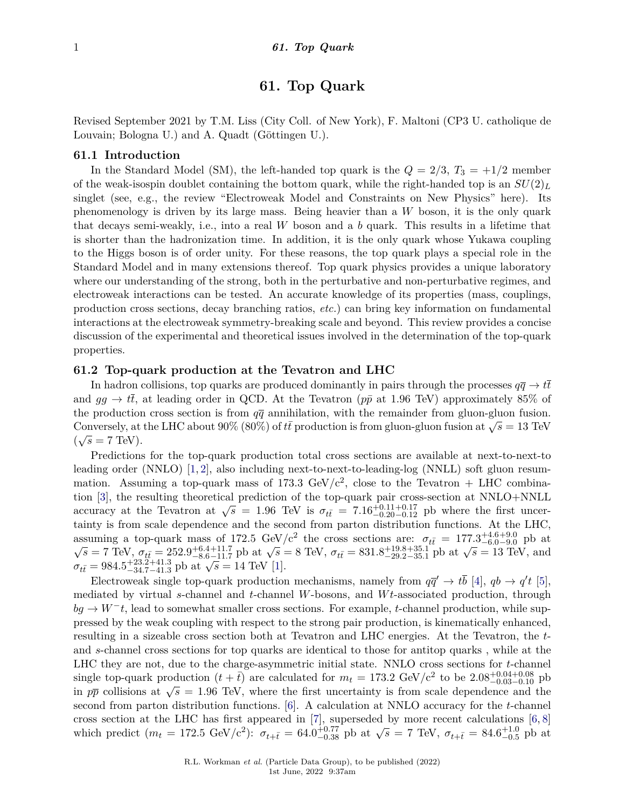# **61. Top Quark**

Revised September 2021 by T.M. Liss (City Coll. of New York), F. Maltoni (CP3 U. catholique de Louvain; Bologna U.) and A. Quadt (Göttingen U.).

#### **61.1 Introduction**

In the Standard Model (SM), the left-handed top quark is the  $Q = 2/3$ ,  $T_3 = +1/2$  member of the weak-isospin doublet containing the bottom quark, while the right-handed top is an  $SU(2)_L$ singlet (see, e.g., the review "Electroweak Model and Constraints on New Physics" here). Its phenomenology is driven by its large mass. Being heavier than a *W* boson, it is the only quark that decays semi-weakly, i.e., into a real *W* boson and a *b* quark. This results in a lifetime that is shorter than the hadronization time. In addition, it is the only quark whose Yukawa coupling to the Higgs boson is of order unity. For these reasons, the top quark plays a special role in the Standard Model and in many extensions thereof. Top quark physics provides a unique laboratory where our understanding of the strong, both in the perturbative and non-perturbative regimes, and electroweak interactions can be tested. An accurate knowledge of its properties (mass, couplings, production cross sections, decay branching ratios, *etc.*) can bring key information on fundamental interactions at the electroweak symmetry-breaking scale and beyond. This review provides a concise discussion of the experimental and theoretical issues involved in the determination of the top-quark properties.

### **61.2 Top-quark production at the Tevatron and LHC**

In hadron collisions, top quarks are produced dominantly in pairs through the processes  $q\bar{q} \to t\bar{t}$ and  $qa \to t\bar{t}$ , at leading order in QCD. At the Tevatron ( $p\bar{p}$  at 1.96 TeV) approximately 85% of the production cross section is from  $q\bar{q}$  annihilation, with the remainder from gluon-gluon fusion. Conversely, at the LHC about 90% (80%) of  $t\bar{t}$  production is from gluon-gluon fusion at  $\sqrt{s} = 13$  TeV  $(\sqrt{s} - 7.7 \text{ eV})$  $(\sqrt{s} = 7 \text{ TeV}).$ 

Predictions for the top-quark production total cross sections are available at next-to-next-to leading order (NNLO) [\[1,](#page-36-0) [2\]](#page-36-1), also including next-to-next-to-leading-log (NNLL) soft gluon resummation. Assuming a top-quark mass of 173.3 GeV/ $c^2$ , close to the Tevatron + LHC combination [\[3\]](#page-36-2), the resulting theoretical prediction of the top-quark pair cross-section at NNLO+NNLL accuracy at the Tevatron at  $\sqrt{s} = 1.96$  TeV is  $\sigma_{t\bar{t}} = 7.16^{+0.11+0.17}_{-0.20-0.12}$  pb where the first uncertainty is from scale dependence and the second from parton distribution functions. At the LHC, assuming a top-quark mass of 172.5 GeV/c<sup>2</sup> the cross sections are:  $\sigma_{t\bar{t}} = 177.3^{+4.6+9.0}_{-6.0-9.0}$  pb at  $\sqrt{s} = 7$  TeV,  $\sigma_{t\bar{t}} = 252.9^{+6.4+11.7}_{-8.6-11.7}$  pb at  $\sqrt{s} = 8$  TeV,  $\sigma_{t\bar{t}} = 831.8^{+19.8+35.1}_{-29.$  $\sigma_{t\bar{t}} = 984.5^{+23.2+41.3}_{-34.7-41.3}$  pb at  $\sqrt{s} = 14$  TeV [\[1\]](#page-36-0).

Electroweak single top-quark production mechanisms, namely from  $q\bar{q}' \to t\bar{b}$  [\[4\]](#page-36-3),  $qb \to q't$  [\[5\]](#page-36-4), mediated by virtual *s*-channel and *t*-channel *W*-bosons, and *W t*-associated production, through  $bg \rightarrow W^-t$ , lead to somewhat smaller cross sections. For example, *t*-channel production, while suppressed by the weak coupling with respect to the strong pair production, is kinematically enhanced, resulting in a sizeable cross section both at Tevatron and LHC energies. At the Tevatron, the *t*and *s*-channel cross sections for top quarks are identical to those for antitop quarks , while at the LHC they are not, due to the charge-asymmetric initial state. NNLO cross sections for *t*-channel single top-quark production  $(t + \bar{t})$  are calculated for  $m_t = 173.2 \text{ GeV}/c^2$  to be  $2.08^{+0.04+0.08}_{-0.03-0.10}$  pb in *p*<sup> $\bar{p}$ </sup> collisions at  $\sqrt{s} = 1.96$  TeV, where the first uncertainty is from scale dependence and the second from parton distribution functions. [\[6\]](#page-36-5). A calculation at NNLO accuracy for the *t*-channel cross section at the LHC has first appeared in [\[7\]](#page-36-6), superseded by more recent calculations [\[6,](#page-36-5) [8\]](#page-36-7) which predict  $(m_t = 172.5 \text{ GeV}/c^2)$ :  $\sigma_{t+\bar{t}} = 64.0^{+0.77}_{-0.38}$  pb at  $\sqrt{s} = 7$  TeV,  $\sigma_{t+\bar{t}} = 84.6^{+1.0}_{-0.5}$  pb at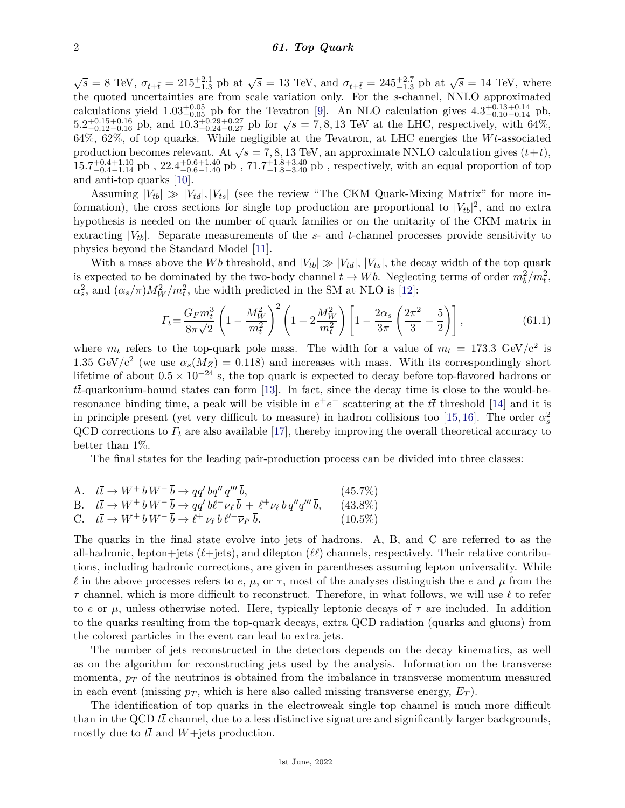$\sqrt{s} = 8$  TeV,  $\sigma_{t+\bar{t}} = 215^{+2.1}_{-1.3}$  pb at  $\sqrt{s} = 13$  TeV, and  $\sigma_{t+\bar{t}} = 245^{+2.7}_{-1.3}$  pb at  $\sqrt{s} = 14$  TeV, where the quoted uncertainties are from scale variation only. For the *s*-channel, NNLO approximated calculations yield  $1.03^{+0.05}_{-0.05}$  pb for the Tevatron [\[9\]](#page-36-8). An NLO calculation gives  $4.3^{+0.13}_{-0.10}$ -0.14 pb,  $5.2^{+0.15+0.16}_{-0.16}$  pb, and  $10.3^{+0.29+0.27}_{-0.24-0.27}$  pb for  $\sqrt{s} = 7, 8, 13$  TeV at the LHC, respectively, with 64%, 64%, 62%, of top quarks. While negligible at the Tevatron, at LHC energies the *W t*-associated production becomes relevant. At  $\sqrt{s} = 7, 8, 13$  TeV, an approximate NNLO calculation gives  $(t+\bar{t})$ ,  $15.7^{+0.4+1.10}_{-0.4-1.14}$  pb,  $22.4^{+0.6+1.40}_{-0.6-1.40}$  pb,  $71.7^{+1.8+3.40}_{-1.8-3.40}$  pb, respectively, with an equal proportion of top and anti-top quarks [\[10\]](#page-36-9).

Assuming  $|V_{tb}| \gg |V_{td}|$ ,  $|V_{ts}|$  (see the review "The CKM Quark-Mixing Matrix" for more information), the cross sections for single top production are proportional to  $|V_{tb}|^2$ , and no extra hypothesis is needed on the number of quark families or on the unitarity of the CKM matrix in extracting  $|V_{tb}|$ . Separate measurements of the  $s$ - and  $t$ -channel processes provide sensitivity to physics beyond the Standard Model [\[11\]](#page-36-10).

With a mass above the *Wb* threshold, and  $|V_{tb}| \gg |V_{td}|$ ,  $|V_{ts}|$ , the decay width of the top quark is expected to be dominated by the two-body channel  $t \to Wb$ . Neglecting terms of order  $m_b^2/m_t^2$ ,  $\alpha_s^2$ , and  $(\alpha_s/\pi)M_W^2/m_t^2$ , the width predicted in the SM at NLO is [\[12\]](#page-36-11):

$$
\Gamma_t = \frac{G_F m_t^3}{8\pi\sqrt{2}} \left(1 - \frac{M_W^2}{m_t^2}\right)^2 \left(1 + 2\frac{M_W^2}{m_t^2}\right) \left[1 - \frac{2\alpha_s}{3\pi} \left(\frac{2\pi^2}{3} - \frac{5}{2}\right)\right],\tag{61.1}
$$

where  $m_t$  refers to the top-quark pole mass. The width for a value of  $m_t = 173.3 \text{ GeV}/c^2$  is 1.35 GeV/c<sup>2</sup> (we use  $\alpha_s(M_Z) = 0.118$ ) and increases with mass. With its correspondingly short lifetime of about  $0.5 \times 10^{-24}$  s, the top quark is expected to decay before top-flavored hadrons or  $t\bar{t}$ -quarkonium-bound states can form [\[13\]](#page-36-12). In fact, since the decay time is close to the would-beresonance binding time, a peak will be visible in  $e^+e^-$  scattering at the  $t\bar{t}$  threshold [\[14\]](#page-36-13) and it is in principle present (yet very difficult to measure) in hadron collisions too [\[15,](#page-36-14) [16\]](#page-36-15). The order  $\alpha_s^2$ QCD corrections to *Γ<sup>t</sup>* are also available [\[17\]](#page-36-16), thereby improving the overall theoretical accuracy to better than 1%.

The final states for the leading pair-production process can be divided into three classes:

A. 
$$
t\overline{t} \to W^+ b W^- \overline{b} \to q\overline{q}' b q'' \overline{q}'' \overline{b}
$$
, (45.7%)  
\nB.  $t\overline{t} \to W^+ b W^- \overline{b} \to q\overline{q}' b \ell^- \overline{\nu}_{\ell} \overline{b} + \ell^+ \nu_{\ell} b q'' \overline{q}''' \overline{b}$ , (43.8%)  
\nC.  $t\overline{t} \to W^+ b W^- \overline{b} \to \ell^+ \nu_{\ell} b \ell'^- \overline{\nu}_{\ell'} \overline{b}$ . (10.5%)

The quarks in the final state evolve into jets of hadrons. A, B, and C are referred to as the all-hadronic, lepton+jets ( $\ell$ +jets), and dilepton ( $\ell\ell$ ) channels, respectively. Their relative contributions, including hadronic corrections, are given in parentheses assuming lepton universality. While  $\ell$  in the above processes refers to *e*,  $\mu$ , or  $\tau$ , most of the analyses distinguish the *e* and  $\mu$  from the  $\tau$  channel, which is more difficult to reconstruct. Therefore, in what follows, we will use  $\ell$  to refer to *e* or  $\mu$ , unless otherwise noted. Here, typically leptonic decays of  $\tau$  are included. In addition to the quarks resulting from the top-quark decays, extra QCD radiation (quarks and gluons) from the colored particles in the event can lead to extra jets.

The number of jets reconstructed in the detectors depends on the decay kinematics, as well as on the algorithm for reconstructing jets used by the analysis. Information on the transverse momenta,  $p_T$  of the neutrinos is obtained from the imbalance in transverse momentum measured in each event (missing  $p_T$ , which is here also called missing transverse energy,  $E_T$ ).

The identification of top quarks in the electroweak single top channel is much more difficult than in the QCD  $t\bar{t}$  channel, due to a less distinctive signature and significantly larger backgrounds, mostly due to  $t\bar{t}$  and  $W+$ jets production.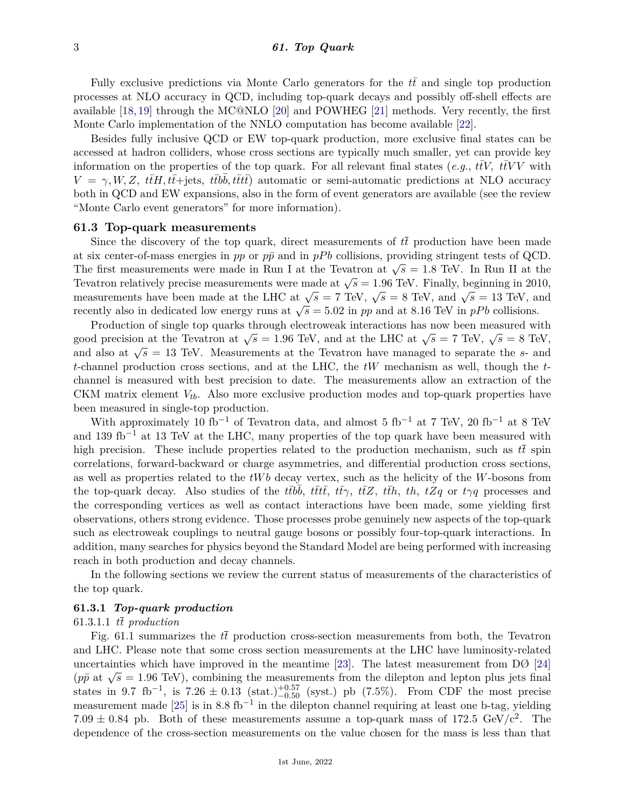Fully exclusive predictions via Monte Carlo generators for the *tt* and single top production processes at NLO accuracy in QCD, including top-quark decays and possibly off-shell effects are available [\[18,](#page-36-17) [19\]](#page-36-18) through the MC@NLO [\[20\]](#page-36-19) and POWHEG [\[21\]](#page-36-20) methods. Very recently, the first Monte Carlo implementation of the NNLO computation has become available [\[22\]](#page-36-21).

Besides fully inclusive QCD or EW top-quark production, more exclusive final states can be accessed at hadron colliders, whose cross sections are typically much smaller, yet can provide key information on the properties of the top quark. For all relevant final states (*e.g.*,  $ttV$ ,  $ttVV$  with  $V = \gamma$ , *W*, *Z*, *t* $\bar{t}H$ ,  $t\bar{t}$ +jets, *ttbb*,  $t\bar{t}t\bar{t}$  automatic or semi-automatic predictions at NLO accuracy both in QCD and EW expansions, also in the form of event generators are available (see the review "Monte Carlo event generators" for more information).

#### **61.3 Top-quark measurements**

Since the discovery of the top quark, direct measurements of  $t\bar{t}$  production have been made at six center-of-mass energies in pp or  $p\bar{p}$  and in  $pPb$  collisions, providing stringent tests of QCD. The first measurements were made in Run I at the Tevatron at  $\sqrt{s} = 1.8$  TeV. In Run II at the The first measurements were made in Run I at the Tevatron at  $\sqrt{s} = 1.96$  TeV. Finally, beginning in 2010, Tevatron relatively precise measurements were made at  $\sqrt{s} = 1.96$  TeV. Finally, beginning in 2010, measurements have been made at the LHC at  $\sqrt{s} = 7$  TeV,  $\sqrt{s} = 8$  TeV, and  $\sqrt{s} = 13$  TeV, and  $\sqrt{s} = 13$  TeV, and recently also in dedicated low energy runs at  $\sqrt{s} = 5.02$  in *pp* and at 8.16 TeV in *pPb* collisions.

Production of single top quarks through electroweak interactions has now been measured with f found for single top quarks through electroweak interactions has now been measured with good precision at the Tevatron at  $\sqrt{s} = 1.96$  TeV, and at the LHC at  $\sqrt{s} = 7$  TeV,  $\sqrt{s} = 8$  TeV, and also at  $\sqrt{s} = 13$  TeV. Measurements at the Tevatron have managed to separate the *s*- and also at  $\sqrt{s} = 13$  TeV. Measurements at the Tevatron have managed to separate the *s*- and *t*-channel production cross sections, and at the LHC, the *tW* mechanism as well, though the *t*channel is measured with best precision to date. The measurements allow an extraction of the CKM matrix element *Vtb*. Also more exclusive production modes and top-quark properties have been measured in single-top production.

With approximately 10 fb<sup>-1</sup> of Tevatron data, and almost 5 fb<sup>-1</sup> at 7 TeV, 20 fb<sup>-1</sup> at 8 TeV and 139 fb<sup>-1</sup> at 13 TeV at the LHC, many properties of the top quark have been measured with high precision. These include properties related to the production mechanism, such as  $t\bar{t}$  spin correlations, forward-backward or charge asymmetries, and differential production cross sections, as well as properties related to the *tW b* decay vertex, such as the helicity of the *W*-bosons from the top-quark decay. Also studies of the *ttbb*,  $t\bar{t}t\bar{t}$ ,  $t\bar{t}\gamma$ ,  $t\bar{t}Z$ ,  $t\bar{t}h$ ,  $th$ ,  $tZq$  or  $t\gamma q$  processes and the corresponding vertices as well as contact interactions have been made, some yielding first observations, others strong evidence. Those processes probe genuinely new aspects of the top-quark such as electroweak couplings to neutral gauge bosons or possibly four-top-quark interactions. In addition, many searches for physics beyond the Standard Model are being performed with increasing reach in both production and decay channels.

In the following sections we review the current status of measurements of the characteristics of the top quark.

#### **61.3.1** *Top-quark production*

#### 61.3.1.1 *tt production*

Fig. 61.1 summarizes the  $t\bar{t}$  production cross-section measurements from both, the Tevatron and LHC. Please note that some cross section measurements at the LHC have luminosity-related uncertainties which have improved in the meantime [\[23\]](#page-36-22). The latest measurement from  $D\varnothing$  [\[24\]](#page-36-23) the trainties which have improved in the meantime [25]. The fatest measurement from DV [24]  $(p\bar{p}$  at  $\sqrt{s} = 1.96$  TeV), combining the measurements from the dilepton and lepton plus jets final states in 9.7 fb<sup>-1</sup>, is  $7.26 \pm 0.13$  (stat.)<sup>+0.57</sup> (syst.) pb (7.5%). From CDF the most precise measurement made [\[25\]](#page-36-24) is in 8.8 fb<sup>-1</sup> in the dilepton channel requiring at least one b-tag, yielding  $7.09 \pm 0.84$  pb. Both of these measurements assume a top-quark mass of 172.5 GeV/ $c^2$ . The dependence of the cross-section measurements on the value chosen for the mass is less than that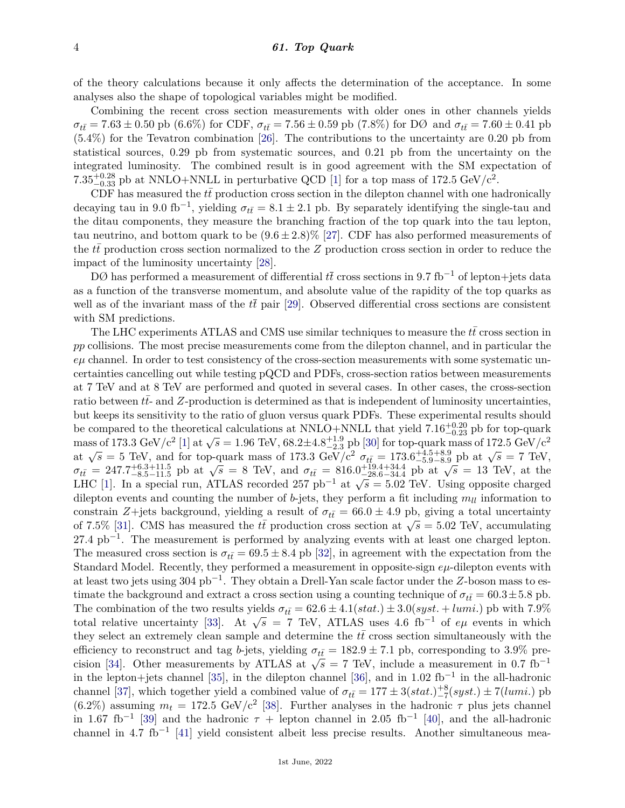of the theory calculations because it only affects the determination of the acceptance. In some analyses also the shape of topological variables might be modified.

Combining the recent cross section measurements with older ones in other channels yields  $\sigma_{t\bar{t}}$  = 7.63 ± 0.50 pb (6.6%) for CDF,  $\sigma_{t\bar{t}}$  = 7.56 ± 0.59 pb (7.8%) for DØ and  $\sigma_{t\bar{t}}$  = 7.60 ± 0.41 pb (5.4%) for the Tevatron combination [\[26\]](#page-36-25). The contributions to the uncertainty are 0.20 pb from statistical sources, 0.29 pb from systematic sources, and 0.21 pb from the uncertainty on the integrated luminosity. The combined result is in good agreement with the SM expectation of  $7.35_{-0.33}^{+0.28}$  pb at NNLO+NNLL in perturbative QCD [\[1\]](#page-36-0) for a top mass of 172.5 GeV/c<sup>2</sup>.

CDF has measured the  $t\bar{t}$  production cross section in the dilepton channel with one hadronically decaying tau in 9.0 fb<sup>-1</sup>, yielding  $\sigma_{t\bar{t}} = 8.1 \pm 2.1$  pb. By separately identifying the single-tau and the ditau components, they measure the branching fraction of the top quark into the tau lepton, tau neutrino, and bottom quark to be  $(9.6 \pm 2.8)$ % [\[27\]](#page-36-26). CDF has also performed measurements of the  $t\bar{t}$  production cross section normalized to the  $Z$  production cross section in order to reduce the impact of the luminosity uncertainty [\[28\]](#page-36-27).

DØ has performed a measurement of differential  $t\bar{t}$  cross sections in 9.7 fb<sup>-1</sup> of lepton+jets data as a function of the transverse momentum, and absolute value of the rapidity of the top quarks as well as of the invariant mass of the  $t\bar{t}$  pair [\[29\]](#page-37-0). Observed differential cross sections are consistent with SM predictions.

The LHC experiments ATLAS and CMS use similar techniques to measure the *tt* cross section in *pp* collisions. The most precise measurements come from the dilepton channel, and in particular the *eµ* channel. In order to test consistency of the cross-section measurements with some systematic uncertainties cancelling out while testing pQCD and PDFs, cross-section ratios between measurements at 7 TeV and at 8 TeV are performed and quoted in several cases. In other cases, the cross-section ratio between *tt*- and *Z*-production is determined as that is independent of luminosity uncertainties, but keeps its sensitivity to the ratio of gluon versus quark PDFs. These experimental results should be compared to the theoretical calculations at NNLO+NNLL that yield  $7.16_{-0.23}^{+0.20}$  pb for top-quark mass of 173.3 GeV/c<sup>2</sup> [\[1\]](#page-36-0) at  $\sqrt{s} = 1.96$  TeV, 68.2±4.8<sup>+1.9</sup> b [\[30\]](#page-37-1) for top-quark mass of 172.5 GeV/c<sup>2</sup> at  $\sqrt{s} = 5$  TeV, and for top-quark mass of 173.3 GeV/c<sup>2</sup>  $\sigma_{t\bar{t}} = 173.6^{+4.5+8.9}_{-5.9-8.9}$  pb at  $\sqrt{s} = 7$  T at  $\sqrt{s} = 3$  TeV, and for top-quark mass of 173.5 GeV/c  $\sigma_{tt} = 173.6$ –5.9–8.9 Pb at  $\sqrt{s} = 7$  TeV,<br>  $\sigma_{t\bar{t}} = 247.7^{+6.3+11.5}_{-8.5-11.5}$  pb at  $\sqrt{s} = 8$  TeV, and  $\sigma_{t\bar{t}} = 816.0^{+19.4+34.4}_{-28.6-34.4}$  pb at  $\sqrt{s} =$ dilepton events and counting the number of  $b$ -jets, they perform a fit including  $m_{ll}$  information to constrain *Z*+jets background, yielding a result of  $\sigma_{t\bar{t}} = 66.0 \pm 4.9$  pb, giving a total uncertainty of 7.5% [\[31\]](#page-37-2). CMS has measured the  $t\bar{t}$  production cross section at  $\sqrt{s} = 5.02$  TeV, accumulating of 7.5% [31]. 27.4 pb<sup>-1</sup>. The measurement is performed by analyzing events with at least one charged lepton. The measured cross section is  $\sigma_{t\bar{t}} = 69.5 \pm 8.4$  pb [\[32\]](#page-37-3), in agreement with the expectation from the Standard Model. Recently, they performed a measurement in opposite-sign *eµ*-dilepton events with at least two jets using 304 pb−<sup>1</sup> . They obtain a Drell-Yan scale factor under the *Z*-boson mass to estimate the background and extract a cross section using a counting technique of  $\sigma_{t\bar{t}} = 60.3 \pm 5.8$  pb. The combination of the two results yields  $\sigma_{t\bar{t}} = 62.6 \pm 4.1(stat.) \pm 3.0(syst. + lumi.)$  pb with 7.9% total relative uncertainty [\[33\]](#page-37-4). At  $\sqrt{s}$  = 7 TeV, ATLAS uses 4.6 fb<sup>-1</sup> of *eµ* events in which they select an extremely clean sample and determine the  $t\bar{t}$  cross section simultaneously with the efficiency to reconstruct and tag *b*-jets, yielding  $\sigma_{t\bar{t}} = 182.9 \pm 7.1$  pb, corresponding to 3.9% preemergency to reconstruct and tag o-jets, yielding  $\sigma_t = 182.5 \pm 7.1$  pb, corresponding to 3.5% precision [\[34\]](#page-37-5). Other measurements by ATLAS at  $\sqrt{s} = 7$  TeV, include a measurement in 0.7 fb<sup>-1</sup> in the lepton+jets channel [\[35\]](#page-37-6), in the dilepton channel [\[36\]](#page-37-7), and in 1.02 fb<sup>-1</sup> in the all-hadronic channel [\[37\]](#page-37-8), which together yield a combined value of  $\sigma_{t\bar{t}} = 177 \pm 3(stat.)^{+8}_{-7}(syst.) \pm 7(lumi.)$  pb  $(6.2\%)$  assuming  $m_t = 172.5 \text{ GeV}/c^2$  [\[38\]](#page-37-9). Further analyses in the hadronic  $\tau$  plus jets channel in 1.67 fb<sup>-1</sup> [\[39\]](#page-37-10) and the hadronic  $\tau$  + lepton channel in 2.05 fb<sup>-1</sup> [\[40\]](#page-37-11), and the all-hadronic channel in 4.7 fb<sup>-1</sup> [\[41\]](#page-37-12) yield consistent albeit less precise results. Another simultaneous mea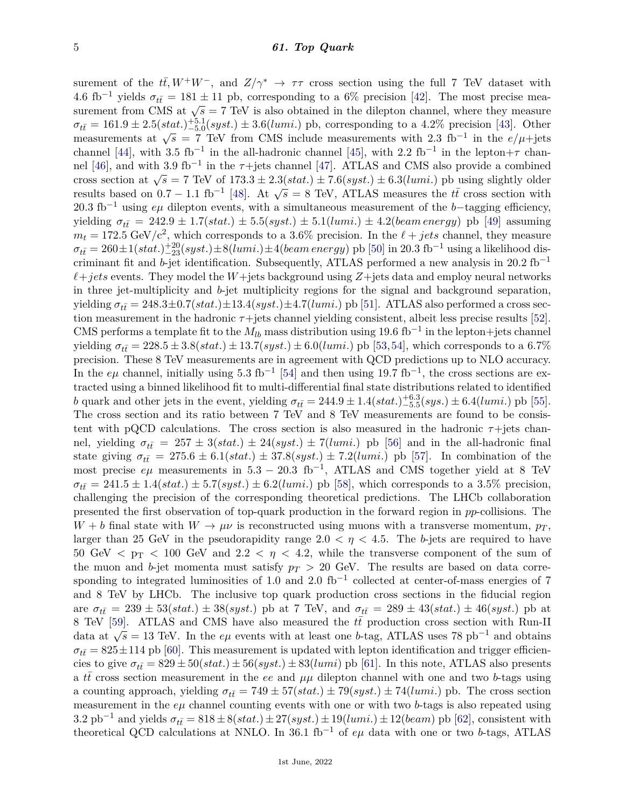surement of the  $t\bar{t}$ ,  $W^+W^-$ , and  $Z/\gamma^*$  →  $\tau\tau$  cross section using the full 7 TeV dataset with 4.6 fb<sup>-1</sup> yields  $\sigma_{t\bar{t}} = 181 \pm 11$  pb, corresponding to a 6% precision [\[42\]](#page-37-13). The most precise mea- $\frac{d}{dt}$  o in the surement from CMS at  $\sqrt{s} = 7$  TeV is also obtained in the dilepton channel, where they measure  $\sigma_{t\bar{t}} = 161.9 \pm 2.5(stat.)^{+5.1}_{-5.0}(syst.) \pm 3.6(lumi.)$  pb, corresponding to a 4.2% precision [\[43\]](#page-37-14). Other  $\sigma_{tt} = 101.3 \pm 2.5$ (*sud.*)  $\sigma_{5.0}$ (*sgs.*)  $\pm 3.5$ (*tam.*) pb, corresponding to a 4.2% precision [45]. Other measurements at  $\sqrt{s} = 7$  TeV from CMS include measurements with 2.3 fb<sup>-1</sup> in the  $e/\mu$ +jets channel [\[44\]](#page-37-15), with 3.5 fb<sup>-1</sup> in the all-hadronic channel [\[45\]](#page-37-16), with 2.2 fb<sup>-1</sup> in the lepton+ $\tau$  chan-nel [\[46\]](#page-37-17), and with 3.9 fb<sup>-1</sup> in the  $\tau$ +jets channel [\[47\]](#page-37-18). ATLAS and CMS also provide a combined cross section at  $\sqrt{s} = 7$  TeV of  $173.3 \pm 2.3(stat.) \pm 7.6(syst.) \pm 6.3(lumi.)$  pb using slightly older results based on 0*.*7 − 1*.*1 fb<sup>-1</sup> [\[48\]](#page-37-19). At  $\sqrt{s} = 8$  TeV, ATLAS measures the  $t\bar{t}$  cross section with 20.3 fb<sup>-1</sup> using  $e\mu$  dilepton events, with a simultaneous measurement of the *b*−tagging efficiency, yielding  $\sigma_{t\bar{t}} = 242.9 \pm 1.7(stat.) \pm 5.5(syst.) \pm 5.1(lumi.) \pm 4.2(beam energy)$  pb [\[49\]](#page-37-20) assuming  $m_t = 172.5 \text{ GeV}/c^2$ , which corresponds to a 3.6% precision. In the  $\ell + jets$  channel, they measure  $\sigma_{t\bar{t}} = 260 \pm 1(stat.)^{+20}_{-23}(syst.) \pm 8(lumi.) \pm 4(beam\, energy)$  pb [\[50\]](#page-37-21) in 20.3 fb<sup>-1</sup> using a likelihood discriminant fit and *b*-jet identification. Subsequently, ATLAS performed a new analysis in 20*.*2 fb−<sup>1</sup>  $\ell + jets$  events. They model the *W*+jets background using *Z*+jets data and employ neural networks in three jet-multiplicity and *b*-jet multiplicity regions for the signal and background separation, yielding  $\sigma_{t\bar{t}} = 248.3 \pm 0.7(stat.) \pm 13.4(syst.) \pm 4.7(lumi.)$  pb [\[51\]](#page-37-22). ATLAS also performed a cross section measurement in the hadronic  $\tau$ +jets channel yielding consistent, albeit less precise results [\[52\]](#page-37-23). CMS performs a template fit to the  $M_{lb}$  mass distribution using 19.6 fb<sup>-1</sup> in the lepton+jets channel yielding  $\sigma_{t\bar{t}} = 228.5 \pm 3.8(stat.) \pm 13.7(syst.) \pm 6.0(lumi.)$  pb [\[53,](#page-37-24)[54\]](#page-37-25), which corresponds to a 6.7% precision. These 8 TeV measurements are in agreement with QCD predictions up to NLO accuracy. In the  $e\mu$  channel, initially using 5.3 fb<sup>-1</sup> [\[54\]](#page-37-25) and then using 19.7 fb<sup>-1</sup>, the cross sections are extracted using a binned likelihood fit to multi-differential final state distributions related to identified *b* quark and other jets in the event, yielding  $\sigma_{t\bar{t}} = 244.9 \pm 1.4(stat.)\substack{+6.3 \\ -5.5}(sys.) \pm 6.4(lumi.)$  pb [\[55\]](#page-37-26). The cross section and its ratio between 7 TeV and 8 TeV measurements are found to be consistent with pQCD calculations. The cross section is also measured in the hadronic  $\tau +$ jets channel, yielding  $\sigma_{t\bar{t}} = 257 \pm 3(stat.) \pm 24(syst.) \pm 7(lumi.)$  pb [\[56\]](#page-37-27) and in the all-hadronic final state giving  $\sigma_{t\bar{t}} = 275.6 \pm 6.1(stat.) \pm 37.8(syst.) \pm 7.2(lumi.)$  pb [\[57\]](#page-37-28). In combination of the most precise  $e\mu$  measurements in  $5.3 - 20.3$  fb<sup>-1</sup>, ATLAS and CMS together yield at 8 TeV  $\sigma_{t\bar{t}} = 241.5 \pm 1.4(stat.) \pm 5.7(syst.) \pm 6.2(lumi.)$  pb [\[58\]](#page-37-29), which corresponds to a 3.5% precision, challenging the precision of the corresponding theoretical predictions. The LHCb collaboration presented the first observation of top-quark production in the forward region in *pp*-collisions. The  $W + b$  final state with  $W \to \mu\nu$  is reconstructed using muons with a transverse momentum,  $p_T$ , larger than 25 GeV in the pseudorapidity range  $2.0 < \eta < 4.5$ . The *b*-jets are required to have 50 GeV  $\langle$  p<sub>T</sub>  $\langle$  100 GeV and 2.2  $\langle$  *n*  $\langle$  4.2, while the transverse component of the sum of the muon and *b*-jet momenta must satisfy  $p_T > 20$  GeV. The results are based on data corresponding to integrated luminosities of 1.0 and 2.0 fb<sup>-1</sup> collected at center-of-mass energies of 7 and 8 TeV by LHCb. The inclusive top quark production cross sections in the fiducial region are  $\sigma_{t\bar{t}} = 239 \pm 53(stat.) \pm 38(syst.)$  pb at 7 TeV, and  $\sigma_{t\bar{t}} = 289 \pm 43(stat.) \pm 46(syst.)$  pb at 8 TeV [\[59\]](#page-37-30). ATLAS and CMS have also measured the  $t\bar{t}$  production cross section with Run-II data at  $\sqrt{s} = 13$  TeV. In the *eµ* events with at least one *b*-tag, ATLAS uses 78 pb<sup>-1</sup> and obtains  $\sigma_{t\bar{t}}$  = 825 $\pm$ 114 pb [\[60\]](#page-37-31). This measurement is updated with lepton identification and trigger efficiencies to give  $\sigma_{t\bar{t}} = 829 \pm 50(stat.) \pm 56(syst.) \pm 83(lumi)$  pb [\[61\]](#page-37-32). In this note, ATLAS also presents a *tt* cross section measurement in the *ee* and  $\mu\mu$  dilepton channel with one and two *b*-tags using a counting approach, yielding  $\sigma_{t\bar{t}} = 749 \pm 57(stat.) \pm 79(syst.) \pm 74(lumi.)$  pb. The cross section measurement in the  $e\mu$  channel counting events with one or with two  $b$ -tags is also repeated using 3.2 pb<sup>-1</sup> and yields  $\sigma_{t\bar{t}} = 818 \pm 8(stat.) \pm 27(syst.) \pm 19(lumi.) \pm 12(beam)$  pb [\[62\]](#page-37-33), consistent with theoretical QCD calculations at NNLO. In 36.1 fb<sup>-1</sup> of  $e\mu$  data with one or two *b*-tags, ATLAS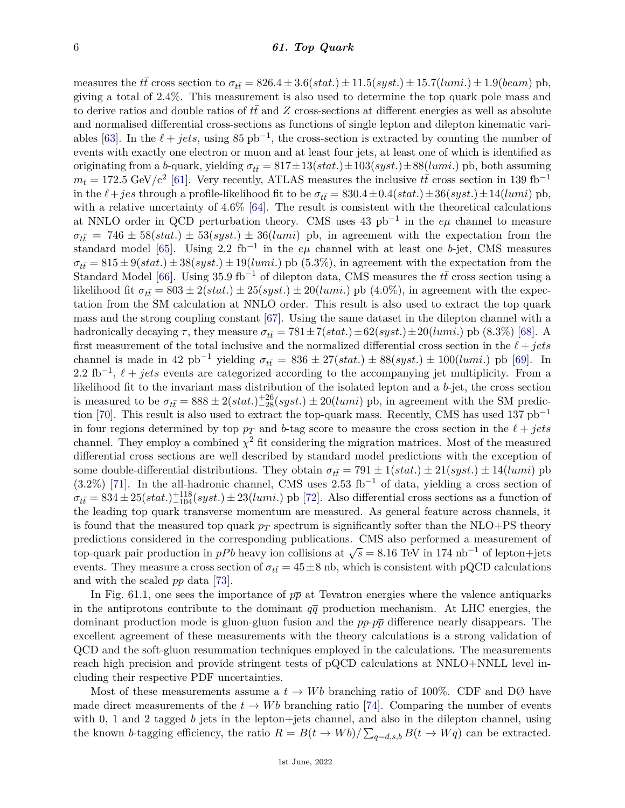#### 6 *61. Top Quark*

measures the *tt*<sup> $\bar{t}$ </sup> cross section to  $\sigma_{t\bar{t}} = 826.4 \pm 3.6(stat.) \pm 11.5(syst.) \pm 15.7(lumi.) \pm 1.9(beam)$  pb, giving a total of 2.4%. This measurement is also used to determine the top quark pole mass and to derive ratios and double ratios of  $tt$  and  $Z$  cross-sections at different energies as well as absolute and normalised differential cross-sections as functions of single lepton and dilepton kinematic vari-ables [\[63\]](#page-37-34). In the  $\ell + jets$ , using 85 pb<sup>-1</sup>, the cross-section is extracted by counting the number of events with exactly one electron or muon and at least four jets, at least one of which is identified as originating from a *b*-quark, yielding  $\sigma_{t\bar{t}} = 817 \pm 13(stat.) \pm 103(syst.) \pm 88(lumi.)$  pb, both assuming  $m_t = 172.5 \text{ GeV}/c^2$  [\[61\]](#page-37-32). Very recently, ATLAS measures the inclusive  $t\bar{t}$  cross section in 139 fb<sup>-1</sup> in the  $\ell + jes$  through a profile-likelihood fit to be  $\sigma_{t\bar{t}} = 830.4 \pm 0.4(stat.) \pm 36(syst.) \pm 14(lumi)$  pb, with a relative uncertainty of 4.6% [\[64\]](#page-37-35). The result is consistent with the theoretical calculations at NNLO order in QCD perturbation theory. CMS uses 43 pb−<sup>1</sup> in the *eµ* channel to measure  $\sigma_{t\bar{t}}$  = 746 ± 58(*stat.*) ± 53(*syst.*) ± 36(*lumi*) pb, in agreement with the expectation from the standard model [\[65\]](#page-38-0). Using 2.2 fb<sup>-1</sup> in the  $e\mu$  channel with at least one *b*-jet, CMS measures  $\sigma_{t\bar{t}} = 815 \pm 9(stat.) \pm 38(syst.) \pm 19(lumi.)$  pb (5.3%), in agreement with the expectation from the Standard Model [\[66\]](#page-38-1). Using 35.9 fb<sup>-1</sup> of dilepton data, CMS measures the  $t\bar{t}$  cross section using a likelihood fit  $\sigma_{t\bar{t}} = 803 \pm 2(stat.) \pm 25(syst.) \pm 20(lumi.)$  pb (4.0%), in agreement with the expectation from the SM calculation at NNLO order. This result is also used to extract the top quark mass and the strong coupling constant [\[67\]](#page-38-2). Using the same dataset in the dilepton channel with a hadronically decaying  $\tau$ , they measure  $\sigma_{t\bar{t}} = 781 \pm 7(stat.) \pm 62(syst.) \pm 20(lumi.)$  pb (8.3%) [\[68\]](#page-38-3). A first measurement of the total inclusive and the normalized differential cross section in the  $\ell + jets$ channel is made in 42 pb<sup>-1</sup> yielding  $\sigma_{t\bar{t}} = 836 \pm 27(stat.) \pm 88(syst.) \pm 100(lumi.)$  pb [\[69\]](#page-38-4). In 2.2 fb<sup>-1</sup>,  $\ell + jets$  events are categorized according to the accompanying jet multiplicity. From a likelihood fit to the invariant mass distribution of the isolated lepton and a *b*-jet, the cross section is measured to be  $\sigma_{t\bar{t}} = 888 \pm 2(stat.)^{+26}_{-28}(syst.) \pm 20(lumi)$  pb, in agreement with the SM predic-tion [\[70\]](#page-38-5). This result is also used to extract the top-quark mass. Recently, CMS has used 137  $pb^{-1}$ in four regions determined by top  $p_T$  and *b*-tag score to measure the cross section in the  $\ell + jets$ channel. They employ a combined  $\chi^2$  fit considering the migration matrices. Most of the measured differential cross sections are well described by standard model predictions with the exception of some double-differential distributions. They obtain  $\sigma_{t\bar{t}} = 791 \pm 1(stat.) \pm 21(syst.) \pm 14(lumi)$  pb (3.2%) [\[71\]](#page-38-6). In the all-hadronic channel, CMS uses 2*.*53 fb−<sup>1</sup> of data, yielding a cross section of  $\sigma_{t\bar{t}} = 834 \pm 25(stat.)^{+118}_{-104}(syst.) \pm 23(lumi.)$  pb [\[72\]](#page-38-7). Also differential cross sections as a function of the leading top quark transverse momentum are measured. As general feature across channels, it is found that the measured top quark  $p_T$  spectrum is significantly softer than the NLO+PS theory predictions considered in the corresponding publications. CMS also performed a measurement of predictions considered in the corresponding publications. CMS also performed a measurement of top-quark pair production in *pPb* heavy ion collisions at  $\sqrt{s} = 8.16$  TeV in 174 nb<sup>-1</sup> of lepton+jets events. They measure a cross section of  $\sigma_{t\bar{t}} = 45 \pm 8$  nb, which is consistent with pQCD calculations and with the scaled *pp* data [\[73\]](#page-38-8).

In Fig. 61.1, one sees the importance of  $p\bar{p}$  at Tevatron energies where the valence antiquarks in the antiprotons contribute to the dominant  $q\bar{q}$  production mechanism. At LHC energies, the dominant production mode is gluon-gluon fusion and the *pp*-*pp* difference nearly disappears. The excellent agreement of these measurements with the theory calculations is a strong validation of QCD and the soft-gluon resummation techniques employed in the calculations. The measurements reach high precision and provide stringent tests of pQCD calculations at NNLO+NNLL level including their respective PDF uncertainties.

Most of these measurements assume a  $t \to Wb$  branching ratio of 100%. CDF and DØ have made direct measurements of the  $t \to Wb$  branching ratio [\[74\]](#page-38-9). Comparing the number of events with 0, 1 and 2 tagged *b* jets in the lepton+jets channel, and also in the dilepton channel, using the known *b*-tagging efficiency, the ratio  $R = B(t \to Wb)/\sum_{q=d,s,b} B(t \to Wq)$  can be extracted.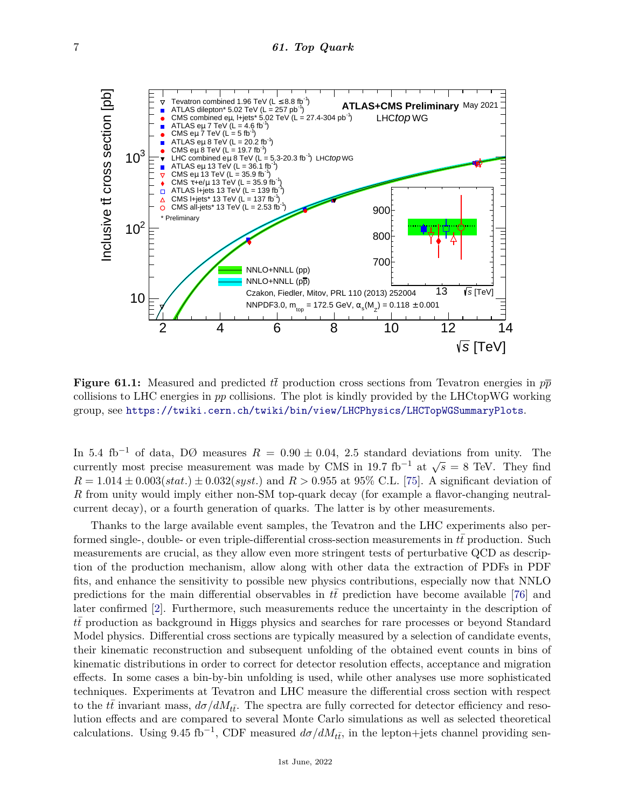

**Figure 61.1:** Measured and predicted  $t\bar{t}$  production cross sections from Tevatron energies in  $p\bar{p}$ collisions to LHC energies in *pp* collisions. The plot is kindly provided by the LHCtopWG working group, see <https://twiki.cern.ch/twiki/bin/view/LHCPhysics/LHCTopWGSummaryPlots>.

In 5.4 fb<sup>-1</sup> of data, DØ measures  $R = 0.90 \pm 0.04$ , 2.5 standard deviations from unity. The currently most precise measurement was made by CMS in 19.7 fb<sup>-1</sup> at  $\sqrt{s} = 8$  TeV. They find  $R = 1.014 \pm 0.003(stat.) \pm 0.032(syst.)$  and  $R > 0.955$  at 95% C.L. [\[75\]](#page-38-10). A significant deviation of *R* from unity would imply either non-SM top-quark decay (for example a flavor-changing neutralcurrent decay), or a fourth generation of quarks. The latter is by other measurements.

Thanks to the large available event samples, the Tevatron and the LHC experiments also performed single-, double- or even triple-differential cross-section measurements in  $t\bar{t}$  production. Such measurements are crucial, as they allow even more stringent tests of perturbative QCD as description of the production mechanism, allow along with other data the extraction of PDFs in PDF fits, and enhance the sensitivity to possible new physics contributions, especially now that NNLO predictions for the main differential observables in  $t\bar{t}$  prediction have become available [\[76\]](#page-38-11) and later confirmed [\[2\]](#page-36-1). Furthermore, such measurements reduce the uncertainty in the description of *tt*¯ production as background in Higgs physics and searches for rare processes or beyond Standard Model physics. Differential cross sections are typically measured by a selection of candidate events, their kinematic reconstruction and subsequent unfolding of the obtained event counts in bins of kinematic distributions in order to correct for detector resolution effects, acceptance and migration effects. In some cases a bin-by-bin unfolding is used, while other analyses use more sophisticated techniques. Experiments at Tevatron and LHC measure the differential cross section with respect to the  $t\bar{t}$  invariant mass,  $d\sigma/dM_{t\bar{t}}$ . The spectra are fully corrected for detector efficiency and resolution effects and are compared to several Monte Carlo simulations as well as selected theoretical calculations. Using 9.45 fb<sup>-1</sup>, CDF measured  $d\sigma/dM_{t\bar{t}}$ , in the lepton+jets channel providing sen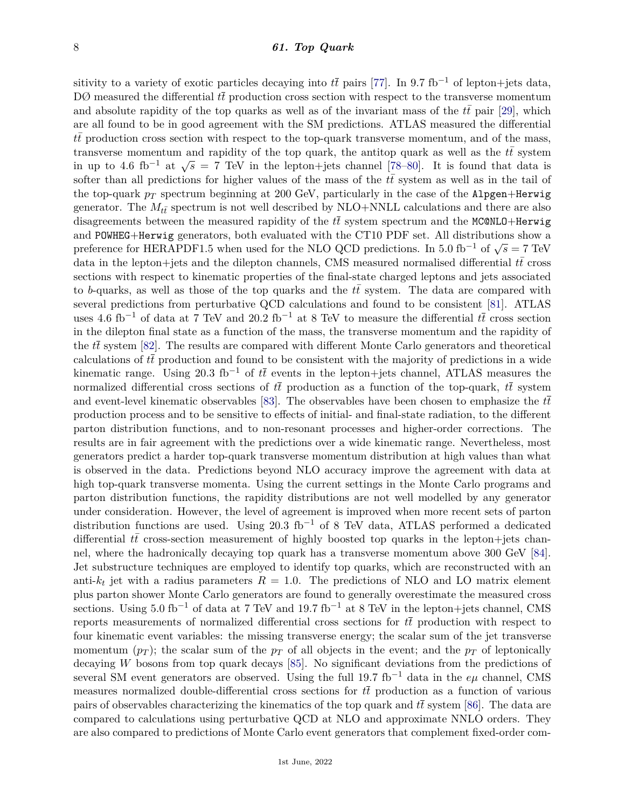sitivity to a variety of exotic particles decaying into  $t\bar{t}$  pairs [\[77\]](#page-38-12). In 9.7 fb<sup>-1</sup> of lepton+jets data,  $D\mathcal{O}$  measured the differential  $t\bar{t}$  production cross section with respect to the transverse momentum and absolute rapidity of the top quarks as well as of the invariant mass of the  $tt$  pair [\[29\]](#page-37-0), which are all found to be in good agreement with the SM predictions. ATLAS measured the differential  $t\bar{t}$  production cross section with respect to the top-quark transverse momentum, and of the mass, transverse momentum and rapidity of the top quark, the antitop quark as well as the  $t\bar{t}$  system is answerst indication and rapidity of the top quark, the anthop quark as wen as the *tt* system<br>in up to 4.6 fb<sup>-1</sup> at  $\sqrt{s}$  = 7 TeV in the lepton+jets channel [\[78–](#page-38-13)[80\]](#page-38-14). It is found that data is softer than all predictions for higher values of the mass of the  $t\bar{t}$  system as well as in the tail of the top-quark *p<sup>T</sup>* spectrum beginning at 200 GeV, particularly in the case of the Alpgen+Herwig generator. The  $M_{t\bar{t}}$  spectrum is not well described by NLO+NNLL calculations and there are also disagreements between the measured rapidity of the  $t\bar{t}$  system spectrum and the MC@NLO+Herwig and POWHEG+Herwig generators, both evaluated with the CT10 PDF set. All distributions show a preference for HERAPDF1.5 when used for the NLO QCD predictions. In 5.0 fb<sup>-1</sup> of  $\sqrt{s} = 7$  TeV data in the lepton+jets and the dilepton channels, CMS measured normalised differential  $t\bar{t}$  cross sections with respect to kinematic properties of the final-state charged leptons and jets associated to *b*-quarks, as well as those of the top quarks and the  $t\bar{t}$  system. The data are compared with several predictions from perturbative QCD calculations and found to be consistent [\[81\]](#page-38-15). ATLAS uses 4.6 fb<sup>-1</sup> of data at 7 TeV and 20.2 fb<sup>-1</sup> at 8 TeV to measure the differential  $t\bar{t}$  cross section in the dilepton final state as a function of the mass, the transverse momentum and the rapidity of the  $t\bar{t}$  system [\[82\]](#page-38-16). The results are compared with different Monte Carlo generators and theoretical calculations of  $t\bar{t}$  production and found to be consistent with the majority of predictions in a wide kinematic range. Using 20.3 fb<sup>-1</sup> of  $t\bar{t}$  events in the lepton+jets channel, ATLAS measures the normalized differential cross sections of  $t\bar{t}$  production as a function of the top-quark,  $t\bar{t}$  system and event-level kinematic observables [\[83\]](#page-38-17). The observables have been chosen to emphasize the  $t\bar{t}$ production process and to be sensitive to effects of initial- and final-state radiation, to the different parton distribution functions, and to non-resonant processes and higher-order corrections. The results are in fair agreement with the predictions over a wide kinematic range. Nevertheless, most generators predict a harder top-quark transverse momentum distribution at high values than what is observed in the data. Predictions beyond NLO accuracy improve the agreement with data at high top-quark transverse momenta. Using the current settings in the Monte Carlo programs and parton distribution functions, the rapidity distributions are not well modelled by any generator under consideration. However, the level of agreement is improved when more recent sets of parton distribution functions are used. Using 20*.*3 fb−<sup>1</sup> of 8 TeV data, ATLAS performed a dedicated differential  $t\bar{t}$  cross-section measurement of highly boosted top quarks in the lepton+jets channel, where the hadronically decaying top quark has a transverse momentum above 300 GeV [\[84\]](#page-38-18). Jet substructure techniques are employed to identify top quarks, which are reconstructed with an anti- $k_t$  jet with a radius parameters  $R = 1.0$ . The predictions of NLO and LO matrix element plus parton shower Monte Carlo generators are found to generally overestimate the measured cross sections. Using 5.0 fb<sup>-1</sup> of data at 7 TeV and 19.7 fb<sup>-1</sup> at 8 TeV in the lepton+jets channel, CMS reports measurements of normalized differential cross sections for  $t\bar{t}$  production with respect to four kinematic event variables: the missing transverse energy; the scalar sum of the jet transverse momentum  $(p_T)$ ; the scalar sum of the  $p_T$  of all objects in the event; and the  $p_T$  of leptonically decaying *W* bosons from top quark decays [\[85\]](#page-38-19). No significant deviations from the predictions of several SM event generators are observed. Using the full 19.7 fb<sup>-1</sup> data in the  $e\mu$  channel, CMS measures normalized double-differential cross sections for  $t\bar{t}$  production as a function of various pairs of observables characterizing the kinematics of the top quark and  $t\bar{t}$  system [\[86\]](#page-38-20). The data are compared to calculations using perturbative QCD at NLO and approximate NNLO orders. They are also compared to predictions of Monte Carlo event generators that complement fixed-order com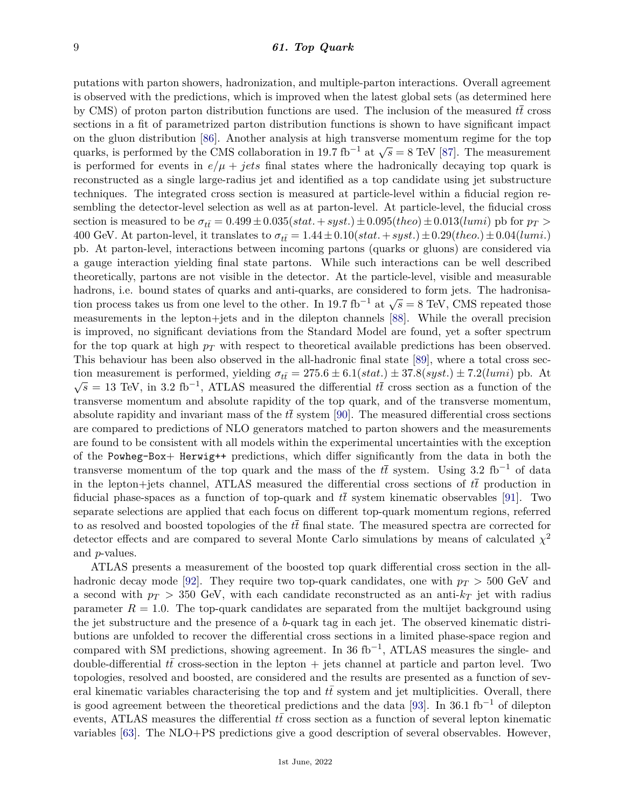putations with parton showers, hadronization, and multiple-parton interactions. Overall agreement is observed with the predictions, which is improved when the latest global sets (as determined here by CMS) of proton parton distribution functions are used. The inclusion of the measured  $t\bar{t}$  cross sections in a fit of parametrized parton distribution functions is shown to have significant impact on the gluon distribution [\[86\]](#page-38-20). Another analysis at high transverse momentum regime for the top on the gluon distribution [ov]. Another analysis at high transverse momentum regime for the top quarks, is performed by the CMS collaboration in 19.7 fb<sup>-1</sup> at  $\sqrt{s} = 8$  TeV [\[87\]](#page-38-21). The measurement is performed for events in  $e/\mu + jets$  final states where the hadronically decaying top quark is reconstructed as a single large-radius jet and identified as a top candidate using jet substructure techniques. The integrated cross section is measured at particle-level within a fiducial region resembling the detector-level selection as well as at parton-level. At particle-level, the fiducial cross section is measured to be  $\sigma_{t\bar{t}} = 0.499 \pm 0.035(stat.+syst.) \pm 0.095(theo) \pm 0.013(lumi)$  pb for  $p_T >$ 400 GeV. At parton-level, it translates to  $\sigma_{t\bar{t}} = 1.44 \pm 0.10(stat.+syst.) \pm 0.29(theo.) \pm 0.04(lumi.)$ pb. At parton-level, interactions between incoming partons (quarks or gluons) are considered via a gauge interaction yielding final state partons. While such interactions can be well described theoretically, partons are not visible in the detector. At the particle-level, visible and measurable hadrons, i.e. bound states of quarks and anti-quarks, are considered to form jets. The hadronisation process takes us from one level to the other. In 19.7 fb<sup>-1</sup> at  $\sqrt{s} = 8$  TeV, CMS repeated those measurements in the lepton+jets and in the dilepton channels [\[88\]](#page-38-22). While the overall precision is improved, no significant deviations from the Standard Model are found, yet a softer spectrum for the top quark at high *p<sup>T</sup>* with respect to theoretical available predictions has been observed. This behaviour has been also observed in the all-hadronic final state [\[89\]](#page-38-23), where a total cross section measurement is performed, yielding  $\sigma_{t\bar{t}} = 275.6 \pm 6.1(stat.) \pm 37.8(syst.) \pm 7.2(lumi)$  pb. At  $\overline{s} = 13$  TeV, in 3.2 fb<sup>-1</sup>, ATLAS measured the differential  $t\overline{t}$  cross section as a function of the transverse momentum and absolute rapidity of the top quark, and of the transverse momentum, absolute rapidity and invariant mass of the  $t\bar{t}$  system [\[90\]](#page-38-24). The measured differential cross sections are compared to predictions of NLO generators matched to parton showers and the measurements are found to be consistent with all models within the experimental uncertainties with the exception of the Powheg-Box+ Herwig++ predictions, which differ significantly from the data in both the transverse momentum of the top quark and the mass of the  $t\bar{t}$  system. Using 3.2 fb<sup>-1</sup> of data in the lepton+jets channel, ATLAS measured the differential cross sections of  $t\bar{t}$  production in fiducial phase-spaces as a function of top-quark and  $t\bar{t}$  system kinematic observables [\[91\]](#page-38-25). Two separate selections are applied that each focus on different top-quark momentum regions, referred to as resolved and boosted topologies of the  $t\bar{t}$  final state. The measured spectra are corrected for detector effects and are compared to several Monte Carlo simulations by means of calculated  $\chi^2$ and *p*-values.

ATLAS presents a measurement of the boosted top quark differential cross section in the all-hadronic decay mode [\[92\]](#page-38-26). They require two top-quark candidates, one with  $p_T > 500$  GeV and a second with  $p_T > 350$  GeV, with each candidate reconstructed as an anti- $k_T$  jet with radius parameter  $R = 1.0$ . The top-quark candidates are separated from the multijet background using the jet substructure and the presence of a *b*-quark tag in each jet. The observed kinematic distributions are unfolded to recover the differential cross sections in a limited phase-space region and compared with SM predictions, showing agreement. In 36 fb<sup>-1</sup>, ATLAS measures the single- and double-differential  $t\bar{t}$  cross-section in the lepton + jets channel at particle and parton level. Two topologies, resolved and boosted, are considered and the results are presented as a function of several kinematic variables characterising the top and  $t\bar{t}$  system and jet multiplicities. Overall, there is good agreement between the theoretical predictions and the data [\[93\]](#page-38-27). In 36*.*1 fb−<sup>1</sup> of dilepton events, ATLAS measures the differential  $t\bar{t}$  cross section as a function of several lepton kinematic variables [\[63\]](#page-37-34). The NLO+PS predictions give a good description of several observables. However,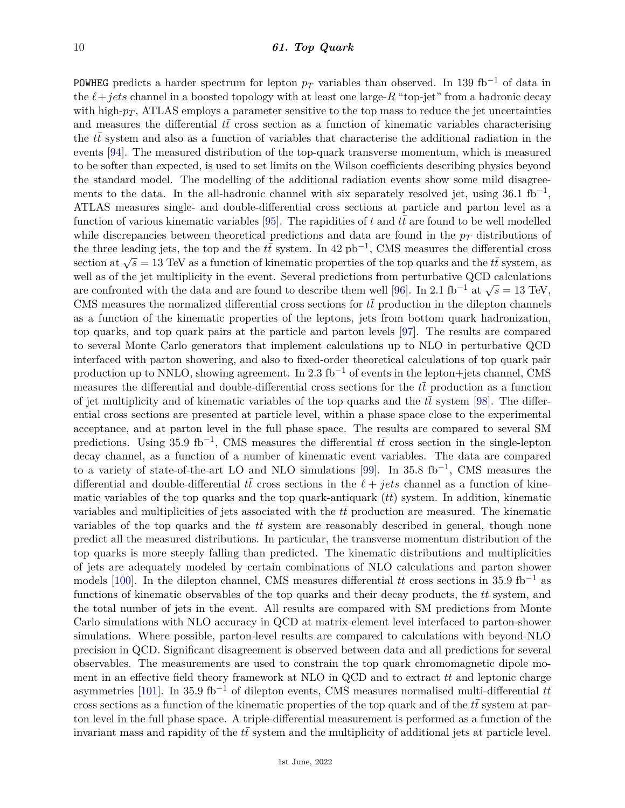POWHEG predicts a harder spectrum for lepton  $p_T$  variables than observed. In 139 fb<sup>-1</sup> of data in the  $\ell$ + jets channel in a boosted topology with at least one large-*R* "top-jet" from a hadronic decay with high- $p_T$ , ATLAS employs a parameter sensitive to the top mass to reduce the jet uncertainties and measures the differential  $t\bar{t}$  cross section as a function of kinematic variables characterising the *tt* system and also as a function of variables that characterise the additional radiation in the events [\[94\]](#page-38-28). The measured distribution of the top-quark transverse momentum, which is measured to be softer than expected, is used to set limits on the Wilson coefficients describing physics beyond the standard model. The modelling of the additional radiation events show some mild disagreements to the data. In the all-hadronic channel with six separately resolved jet, using  $36.1 \text{ fb}^{-1}$ , ATLAS measures single- and double-differential cross sections at particle and parton level as a function of various kinematic variables  $[95]$ . The rapidities of t and the refound to be well modelled while discrepancies between theoretical predictions and data are found in the *p<sup>T</sup>* distributions of the three leading jets, the top and the  $t\bar{t}$  system. In 42 pb<sup>-1</sup>, CMS measures the differential cross section at  $\sqrt{s} = 13$  TeV as a function of kinematic properties of the top quarks and the *tt* system, as well as of the jet multiplicity in the event. Several predictions from perturbative QCD calculations wen as or the jet multiplicity in the event. Several predictions from perturbative  $\zeta$ CD calculations are confronted with the data and are found to describe them well [\[96\]](#page-38-30). In 2.1 fb<sup>-1</sup> at  $\sqrt{s} = 13$  TeV, CMS measures the normalized differential cross sections for  $t\bar{t}$  production in the dilepton channels as a function of the kinematic properties of the leptons, jets from bottom quark hadronization, top quarks, and top quark pairs at the particle and parton levels [\[97\]](#page-38-31). The results are compared to several Monte Carlo generators that implement calculations up to NLO in perturbative QCD interfaced with parton showering, and also to fixed-order theoretical calculations of top quark pair production up to NNLO, showing agreement. In 2*.*3 fb−<sup>1</sup> of events in the lepton+jets channel, CMS measures the differential and double-differential cross sections for the  $t\bar{t}$  production as a function of jet multiplicity and of kinematic variables of the top quarks and the  $t\bar{t}$  system [\[98\]](#page-38-32). The differential cross sections are presented at particle level, within a phase space close to the experimental acceptance, and at parton level in the full phase space. The results are compared to several SM predictions. Using 35.9 fb<sup>-1</sup>, CMS measures the differential  $t\bar{t}$  cross section in the single-lepton decay channel, as a function of a number of kinematic event variables. The data are compared to a variety of state-of-the-art LO and NLO simulations [\[99\]](#page-38-33). In 35*.*8 fb−<sup>1</sup> , CMS measures the differential and double-differential  $t\bar{t}$  cross sections in the  $\ell + jets$  channel as a function of kinematic variables of the top quarks and the top quark-antiquark  $(tt)$  system. In addition, kinematic variables and multiplicities of jets associated with the *tt* production are measured. The kinematic variables of the top quarks and the *tt* system are reasonably described in general, though none predict all the measured distributions. In particular, the transverse momentum distribution of the top quarks is more steeply falling than predicted. The kinematic distributions and multiplicities of jets are adequately modeled by certain combinations of NLO calculations and parton shower models [\[100\]](#page-38-34). In the dilepton channel, CMS measures differential  $t\bar{t}$  cross sections in 35.9 fb<sup>-1</sup> as functions of kinematic observables of the top quarks and their decay products, the  $t\bar{t}$  system, and the total number of jets in the event. All results are compared with SM predictions from Monte Carlo simulations with NLO accuracy in QCD at matrix-element level interfaced to parton-shower simulations. Where possible, parton-level results are compared to calculations with beyond-NLO precision in QCD. Significant disagreement is observed between data and all predictions for several observables. The measurements are used to constrain the top quark chromomagnetic dipole moment in an effective field theory framework at NLO in QCD and to extract *tt* and leptonic charge asymmetries [\[101\]](#page-38-35). In 35.9 fb<sup>-1</sup> of dilepton events, CMS measures normalised multi-differential  $t\bar{t}$ cross sections as a function of the kinematic properties of the top quark and of the  $t\bar{t}$  system at parton level in the full phase space. A triple-differential measurement is performed as a function of the invariant mass and rapidity of the *tt* system and the multiplicity of additional jets at particle level.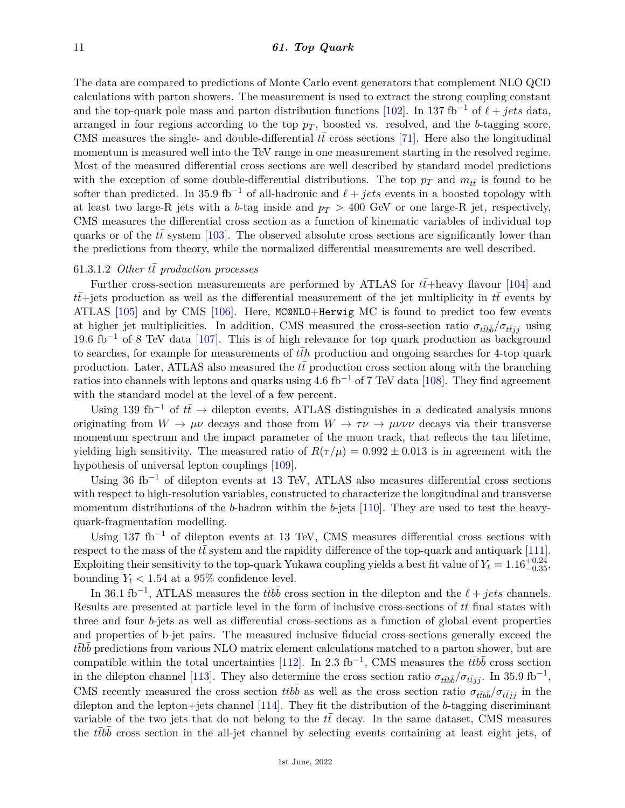The data are compared to predictions of Monte Carlo event generators that complement NLO QCD calculations with parton showers. The measurement is used to extract the strong coupling constant and the top-quark pole mass and parton distribution functions [\[102\]](#page-39-0). In 137 fb<sup>-1</sup> of  $\ell + jets$  data, arranged in four regions according to the top  $p<sub>T</sub>$ , boosted vs. resolved, and the *b*-tagging score, CMS measures the single- and double-differential  $t\bar{t}$  cross sections [\[71\]](#page-38-6). Here also the longitudinal momentum is measured well into the TeV range in one measurement starting in the resolved regime. Most of the measured differential cross sections are well described by standard model predictions with the exception of some double-differential distributions. The top  $p_T$  and  $m_{t\bar{t}}$  is found to be softer than predicted. In 35.9 fb<sup>-1</sup> of all-hadronic and  $\ell + jets$  events in a boosted topology with at least two large-R jets with a *b*-tag inside and  $p_T > 400$  GeV or one large-R jet, respectively, CMS measures the differential cross section as a function of kinematic variables of individual top quarks or of the  $t\bar{t}$  system [\[103\]](#page-39-1). The observed absolute cross sections are significantly lower than the predictions from theory, while the normalized differential measurements are well described.

## 61.3.1.2 *Other tt*¯ *production processes*

Further cross-section measurements are performed by ATLAS for  $t\bar{t}$ +heavy flavour [\[104\]](#page-39-2) and  $t\bar{t}$ +jets production as well as the differential measurement of the jet multiplicity in  $t\bar{t}$  events by ATLAS [\[105\]](#page-39-3) and by CMS [\[106\]](#page-39-4). Here, MC@NLO+Herwig MC is found to predict too few events at higher jet multiplicities. In addition, CMS measured the cross-section ratio  $\sigma_{t\bar{t}b\bar{b}}/\sigma_{t\bar{t}jj}$  using 19*.*6 fb−<sup>1</sup> of 8 TeV data [\[107\]](#page-39-5). This is of high relevance for top quark production as background to searches, for example for measurements of  $t\bar{t}h$  production and ongoing searches for 4-top quark production. Later, ATLAS also measured the  $t\bar{t}$  production cross section along with the branching ratios into channels with leptons and quarks using 4*.*6 fb−<sup>1</sup> of 7 TeV data [\[108\]](#page-39-6). They find agreement with the standard model at the level of a few percent.

Using 139 fb<sup>-1</sup> of  $t\bar{t}$  → dilepton events, ATLAS distinguishes in a dedicated analysis muons originating from  $W \to \mu\nu$  decays and those from  $W \to \tau\nu \to \mu\nu\nu\nu\nu$  decays via their transverse momentum spectrum and the impact parameter of the muon track, that reflects the tau lifetime, yielding high sensitivity. The measured ratio of  $R(\tau/\mu) = 0.992 \pm 0.013$  is in agreement with the hypothesis of universal lepton couplings [\[109\]](#page-39-7).

Using 36 fb−<sup>1</sup> of dilepton events at 13 TeV, ATLAS also measures differential cross sections with respect to high-resolution variables, constructed to characterize the longitudinal and transverse momentum distributions of the *b*-hadron within the *b*-jets [\[110\]](#page-39-8). They are used to test the heavyquark-fragmentation modelling.

Using 137 fb<sup>-1</sup> of dilepton events at 13 TeV, CMS measures differential cross sections with respect to the mass of the  $t\bar{t}$  system and the rapidity difference of the top-quark and antiquark [\[111\]](#page-39-9). Exploiting their sensitivity to the top-quark Yukawa coupling yields a best fit value of  $Y_t = 1.16_{-0.35}^{+0.24}$ , bounding  $Y_t < 1.54$  at a 95% confidence level.

In 36.1 fb<sup>-1</sup>, ATLAS measures the  $t\bar{t}b\bar{b}$  cross section in the dilepton and the  $\ell + jets$  channels. Results are presented at particle level in the form of inclusive cross-sections of  $t\bar{t}$  final states with three and four *b*-jets as well as differential cross-sections as a function of global event properties and properties of b-jet pairs. The measured inclusive fiducial cross-sections generally exceed the  $t\bar{t}bb$  predictions from various NLO matrix element calculations matched to a parton shower, but are compatible within the total uncertainties [\[112\]](#page-39-10). In 2.3 fb<sup>-1</sup>, CMS measures the  $t\bar{t}b\bar{b}$  cross section in the dilepton channel [\[113\]](#page-39-11). They also determine the cross section ratio  $\sigma_{t\bar{t}b\bar{b}}/\sigma_{t\bar{t}jj}$ . In 35.9 fb<sup>-1</sup>, CMS recently measured the cross section  $t\bar{t}b\bar{b}$  as well as the cross section ratio  $\sigma_{t\bar{t}b\bar{b}}/\sigma_{t\bar{t}jj}$  in the dilepton and the lepton+jets channel [\[114\]](#page-39-12). They fit the distribution of the *b*-tagging discriminant variable of the two jets that do not belong to the  $t\bar{t}$  decay. In the same dataset, CMS measures the *ttbb* cross section in the all-jet channel by selecting events containing at least eight jets, of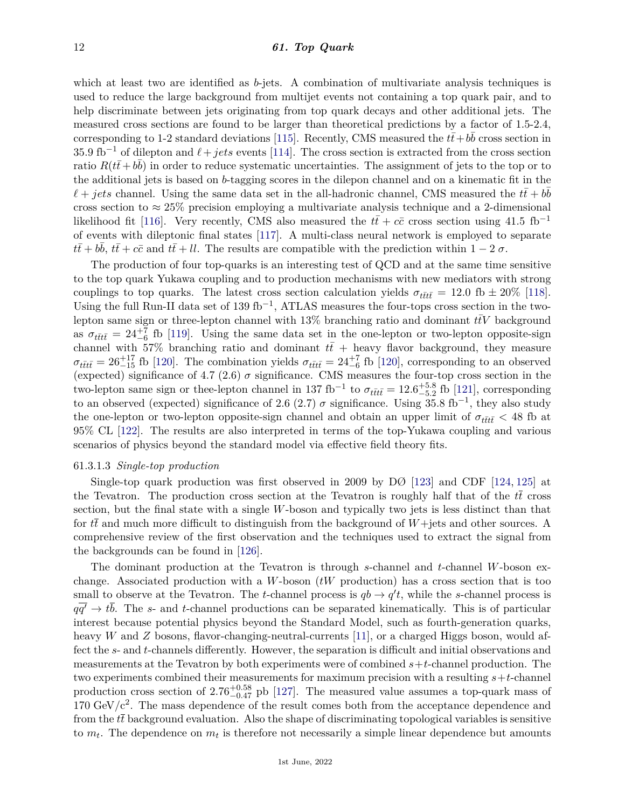which at least two are identified as *b*-jets. A combination of multivariate analysis techniques is used to reduce the large background from multijet events not containing a top quark pair, and to help discriminate between jets originating from top quark decays and other additional jets. The measured cross sections are found to be larger than theoretical predictions by a factor of 1.5-2.4, corresponding to 1-2 standard deviations [\[115\]](#page-39-13). Recently, CMS measured the  $t\bar{t}+b\bar{b}$  cross section in 35.9 fb<sup>-1</sup> of dilepton and  $\ell$  + *jets* events [\[114\]](#page-39-12). The cross section is extracted from the cross section ratio  $R(t\bar{t}+ b\bar{b})$  in order to reduce systematic uncertainties. The assignment of jets to the top or to the additional jets is based on *b*-tagging scores in the dilepon channel and on a kinematic fit in the  $\ell + jets$  channel. Using the same data set in the all-hadronic channel, CMS measured the  $t\bar{t} + b\bar{b}$ cross section to  $\approx 25\%$  precision employing a multivariate analysis technique and a 2-dimensional likelihood fit [\[116\]](#page-39-14). Very recently, CMS also measured the  $t\bar{t}$  +  $c\bar{c}$  cross section using 41.5 fb<sup>-1</sup> of events with dileptonic final states [\[117\]](#page-39-15). A multi-class neural network is employed to separate  $t\bar{t}$  + *b***b**,  $t\bar{t}$  + *cc*<sup> $\bar{c}$ </sup> and  $t\bar{t}$  + *ll*. The results are compatible with the prediction within 1 − 2  $\sigma$ .

The production of four top-quarks is an interesting test of QCD and at the same time sensitive to the top quark Yukawa coupling and to production mechanisms with new mediators with strong couplings to top quarks. The latest cross section calculation yields  $\sigma_{\tilde{t}\tilde{t}\tilde{t}\tilde{t}} = 12.0 \text{ fb} \pm 20\%$  [\[118\]](#page-39-16). Using the full Run-II data set of 139 fb<sup>-1</sup>, ATLAS measures the four-tops cross section in the twolepton same sign or three-lepton channel with 13% branching ratio and dominant  $\bar{t}$ V background as  $\sigma_{t\bar{t}t\bar{t}} = 24^{+7}_{-6}$  fb [\[119\]](#page-39-17). Using the same data set in the one-lepton or two-lepton opposite-sign as  $\sigma_{t\bar{t}t\bar{t}} = 24_{-6}$  to [119]. Using the same data set in the one-lepton of two-lepton opposite-sign channel with 57% branching ratio and dominant  $t\bar{t}$  + heavy flavor background, they measure  $\sigma_{t\bar{t}t\bar{t}} = 26^{+17}_{-15}$  fb [\[120\]](#page-39-18). The combination yields  $\sigma_{t\bar{t}t\bar{t}} = 24^{+7}_{-6}$  fb [120], corresponding to an observed (expected) significance of 4.7 (2.6)  $\sigma$  significance. CMS measures the four-top cross section in the two-lepton same sign or the e-lepton channel in 137 fb<sup>-1</sup> to  $\sigma_{t\bar{t}t\bar{t}} = 12.6^{+5.8}_{-5.2}$  fb [\[121\]](#page-39-19), corresponding to an observed (expected) significance of 2.6 (2.7)  $\sigma$  significance. Using 35.8 fb<sup>-1</sup>, they also study the one-lepton or two-lepton opposite-sign channel and obtain an upper limit of  $\sigma_{t\bar{t}t\bar{t}}$  < 48 fb at 95% CL [\[122\]](#page-39-20). The results are also interpreted in terms of the top-Yukawa coupling and various scenarios of physics beyond the standard model via effective field theory fits.

#### 61.3.1.3 *Single-top production*

Single-top quark production was first observed in 2009 by DØ [\[123\]](#page-39-21) and CDF [\[124,](#page-39-22) [125\]](#page-39-23) at the Tevatron. The production cross section at the Tevatron is roughly half that of the  $t\bar{t}$  cross section, but the final state with a single *W*-boson and typically two jets is less distinct than that for *tt* and much more difficult to distinguish from the background of *W*+jets and other sources. A comprehensive review of the first observation and the techniques used to extract the signal from the backgrounds can be found in [\[126\]](#page-39-24).

The dominant production at the Tevatron is through *s*-channel and *t*-channel *W*-boson exchange. Associated production with a *W*-boson (*tW* production) has a cross section that is too small to observe at the Tevatron. The *t*-channel process is  $q b \rightarrow q' t$ , while the *s*-channel process is  $q\overline{q'} \rightarrow t\overline{b}$ . The *s*- and *t*-channel productions can be separated kinematically. This is of particular interest because potential physics beyond the Standard Model, such as fourth-generation quarks, heavy *W* and *Z* bosons, flavor-changing-neutral-currents [\[11\]](#page-36-10), or a charged Higgs boson, would affect the *s*- and *t*-channels differently. However, the separation is difficult and initial observations and measurements at the Tevatron by both experiments were of combined *s*+*t*-channel production. The two experiments combined their measurements for maximum precision with a resulting *s*+*t*-channel production cross section of  $2.76^{+0.58}_{-0.47}$  pb [\[127\]](#page-39-25). The measured value assumes a top-quark mass of  $170 \text{ GeV}/c^2$ . The mass dependence of the result comes both from the acceptance dependence and from the  $t\bar{t}$  background evaluation. Also the shape of discriminating topological variables is sensitive to  $m_t$ . The dependence on  $m_t$  is therefore not necessarily a simple linear dependence but amounts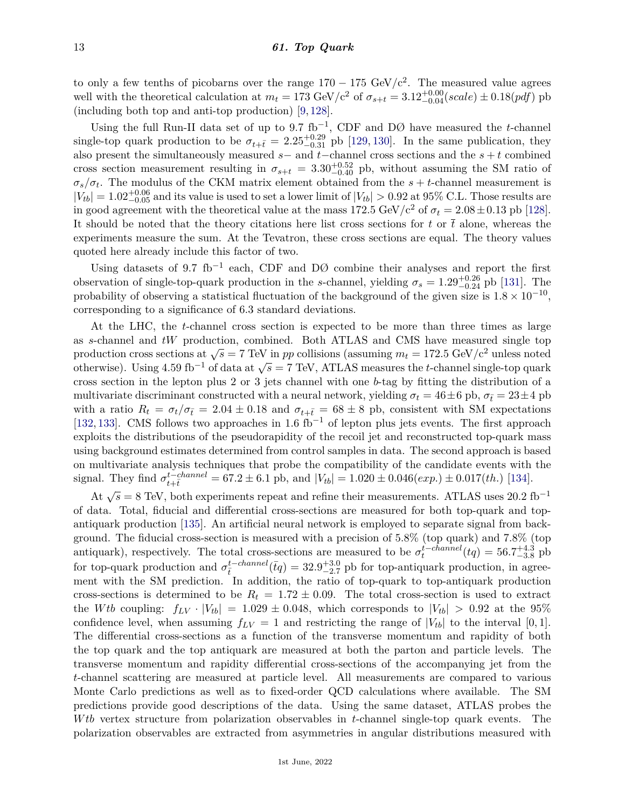to only a few tenths of picobarns over the range  $170 - 175 \text{ GeV}/c^2$ . The measured value agrees well with the theoretical calculation at  $m_t = 173 \text{ GeV}/c^2$  of  $\sigma_{s+t} = 3.12^{+0.00}_{-0.04}(scale) \pm 0.18 (pdf)$  pb (including both top and anti-top production) [\[9,](#page-36-8) [128\]](#page-39-26).

Using the full Run-II data set of up to 9.7 fb<sup>-1</sup>, CDF and DØ have measured the *t*-channel single-top quark production to be  $\sigma_{t+\bar{t}} = 2.25_{-0.31}^{+0.29}$  pb [\[129,](#page-39-27) [130\]](#page-39-28). In the same publication, they also present the simultaneously measured *s*− and *t*−channel cross sections and the *s* + *t* combined cross section measurement resulting in  $\sigma_{s+t} = 3.30^{+0.52}_{-0.40}$  pb, without assuming the SM ratio of  $\sigma_s/\sigma_t$ . The modulus of the CKM matrix element obtained from the  $s + t$ -channel measurement is  $|V_{tb}| = 1.02_{-0.05}^{+0.06}$  and its value is used to set a lower limit of  $|V_{tb}| > 0.92$  at 95% C.L. Those results are in good agreement with the theoretical value at the mass  $172.5 \text{ GeV/c}^2$  of  $\sigma_t = 2.08 \pm 0.13 \text{ pb}$  [\[128\]](#page-39-26). It should be noted that the theory citations here list cross sections for  $t$  or  $\bar{t}$  alone, whereas the experiments measure the sum. At the Tevatron, these cross sections are equal. The theory values quoted here already include this factor of two.

Using datasets of 9.7 fb<sup>-1</sup> each, CDF and DØ combine their analyses and report the first observation of single-top-quark production in the *s*-channel, yielding  $\sigma_s = 1.29^{+0.26}_{-0.24}$  pb [\[131\]](#page-39-29). The probability of observing a statistical fluctuation of the background of the given size is  $1.8 \times 10^{-10}$ , corresponding to a significance of 6.3 standard deviations.

At the LHC, the *t*-channel cross section is expected to be more than three times as large as *s*-channel and *tW* production, combined. Both ATLAS and CMS have measured single top production cross sections at  $\sqrt{s} = 7$  TeV in *pp* collisions (assuming  $m_t = 172.5$  GeV/ $c^2$  unless noted production cross sections at  $\sqrt{s} = 7$  TeV in pp consions (assuming  $m_t = 172.5$  GeV/c unless noted otherwise). Using 4.59 fb<sup>-1</sup> of data at  $\sqrt{s} = 7$  TeV, ATLAS measures the *t*-channel single-top quark cross section in the lepton plus 2 or 3 jets channel with one *b*-tag by fitting the distribution of a multivariate discriminant constructed with a neural network, yielding  $\sigma_t = 46 \pm 6$  pb,  $\sigma_{\bar{t}} = 23 \pm 4$  pb with a ratio  $R_t = \sigma_t/\sigma_{\bar{t}} = 2.04 \pm 0.18$  and  $\sigma_{t+\bar{t}} = 68 \pm 8$  pb, consistent with SM expectations [\[132,](#page-39-30) [133\]](#page-39-31). CMS follows two approaches in 1.6 fb<sup>-1</sup> of lepton plus jets events. The first approach exploits the distributions of the pseudorapidity of the recoil jet and reconstructed top-quark mass using background estimates determined from control samples in data. The second approach is based on multivariate analysis techniques that probe the compatibility of the candidate events with the signal. They find  $\sigma_{t+\bar{t}}^{t-channel} = 67.2 \pm 6.1$  pb, and  $|V_{tb}| = 1.020 \pm 0.046(exp.) \pm 0.017(th.)$  [\[134\]](#page-39-32).

At  $\sqrt{s} = 8$  TeV, both experiments repeat and refine their measurements. ATLAS uses 20.2 fb<sup>-1</sup> of data. Total, fiducial and differential cross-sections are measured for both top-quark and topantiquark production [\[135\]](#page-39-33). An artificial neural network is employed to separate signal from background. The fiducial cross-section is measured with a precision of 5.8% (top quark) and 7.8% (top antiquark), respectively. The total cross-sections are measured to be  $\sigma_t^{t-channel}(tq) = 56.7^{+4.3}_{-3.8}$  pb for top-quark production and  $\sigma_{\bar{t}}^{t-channel}(\bar{t}q) = 32.9^{+3.0}_{-2.7}$  pb for top-antiquark production, in agreement with the SM prediction. In addition, the ratio of top-quark to top-antiquark production cross-sections is determined to be  $R_t = 1.72 \pm 0.09$ . The total cross-section is used to extract the *Wtb* coupling:  $f_{LV} \cdot |V_{tb}| = 1.029 \pm 0.048$ , which corresponds to  $|V_{tb}| > 0.92$  at the 95% confidence level, when assuming  $f_{LV} = 1$  and restricting the range of  $|V_{tb}|$  to the interval [0, 1]. The differential cross-sections as a function of the transverse momentum and rapidity of both the top quark and the top antiquark are measured at both the parton and particle levels. The transverse momentum and rapidity differential cross-sections of the accompanying jet from the *t*-channel scattering are measured at particle level. All measurements are compared to various Monte Carlo predictions as well as to fixed-order QCD calculations where available. The SM predictions provide good descriptions of the data. Using the same dataset, ATLAS probes the *W tb* vertex structure from polarization observables in *t*-channel single-top quark events. The polarization observables are extracted from asymmetries in angular distributions measured with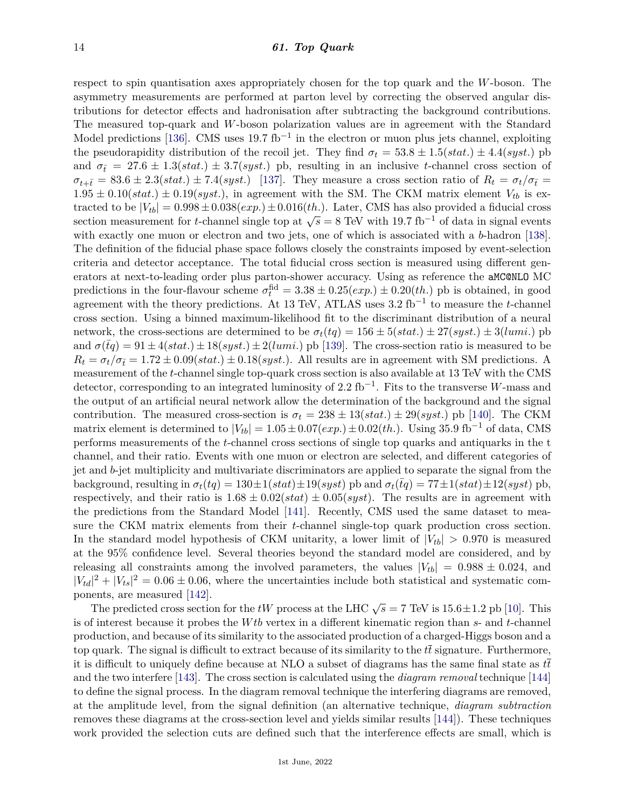respect to spin quantisation axes appropriately chosen for the top quark and the *W*-boson. The asymmetry measurements are performed at parton level by correcting the observed angular distributions for detector effects and hadronisation after subtracting the background contributions. The measured top-quark and *W*-boson polarization values are in agreement with the Standard Model predictions [\[136\]](#page-39-34). CMS uses 19*.*7 fb−<sup>1</sup> in the electron or muon plus jets channel, exploiting the pseudorapidity distribution of the recoil jet. They find  $\sigma_t = 53.8 \pm 1.5(stat.) \pm 4.4(syst.)$  pb and  $\sigma_{\bar{t}} = 27.6 \pm 1.3(stat.) \pm 3.7(syst.)$  pb, resulting in an inclusive *t*-channel cross section of  $\sigma_{t+\bar{t}} = 83.6 \pm 2.3(stat.) \pm 7.4(syst.)$  [\[137\]](#page-40-0). They measure a cross section ratio of  $R_t = \sigma_t/\sigma_{\bar{t}} =$  $1.95 \pm 0.10(stat.) \pm 0.19(syst.)$ , in agreement with the SM. The CKM matrix element  $V_{tb}$  is extracted to be  $|V_{tb}| = 0.998 \pm 0.038(exp.) \pm 0.016(th.).$  Later, CMS has also provided a fiducial cross section measurement for *t*-channel single top at  $\sqrt{s} = 8$  TeV with 19.7 fb<sup>-1</sup> of data in signal events with exactly one muon or electron and two jets, one of which is associated with a *b*-hadron [\[138\]](#page-40-1). The definition of the fiducial phase space follows closely the constraints imposed by event-selection criteria and detector acceptance. The total fiducial cross section is measured using different generators at next-to-leading order plus parton-shower accuracy. Using as reference the aMC@NLO MC predictions in the four-flavour scheme  $\sigma_t^{\text{fid}} = 3.38 \pm 0.25(exp.) \pm 0.20(th.)$  pb is obtained, in good agreement with the theory predictions. At 13 TeV, ATLAS uses 3*.*2 fb−<sup>1</sup> to measure the *t*-channel cross section. Using a binned maximum-likelihood fit to the discriminant distribution of a neural network, the cross-sections are determined to be  $\sigma_t(tq) = 156 \pm 5(stat.) \pm 27(syst.) \pm 3(lumi.)$  pb and  $\sigma(tq) = 91 \pm 4(stat.) \pm 18(syst.) \pm 2(lumi.)$  pb [\[139\]](#page-40-2). The cross-section ratio is measured to be  $R_t = \sigma_t/\sigma_{\bar{t}} = 1.72 \pm 0.09(stat.) \pm 0.18(syst.).$  All results are in agreement with SM predictions. A measurement of the *t*-channel single top-quark cross section is also available at 13 TeV with the CMS detector, corresponding to an integrated luminosity of 2*.*2 fb−<sup>1</sup> . Fits to the transverse *W*-mass and the output of an artificial neural network allow the determination of the background and the signal contribution. The measured cross-section is  $\sigma_t = 238 \pm 13(stat.) \pm 29(syst.)$  pb [\[140\]](#page-40-3). The CKM matrix element is determined to  $|V_{tb}| = 1.05 \pm 0.07(exp.) \pm 0.02(th.).$  Using 35.9 fb<sup>-1</sup> of data, CMS performs measurements of the *t*-channel cross sections of single top quarks and antiquarks in the t channel, and their ratio. Events with one muon or electron are selected, and different categories of jet and *b*-jet multiplicity and multivariate discriminators are applied to separate the signal from the background, resulting in  $\sigma_t(tq) = 130 \pm 1(stat) \pm 19(syst)$  pb and  $\sigma_t(\bar{t}q) = 77 \pm 1(stat) \pm 12(syst)$  pb, respectively, and their ratio is  $1.68 \pm 0.02(stat) \pm 0.05(syst)$ . The results are in agreement with the predictions from the Standard Model [\[141\]](#page-40-4). Recently, CMS used the same dataset to measure the CKM matrix elements from their *t*-channel single-top quark production cross section. In the standard model hypothesis of CKM unitarity, a lower limit of  $|V_{tb}| > 0.970$  is measured at the 95% confidence level. Several theories beyond the standard model are considered, and by releasing all constraints among the involved parameters, the values  $|V_{tb}| = 0.988 \pm 0.024$ , and  $|V_{td}|^2 + |V_{ts}|^2 = 0.06 \pm 0.06$ , where the uncertainties include both statistical and systematic components, are measured [\[142\]](#page-40-5).

The predicted cross section for the *tW* process at the LHC  $\sqrt{s} = 7$  TeV is 15.6±1.2 pb [\[10\]](#page-36-9). This is of interest because it probes the *W tb* vertex in a different kinematic region than *s*- and *t*-channel production, and because of its similarity to the associated production of a charged-Higgs boson and a top quark. The signal is difficult to extract because of its similarity to the  $t\bar{t}$  signature. Furthermore, it is difficult to uniquely define because at NLO a subset of diagrams has the same final state as  $t\bar{t}$ and the two interfere [\[143\]](#page-40-6). The cross section is calculated using the *diagram removal* technique [\[144\]](#page-40-7) to define the signal process. In the diagram removal technique the interfering diagrams are removed, at the amplitude level, from the signal definition (an alternative technique, *diagram subtraction* removes these diagrams at the cross-section level and yields similar results [\[144\]](#page-40-7)). These techniques work provided the selection cuts are defined such that the interference effects are small, which is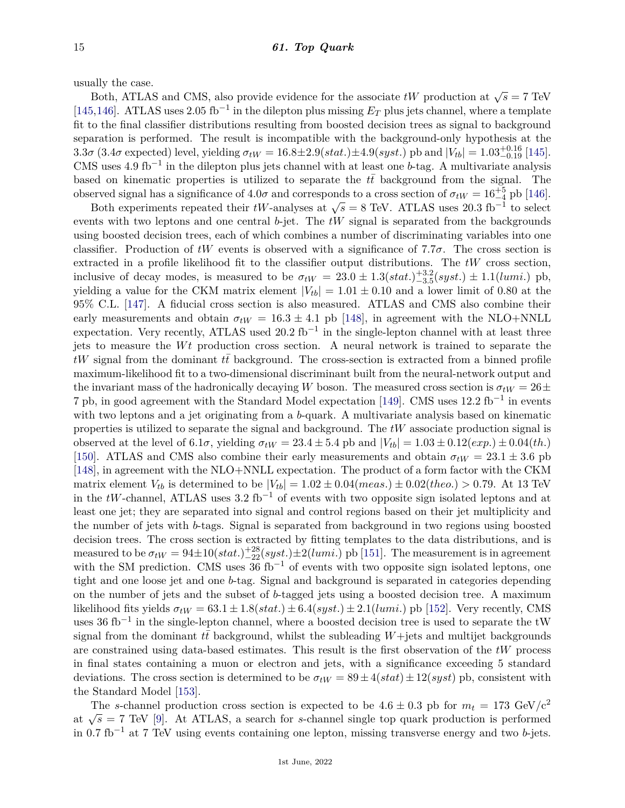usually the case.

any the case.<br>Both, ATLAS and CMS, also provide evidence for the associate  $tW$  production at  $\sqrt{s} = 7$  TeV [\[145,](#page-40-8)[146\]](#page-40-9). ATLAS uses 2.05 fb<sup>-1</sup> in the dilepton plus missing  $E_T$  plus jets channel, where a template fit to the final classifier distributions resulting from boosted decision trees as signal to background separation is performed. The result is incompatible with the background-only hypothesis at the 3.3*σ* (3.4*σ* expected) level, yielding  $\sigma_{tW} = 16.8 \pm 2.9(stat.) \pm 4.9(syst.)$  pb and  $|V_{tb}| = 1.03_{-0.19}^{+0.16}$  [\[145\]](#page-40-8). CMS uses  $4.9 \text{ fb}^{-1}$  in the dilepton plus jets channel with at least one *b*-tag. A multivariate analysis based on kinematic properties is utilized to separate the  $t\bar{t}$  background from the signal. The observed signal has a significance of  $4.0\sigma$  and corresponds to a cross section of  $\sigma_{tW} = 16^{+5}_{-4}$  pb [\[146\]](#page-40-9).

Both experiments repeated their *tW*-analyses at  $\sqrt{s} = 8$  TeV. ATLAS uses 20.3 fb<sup>-1</sup> to select events with two leptons and one central *b*-jet. The *tW* signal is separated from the backgrounds using boosted decision trees, each of which combines a number of discriminating variables into one classifier. Production of *tW* events is observed with a significance of 7.7 $\sigma$ . The cross section is extracted in a profile likelihood fit to the classifier output distributions. The *tW* cross section, inclusive of decay modes, is measured to be  $\sigma_{tW} = 23.0 \pm 1.3(stat.)^{+3.2}_{-3.5}(syst.) \pm 1.1(lumi.)$  pb, yielding a value for the CKM matrix element  $|V_{tb}| = 1.01 \pm 0.10$  and a lower limit of 0.80 at the 95% C.L. [\[147\]](#page-40-10). A fiducial cross section is also measured. ATLAS and CMS also combine their early measurements and obtain  $\sigma_{tW} = 16.3 \pm 4.1$  pb [\[148\]](#page-40-11), in agreement with the NLO+NNLL expectation. Very recently, ATLAS used 20*.*2 fb−<sup>1</sup> in the single-lepton channel with at least three jets to measure the *Wt* production cross section. A neural network is trained to separate the *tW* signal from the dominant *tt* background. The cross-section is extracted from a binned profile maximum-likelihood fit to a two-dimensional discriminant built from the neural-network output and the invariant mass of the hadronically decaying *W* boson. The measured cross section is  $\sigma_t w = 26 \pm 100$ 7 pb, in good agreement with the Standard Model expectation [\[149\]](#page-40-12). CMS uses 12*.*2 fb−<sup>1</sup> in events with two leptons and a jet originating from a *b*-quark. A multivariate analysis based on kinematic properties is utilized to separate the signal and background. The *tW* associate production signal is observed at the level of 6.1 $\sigma$ , yielding  $\sigma_{tW} = 23.4 \pm 5.4$  pb and  $|V_{tb}| = 1.03 \pm 0.12(exp.) \pm 0.04(th.)$ [\[150\]](#page-40-13). ATLAS and CMS also combine their early measurements and obtain  $\sigma_{tW} = 23.1 \pm 3.6$  pb [\[148\]](#page-40-11), in agreement with the NLO+NNLL expectation. The product of a form factor with the CKM matrix element  $V_{tb}$  is determined to be  $|V_{tb}| = 1.02 \pm 0.04 (meas.) \pm 0.02 (theo.) > 0.79$ . At 13 TeV in the *tW*-channel, ATLAS uses 3.2 fb<sup>-1</sup> of events with two opposite sign isolated leptons and at least one jet; they are separated into signal and control regions based on their jet multiplicity and the number of jets with *b*-tags. Signal is separated from background in two regions using boosted decision trees. The cross section is extracted by fitting templates to the data distributions, and is measured to be  $\sigma_{tW} = 94 \pm 10(stat.)^{+28}_{-22}(syst.) \pm 2(lumi.)$  pb [\[151\]](#page-40-14). The measurement is in agreement with the SM prediction. CMS uses 36 fb<sup>-1</sup> of events with two opposite sign isolated leptons, one tight and one loose jet and one *b*-tag. Signal and background is separated in categories depending on the number of jets and the subset of *b*-tagged jets using a boosted decision tree. A maximum likelihood fits yields  $\sigma_{tW} = 63.1 \pm 1.8(stat.) \pm 6.4(syst.) \pm 2.1(lumi.)$  pb [\[152\]](#page-40-15). Very recently, CMS uses 36 fb<sup>-1</sup> in the single-lepton channel, where a boosted decision tree is used to separate the tW signal from the dominant  $t\bar{t}$  background, whilst the subleading  $W+$ jets and multijet backgrounds are constrained using data-based estimates. This result is the first observation of the *tW* process in final states containing a muon or electron and jets, with a significance exceeding 5 standard deviations. The cross section is determined to be  $\sigma_{tW} = 89 \pm 4(stat) \pm 12(syst)$  pb, consistent with the Standard Model [\[153\]](#page-40-16).

The *s*-channel production cross section is expected to be  $4.6 \pm 0.3$  pb for  $m_t = 173 \text{ GeV}/c^2$ at  $\sqrt{s}$  = 7 TeV [\[9\]](#page-36-8). At ATLAS, a search for *s*-channel single top quark production is performed in 0*.*7 fb−<sup>1</sup> at 7 TeV using events containing one lepton, missing transverse energy and two *b*-jets.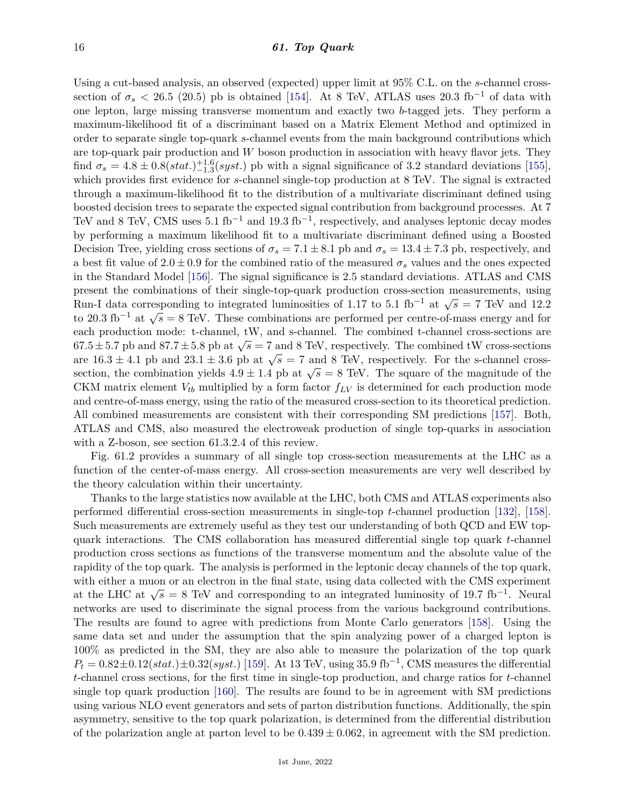#### 16 *61. Top Quark*

Using a cut-based analysis, an observed (expected) upper limit at 95% C.L. on the *s*-channel crosssection of  $\sigma_s$  < 26.5 (20.5) pb is obtained [\[154\]](#page-40-17). At 8 TeV, ATLAS uses 20.3 fb<sup>-1</sup> of data with one lepton, large missing transverse momentum and exactly two *b*-tagged jets. They perform a maximum-likelihood fit of a discriminant based on a Matrix Element Method and optimized in order to separate single top-quark *s*-channel events from the main background contributions which are top-quark pair production and *W* boson production in association with heavy flavor jets. They find  $\sigma_s = 4.8 \pm 0.8(stat.)^{+1.6}_{-1.3}(syst.)$  pb with a signal significance of 3.2 standard deviations [\[155\]](#page-40-18), which provides first evidence for *s*-channel single-top production at 8 TeV. The signal is extracted through a maximum-likelihood fit to the distribution of a multivariate discriminant defined using boosted decision trees to separate the expected signal contribution from background processes. At 7 TeV and 8 TeV, CMS uses  $5.1 \text{ fb}^{-1}$  and  $19.3 \text{ fb}^{-1}$ , respectively, and analyses leptonic decay modes by performing a maximum likelihood fit to a multivariate discriminant defined using a Boosted Decision Tree, yielding cross sections of  $\sigma_s = 7.1 \pm 8.1$  pb and  $\sigma_s = 13.4 \pm 7.3$  pb, respectively, and a best fit value of  $2.0 \pm 0.9$  for the combined ratio of the measured  $\sigma_s$  values and the ones expected in the Standard Model [\[156\]](#page-40-19). The signal significance is 2.5 standard deviations. ATLAS and CMS present the combinations of their single-top-quark production cross-section measurements, using Run-I data corresponding to integrated luminosities of 1.17 to <sup>5</sup>*.*1 fb−<sup>1</sup> at <sup>√</sup> *s* = 7 TeV and 12.2 to 20.3 fb<sup>-1</sup> at  $\sqrt{s} = 8$  TeV. These combinations are performed per centre-of-mass energy and for each production mode: t-channel, tW, and s-channel. The combined t-channel cross-sections are 67.5 $\pm$ 5*.*7 pb and 87.7 $\pm$ 5*.8* pb at  $\sqrt{s}$  = 7 and 8 TeV, respectively. The combined tW cross-sections are are  $16.3 \pm 4.1$  pb and  $23.1 \pm 3.6$  pb at  $\sqrt{s} = 7$  and 8 TeV, respectively. For the s-channel crosssection, the combination yields  $4.9 \pm 1.4$  pb at  $\sqrt{s} = 8$  TeV. The square of the magnitude of the section, CKM matrix element  $V_{tb}$  multiplied by a form factor  $f_{LV}$  is determined for each production mode and centre-of-mass energy, using the ratio of the measured cross-section to its theoretical prediction. All combined measurements are consistent with their corresponding SM predictions [\[157\]](#page-40-20). Both, ATLAS and CMS, also measured the electroweak production of single top-quarks in association with a Z-boson, see section 61.3.2.4 of this review.

Fig. 61.2 provides a summary of all single top cross-section measurements at the LHC as a function of the center-of-mass energy. All cross-section measurements are very well described by the theory calculation within their uncertainty.

Thanks to the large statistics now available at the LHC, both CMS and ATLAS experiments also performed differential cross-section measurements in single-top *t*-channel production [\[132\]](#page-39-30), [\[158\]](#page-40-21). Such measurements are extremely useful as they test our understanding of both QCD and EW topquark interactions. The CMS collaboration has measured differential single top quark *t*-channel production cross sections as functions of the transverse momentum and the absolute value of the rapidity of the top quark. The analysis is performed in the leptonic decay channels of the top quark, with either a muon or an electron in the final state, using data collected with the CMS experiment with either a muon of an electron in the mial state, using data conected with the CMS experiment at the LHC at  $\sqrt{s} = 8$  TeV and corresponding to an integrated luminosity of 19.7 fb<sup>-1</sup>. Neural networks are used to discriminate the signal process from the various background contributions. The results are found to agree with predictions from Monte Carlo generators [\[158\]](#page-40-21). Using the same data set and under the assumption that the spin analyzing power of a charged lepton is 100% as predicted in the SM, they are also able to measure the polarization of the top quark  $P_t = 0.82 \pm 0.12(stat.) \pm 0.32(syst.)$  [\[159\]](#page-40-22). At 13 TeV, using 35.9 fb<sup>-1</sup>, CMS measures the differential *t*-channel cross sections, for the first time in single-top production, and charge ratios for *t*-channel single top quark production [\[160\]](#page-40-23). The results are found to be in agreement with SM predictions using various NLO event generators and sets of parton distribution functions. Additionally, the spin asymmetry, sensitive to the top quark polarization, is determined from the differential distribution of the polarization angle at parton level to be  $0.439 \pm 0.062$ , in agreement with the SM prediction.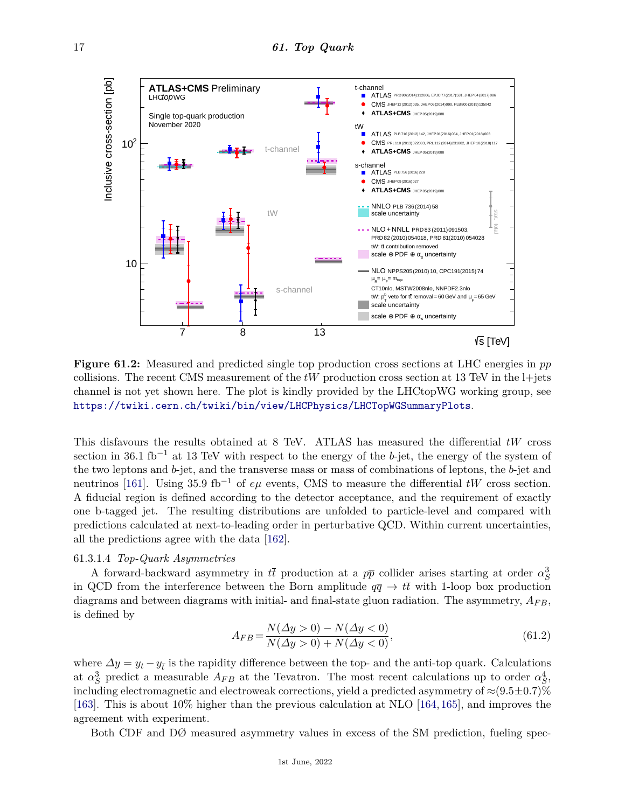

**Figure 61.2:** Measured and predicted single top production cross sections at LHC energies in *pp* collisions. The recent CMS measurement of the *tW* production cross section at 13 TeV in the l+jets channel is not yet shown here. The plot is kindly provided by the LHCtopWG working group, see <https://twiki.cern.ch/twiki/bin/view/LHCPhysics/LHCTopWGSummaryPlots>.

This disfavours the results obtained at 8 TeV. ATLAS has measured the differential *tW* cross section in 36*.*1 fb−<sup>1</sup> at 13 TeV with respect to the energy of the *b*-jet, the energy of the system of the two leptons and *b*-jet, and the transverse mass or mass of combinations of leptons, the *b*-jet and neutrinos [\[161\]](#page-40-24). Using 35.9 fb<sup>-1</sup> of  $e\mu$  events, CMS to measure the differential *tW* cross section. A fiducial region is defined according to the detector acceptance, and the requirement of exactly one b-tagged jet. The resulting distributions are unfolded to particle-level and compared with predictions calculated at next-to-leading order in perturbative QCD. Within current uncertainties, all the predictions agree with the data [\[162\]](#page-40-25).

#### 61.3.1.4 *Top-Quark Asymmetries*

A forward-backward asymmetry in  $t\bar{t}$  production at a  $p\bar{p}$  collider arises starting at order  $\alpha_S^3$ in QCD from the interference between the Born amplitude  $q\bar{q} \to t\bar{t}$  with 1-loop box production diagrams and between diagrams with initial- and final-state gluon radiation. The asymmetry,  $A_{FB}$ , is defined by

$$
A_{FB} = \frac{N(\Delta y > 0) - N(\Delta y < 0)}{N(\Delta y > 0) + N(\Delta y < 0)},
$$
\n(61.2)

where  $\Delta y = y_t - y_{\bar{t}}$  is the rapidity difference between the top- and the anti-top quark. Calculations at  $\alpha_S^3$  predict a measurable  $A_{FB}$  at the Tevatron. The most recent calculations up to order  $\alpha_S^4$ , including electromagnetic and electroweak corrections, yield a predicted asymmetry of  $\approx (9.5 \pm 0.7)\%$ [\[163\]](#page-40-26). This is about 10% higher than the previous calculation at NLO [\[164,](#page-40-27)[165\]](#page-40-28), and improves the agreement with experiment.

Both CDF and DØ measured asymmetry values in excess of the SM prediction, fueling spec-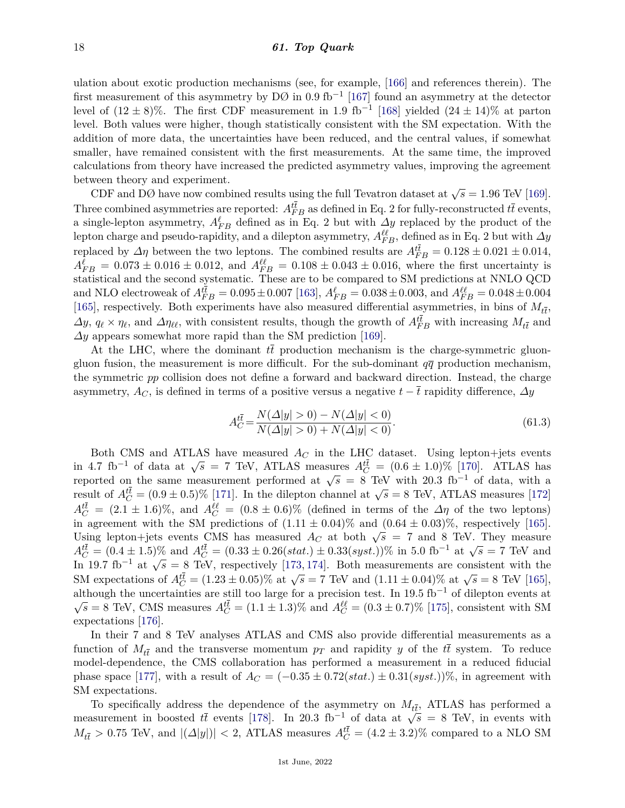ulation about exotic production mechanisms (see, for example, [\[166\]](#page-40-29) and references therein). The first measurement of this asymmetry by  $DØ$  in 0.9 fb<sup>-1</sup> [\[167\]](#page-40-30) found an asymmetry at the detector level of  $(12 \pm 8)\%$ . The first CDF measurement in 1.9 fb<sup>-1</sup> [\[168\]](#page-40-31) yielded  $(24 \pm 14)\%$  at parton level. Both values were higher, though statistically consistent with the SM expectation. With the addition of more data, the uncertainties have been reduced, and the central values, if somewhat smaller, have remained consistent with the first measurements. At the same time, the improved calculations from theory have increased the predicted asymmetry values, improving the agreement between theory and experiment.

ween theory and experiment.<br>CDF and DØ have now combined results using the full Tevatron dataset at  $\sqrt{s} = 1.96$  TeV [\[169\]](#page-40-32). Three combined asymmetries are reported:  $A_{FB}^{t\bar{t}}$  as defined in Eq. 2 for fully-reconstructed  $t\bar{t}$  events, a single-lepton asymmetry,  $A_{FB}^{\ell}$  defined as in Eq. 2 but with  $\Delta y$  replaced by the product of the lepton charge and pseudo-rapidity, and a dilepton asymmetry,  $A_{FB}^{\ell\ell}$ , defined as in Eq. 2 but with  $\varDelta y$ replaced by  $\Delta \eta$  between the two leptons. The combined results are  $A_{FB}^{t\bar{t}} = 0.128 \pm 0.021 \pm 0.014$ ,  $A_{FB}^{\ell} = 0.073 \pm 0.016 \pm 0.012$ , and  $A_{FB}^{\ell\ell} = 0.108 \pm 0.043 \pm 0.016$ , where the first uncertainty is statistical and the second systematic. These are to be compared to SM predictions at NNLO QCD and NLO electroweak of  $A_{FB}^{t\bar{t}} = 0.095 \pm 0.007$  [\[163\]](#page-40-26),  $A_{FB}^{\ell} = 0.038 \pm 0.003$ , and  $A_{FB}^{\ell\ell} = 0.048 \pm 0.004$ [\[165\]](#page-40-28), respectively. Both experiments have also measured differential asymmetries, in bins of  $M_{t\bar{t}}$ ,  $\Delta y$ ,  $q_\ell \times \eta_\ell$ , and  $\Delta \eta_{\ell\ell}$ , with consistent results, though the growth of  $A_{FB}^{t\bar{t}}$  with increasing  $M_{t\bar{t}}$  and *∆y* appears somewhat more rapid than the SM prediction [\[169\]](#page-40-32).

At the LHC, where the dominant  $t\bar{t}$  production mechanism is the charge-symmetric gluongluon fusion, the measurement is more difficult. For the sub-dominant  $q\bar{q}$  production mechanism, the symmetric *pp* collision does not define a forward and backward direction. Instead, the charge asymmetry,  $A_C$ , is defined in terms of a positive versus a negative  $t - \bar{t}$  rapidity difference,  $\Delta y$ 

$$
A_C^{t\bar{t}} = \frac{N(\Delta|y| > 0) - N(\Delta|y| < 0)}{N(\Delta|y| > 0) + N(\Delta|y| < 0)}.
$$
\n(61.3)

Both CMS and ATLAS have measured  $A_C$  in the LHC dataset. Using lepton+jets events both CMS and ATLAS have measured  $AC$  in the EIIC dataset. Osing repton+jets events in 4.7 fb<sup>-1</sup> of data at  $\sqrt{s} = 7$  TeV, ATLAS measures  $A_C^{t\bar{t}} = (0.6 \pm 1.0)\%$  [\[170\]](#page-40-33). ATLAS has reported on the same measurement performed at  $\sqrt{s} = 8$  TeV with 20.3 fb<sup>-1</sup> of data, with a result of  $A_C^{t\bar{t}} = (0.9 \pm 0.5)\%$  [\[171\]](#page-40-34). In the dilepton channel at  $\sqrt{s} = 8$  TeV, ATLAS measures [\[172\]](#page-40-35)  $A_C^{t\bar{t}} = (2.1 \pm 1.6)\%$ , and  $A_C^{\ell\ell} = (0.8 \pm 0.6)\%$  (defined in terms of the  $\Delta\eta$  of the two leptons) in agreement with the SM predictions of  $(1.11 \pm 0.04)\%$  and  $(0.64 \pm 0.03)\%$ , respectively [\[165\]](#page-40-28). Using lepton+jets events CMS has measured  $A_C$  at both  $\sqrt{s} = 7$  and 8 TeV. They measure  $A_C^{t\bar{t}} = (0.4 \pm 1.5)$ % and  $A_C^{t\bar{t}} = (0.33 \pm 0.26(stat.) \pm 0.33(syst.))$ % in 5.0 fb<sup>-1</sup> at  $\sqrt{s} = 7$  TeV and  $A_C = (0.4 \pm 1.9)/0$  and  $A_C = (0.33 \pm 0.20(stat.) \pm 0.33(syst.))/0$  in 0.0 ib at  $\sqrt{s} = i$  for and<br>In 19.7 fb<sup>-1</sup> at  $\sqrt{s} = 8$  TeV, respectively [\[173,](#page-40-36) [174\]](#page-40-37). Both measurements are consistent with the SM expectations of  $A_C^{t\bar{t}} = (1.23 \pm 0.05)\%$  at  $\sqrt{s} = 7$  TeV and  $(1.11 \pm 0.04)\%$  at  $\sqrt{s} = 8$  TeV [\[165\]](#page-40-28), although the uncertainties are still too large for a precision test. In 19.5 fb<sup>-1</sup> of dilepton events at  $\sqrt{\frac{1}{n}}$  $\overline{s} = 8$  TeV, CMS measures  $A_C^{t\bar{t}} = (1.1 \pm 1.3)\%$  and  $A_C^{\ell\ell} = (0.3 \pm 0.7)\%$  [\[175\]](#page-41-0), consistent with SM expectations [\[176\]](#page-41-1).

In their 7 and 8 TeV analyses ATLAS and CMS also provide differential measurements as a function of  $M_{t\bar{t}}$  and the transverse momentum  $p_T$  and rapidity *y* of the  $t\bar{t}$  system. To reduce model-dependence, the CMS collaboration has performed a measurement in a reduced fiducial phase space [\[177\]](#page-41-2), with a result of  $A_C = (-0.35 \pm 0.72(stat.) \pm 0.31(syst.))\%$ , in agreement with SM expectations.

To specifically address the dependence of the asymmetry on  $M_{t\bar{t}}$ , ATLAS has performed a to specifically address the dependence of the asymmetry on  $M_{\tilde{t}\tilde{t}}$ , ATLAS has performed a measurement in boosted  $t\bar{t}$  events [\[178\]](#page-41-3). In 20.3 fb<sup>-1</sup> of data at  $\sqrt{s} = 8$  TeV, in events with  $M_{t\bar{t}} > 0.75$  TeV, and  $|(\Delta|y|)| < 2$ , ATLAS measures  $A_C^{t\bar{t}} = (4.2 \pm 3.2)\%$  compared to a NLO SM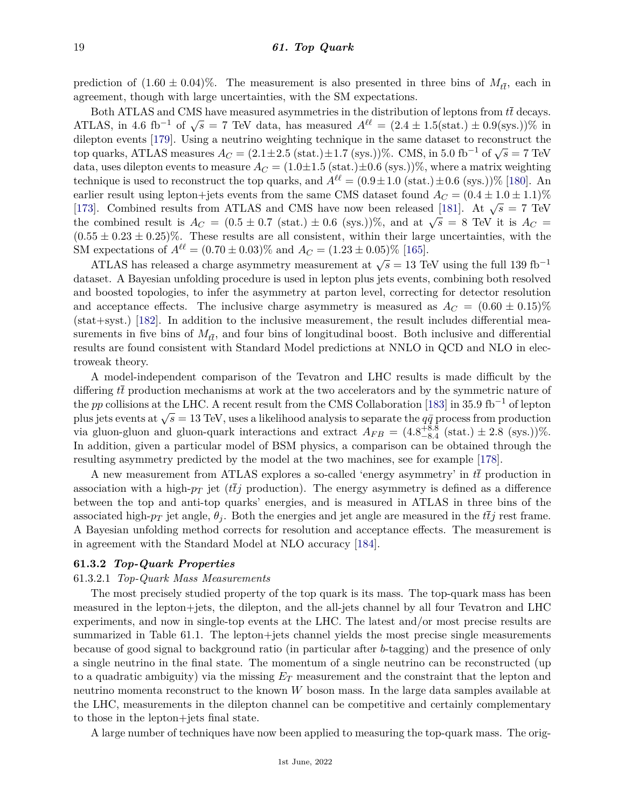prediction of  $(1.60 \pm 0.04)\%$ . The measurement is also presented in three bins of  $M_{t\bar{t}}$ , each in agreement, though with large uncertainties, with the SM expectations.

Both ATLAS and CMS have measured asymmetries in the distribution of leptons from  $t\bar{t}$  decays. ATLAS, in 4.6 fb<sup>-1</sup> of  $\sqrt{s} = 7$  TeV data, has measured  $A^{\ell\ell} = (2.4 \pm 1.5(\text{stat.}) \pm 0.9(\text{sys.}))\%$  in dilepton events [\[179\]](#page-41-4). Using a neutrino weighting technique in the same dataset to reconstruct the top quarks, ATLAS measures  $A_C = (2.1 \pm 2.5 \text{ (stat.)} \pm 1.7 \text{ (sys.)})\%$ . CMS, in 5.0 fb<sup>-1</sup> of  $\sqrt{s} = 7 \text{ TeV}$ data, uses dilepton events to measure  $A_C = (1.0 \pm 1.5 \text{ (stat.)} \pm 0.6 \text{ (sys.)})\%$ , where a matrix weighting technique is used to reconstruct the top quarks, and  $A^{\ell\ell} = (0.9 \pm 1.0 \text{ (stat.)} \pm 0.6 \text{ (sys.)})\%$  [\[180\]](#page-41-5). An earlier result using lepton+jets events from the same CMS dataset found  $A_C = (0.4 \pm 1.0 \pm 1.1)\%$ Fracture result using repton+jets events from the same CMS dataset found  $AC = (0.4 \pm 1.0 \pm 1.1)/6$ <br>[\[173\]](#page-40-36). Combined results from ATLAS and CMS have now been released [\[181\]](#page-41-6). At  $\sqrt{s} = 7$  TeV the combined result is  $A_C = (0.5 \pm 0.7 \text{ (stat.)} \pm 0.6 \text{ (sys.)})\%$ , and at  $\sqrt{s} = 8 \text{ TeV}$  it is  $A_C =$  $(0.55 \pm 0.23 \pm 0.25)\%$ . These results are all consistent, within their large uncertainties, with the SM expectations of  $A^{\ell\ell} = (0.70 \pm 0.03)\%$  and  $A_C = (1.23 \pm 0.05)\%$  [\[165\]](#page-40-28).

ATLAS has released a charge asymmetry measurement at  $\sqrt{s} = 13$  TeV using the full 139 fb<sup>-1</sup> dataset. A Bayesian unfolding procedure is used in lepton plus jets events, combining both resolved and boosted topologies, to infer the asymmetry at parton level, correcting for detector resolution and acceptance effects. The inclusive charge asymmetry is measured as  $A_C = (0.60 \pm 0.15)\%$ (stat+syst.) [\[182\]](#page-41-7). In addition to the inclusive measurement, the result includes differential measurements in five bins of  $M_{t\bar{t}}$ , and four bins of longitudinal boost. Both inclusive and differential results are found consistent with Standard Model predictions at NNLO in QCD and NLO in electroweak theory.

A model-independent comparison of the Tevatron and LHC results is made difficult by the differing  $t\bar{t}$  production mechanisms at work at the two accelerators and by the symmetric nature of the *pp* collisions at the LHC. A recent result from the CMS Collaboration [\[183\]](#page-41-8) in 35*.*9 fb−<sup>1</sup> of lepton plus jets events at  $\sqrt{s} = 13$  TeV, uses a likelihood analysis to separate the  $q\bar{q}$  process from production plus jets events at  $\sqrt{s} = 13$  TeV, uses a likelihood analysis to separate the  $q\bar{q}$  process from producti via gluon-gluon and gluon-quark interactions and extract  $A_{FB} = (4.8^{+8.8}_{-8.4} \text{ (stat.)} \pm 2.8 \text{ (sys.)})\%$ . In addition, given a particular model of BSM physics, a comparison can be obtained through the resulting asymmetry predicted by the model at the two machines, see for example [\[178\]](#page-41-3).

A new measurement from ATLAS explores a so-called 'energy asymmetry' in *tt* production in association with a high- $p_T$  jet ( $t\bar{t}j$  production). The energy asymmetry is defined as a difference between the top and anti-top quarks' energies, and is measured in ATLAS in three bins of the associated high- $p_T$  jet angle,  $\theta_i$ . Both the energies and jet angle are measured in the  $t\bar{t}j$  rest frame. A Bayesian unfolding method corrects for resolution and acceptance effects. The measurement is in agreement with the Standard Model at NLO accuracy [\[184\]](#page-41-9).

## **61.3.2** *Top-Quark Properties*

#### 61.3.2.1 *Top-Quark Mass Measurements*

The most precisely studied property of the top quark is its mass. The top-quark mass has been measured in the lepton+jets, the dilepton, and the all-jets channel by all four Tevatron and LHC experiments, and now in single-top events at the LHC. The latest and/or most precise results are summarized in Table 61.1. The lepton+jets channel yields the most precise single measurements because of good signal to background ratio (in particular after *b*-tagging) and the presence of only a single neutrino in the final state. The momentum of a single neutrino can be reconstructed (up to a quadratic ambiguity) via the missing *E<sup>T</sup>* measurement and the constraint that the lepton and neutrino momenta reconstruct to the known *W* boson mass. In the large data samples available at the LHC, measurements in the dilepton channel can be competitive and certainly complementary to those in the lepton+jets final state.

A large number of techniques have now been applied to measuring the top-quark mass. The orig-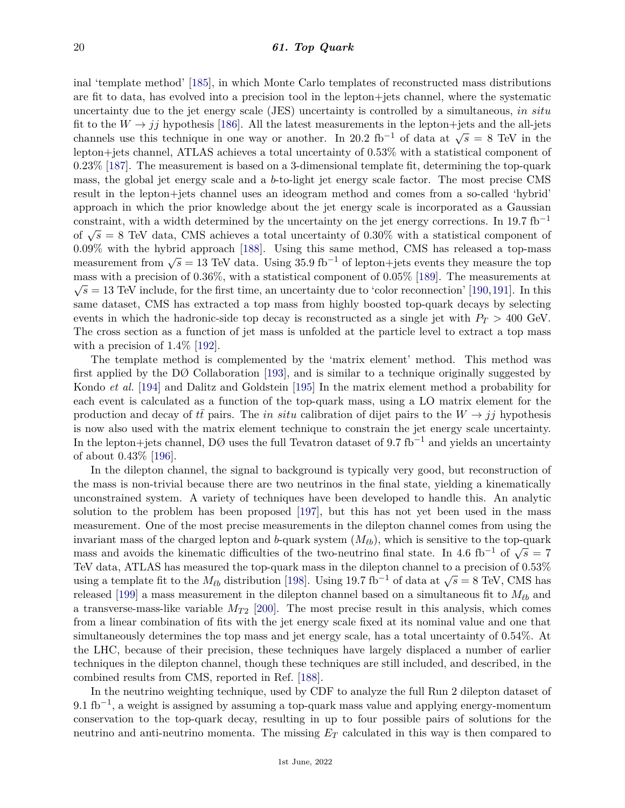inal 'template method' [\[185\]](#page-41-10), in which Monte Carlo templates of reconstructed mass distributions are fit to data, has evolved into a precision tool in the lepton+jets channel, where the systematic uncertainty due to the jet energy scale (JES) uncertainty is controlled by a simultaneous, *in situ* fit to the  $W \rightarrow jj$  hypothesis [\[186\]](#page-41-11). All the latest measurements in the lepton+jets and the all-jets channels use this technique in one way or another. In 20.2 fb<sup>-1</sup> of data at  $\sqrt{s} = 8$  TeV in the lepton+jets channel, ATLAS achieves a total uncertainty of 0.53% with a statistical component of 0.23% [\[187\]](#page-41-12). The measurement is based on a 3-dimensional template fit, determining the top-quark mass, the global jet energy scale and a *b*-to-light jet energy scale factor. The most precise CMS result in the lepton+jets channel uses an ideogram method and comes from a so-called 'hybrid' approach in which the prior knowledge about the jet energy scale is incorporated as a Gaussian constraint, with a width determined by the uncertainty on the jet energy corrections. In 19.7  $\text{fb}^{-1}$ constraint, with a width determined by the uncertainty of the jet energy corrections. In 19.7 to of  $\sqrt{s} = 8$  TeV data, CMS achieves a total uncertainty of 0.30% with a statistical component of 0.09% with the hybrid approach [\[188\]](#page-41-13). Using this same method, CMS has released a top-mass  $\cos \theta$  with the hybrid approach [188]. Using this same method, CMS has released a top-mass measurement from  $\sqrt{s} = 13$  TeV data. Using 35.9 fb<sup>-1</sup> of lepton+jets events they measure the top mass with a precision of  $0.36\%$ , with a statistical component of  $0.05\%$  [\[189\]](#page-41-14). The measurements at  $\sqrt{s}$  = 13 TeV include, for the first time, an uncertainty due to 'color reconnection' [\[190,](#page-41-15)[191\]](#page-41-16). In this same dataset, CMS has extracted a top mass from highly boosted top-quark decays by selecting events in which the hadronic-side top decay is reconstructed as a single jet with  $P_T > 400$  GeV. The cross section as a function of jet mass is unfolded at the particle level to extract a top mass with a precision of  $1.4\%$  [\[192\]](#page-41-17).

The template method is complemented by the 'matrix element' method. This method was first applied by the DØ Collaboration [\[193\]](#page-41-18), and is similar to a technique originally suggested by Kondo *et al.* [\[194\]](#page-41-19) and Dalitz and Goldstein [\[195\]](#page-41-20) In the matrix element method a probability for each event is calculated as a function of the top-quark mass, using a LO matrix element for the production and decay of  $t\bar{t}$  pairs. The *in situ* calibration of dijet pairs to the  $W \rightarrow jj$  hypothesis is now also used with the matrix element technique to constrain the jet energy scale uncertainty. In the lepton+jets channel, DØ uses the full Tevatron dataset of 9*.*7 fb−<sup>1</sup> and yields an uncertainty of about 0.43% [\[196\]](#page-41-21).

In the dilepton channel, the signal to background is typically very good, but reconstruction of the mass is non-trivial because there are two neutrinos in the final state, yielding a kinematically unconstrained system. A variety of techniques have been developed to handle this. An analytic solution to the problem has been proposed [\[197\]](#page-41-22), but this has not yet been used in the mass measurement. One of the most precise measurements in the dilepton channel comes from using the invariant mass of the charged lepton and *b*-quark system  $(M_{\ell b})$ , which is sensitive to the top-quark mvariant mass of the charged lepton and b-quark system  $(M_{lb})$ , which is sensitive to the top-quark mass and avoids the kinematic difficulties of the two-neutrino final state. In 4.6 fb<sup>-1</sup> of  $\sqrt{s} = 7$ TeV data, ATLAS has measured the top-quark mass in the dilepton channel to a precision of 0.53% using a template fit to the  $M_{\ell b}$  distribution [\[198\]](#page-41-23). Using 19.7 fb<sup>−1</sup> of data at  $\sqrt{s} = 8$  TeV, CMS has released [\[199\]](#page-41-24) a mass measurement in the dilepton channel based on a simultaneous fit to  $M_{\ell b}$  and a transverse-mass-like variable *MT*<sup>2</sup> [\[200\]](#page-41-25). The most precise result in this analysis, which comes from a linear combination of fits with the jet energy scale fixed at its nominal value and one that simultaneously determines the top mass and jet energy scale, has a total uncertainty of 0.54%. At the LHC, because of their precision, these techniques have largely displaced a number of earlier techniques in the dilepton channel, though these techniques are still included, and described, in the combined results from CMS, reported in Ref. [\[188\]](#page-41-13).

In the neutrino weighting technique, used by CDF to analyze the full Run 2 dilepton dataset of  $9.1 \text{ fb}^{-1}$ , a weight is assigned by assuming a top-quark mass value and applying energy-momentum conservation to the top-quark decay, resulting in up to four possible pairs of solutions for the neutrino and anti-neutrino momenta. The missing *E<sup>T</sup>* calculated in this way is then compared to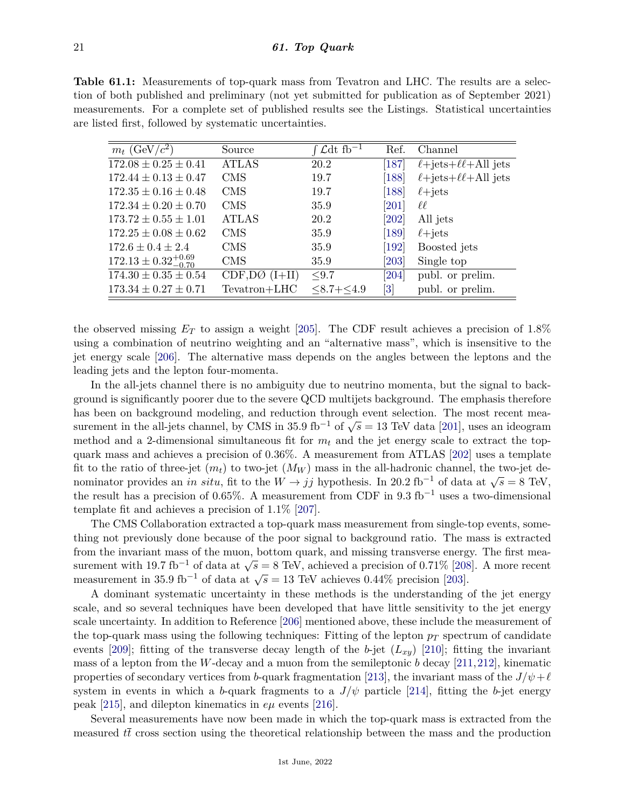**Table 61.1:** Measurements of top-quark mass from Tevatron and LHC. The results are a selection of both published and preliminary (not yet submitted for publication as of September 2021) measurements. For a complete set of published results see the Listings. Statistical uncertainties are listed first, followed by systematic uncertainties.

| $m_t$ (GeV/ $c^2$ )               | Source          | $\int \mathcal{L} dt$ fb <sup>-1</sup> | Ref.                         | Channel                            |
|-----------------------------------|-----------------|----------------------------------------|------------------------------|------------------------------------|
| $172.08 \pm 0.25 \pm 0.41$        | <b>ATLAS</b>    | 20.2                                   | [187]                        | $\ell$ +jets+ $\ell\ell$ +All jets |
| $172.44 \pm 0.13 \pm 0.47$        | <b>CMS</b>      | 19.7                                   | [188]                        | $\ell$ +jets+ $\ell\ell$ +All jets |
| $172.35 \pm 0.16 \pm 0.48$        | <b>CMS</b>      | 19.7                                   | [188]                        | $\ell + \text{jets}$               |
| $172.34 \pm 0.20 \pm 0.70$        | <b>CMS</b>      | 35.9                                   | $\left[ 201\right]$          | ll.                                |
| $173.72 \pm 0.55 \pm 1.01$        | <b>ATLAS</b>    | 20.2                                   | $\left[ 202\right]$          | All jets                           |
| $172.25 \pm 0.08 \pm 0.62$        | <b>CMS</b>      | 35.9                                   | [189]                        | $\ell + \text{jets}$               |
| $172.6 \pm 0.4 \pm 2.4$           | <b>CMS</b>      | 35.9                                   | [192]                        | Boosted jets                       |
| $172.13 \pm 0.32_{-0.70}^{+0.69}$ | CMS             | 35.9                                   | $\left[ 203\right]$          | Single top                         |
| $174.30 \pm 0.35 \pm 0.54$        | $CDF,DØ (I+II)$ | < 9.7                                  | [204]                        | publ. or prelim.                   |
| $173.34 \pm 0.27 \pm 0.71$        | $Tevatron+LHC$  | $<\,8.7 + <\,4.9$                      | $\left\lceil 3 \right\rceil$ | publ. or prelim.                   |

the observed missing  $E_T$  to assign a weight [\[205\]](#page-41-30). The CDF result achieves a precision of 1.8% using a combination of neutrino weighting and an "alternative mass", which is insensitive to the jet energy scale [\[206\]](#page-41-31). The alternative mass depends on the angles between the leptons and the leading jets and the lepton four-momenta.

In the all-jets channel there is no ambiguity due to neutrino momenta, but the signal to background is significantly poorer due to the severe QCD multijets background. The emphasis therefore has been on background modeling, and reduction through event selection. The most recent measurement in the all-jets channel, by CMS in 35.9 fb<sup>-1</sup> of  $\sqrt{s} = 13$  TeV data [\[201\]](#page-41-26), uses an ideogram method and a 2-dimensional simultaneous fit for  $m<sub>t</sub>$  and the jet energy scale to extract the topquark mass and achieves a precision of 0.36%. A measurement from ATLAS [\[202\]](#page-41-27) uses a template fit to the ratio of three-jet  $(m_t)$  to two-jet  $(M_W)$  mass in the all-hadronic channel, the two-jet denominator provides an *in situ*, fit to the  $W \rightarrow jj$  hypothesis. In 20.2 fb<sup>-1</sup> of data at  $\sqrt{s} = 8$  TeV, the result has a precision of 0.65%. A measurement from CDF in 9*.*3 fb−<sup>1</sup> uses a two-dimensional template fit and achieves a precision of 1.1% [\[207\]](#page-41-32).

The CMS Collaboration extracted a top-quark mass measurement from single-top events, something not previously done because of the poor signal to background ratio. The mass is extracted from the invariant mass of the muon, bottom quark, and missing transverse energy. The first measurement with 19.7 fb<sup>-1</sup> of data at  $\sqrt{s} = 8$  TeV, achieved a precision of 0.71% [\[208\]](#page-41-33). A more recent measurement in 35.9 fb<sup>-1</sup> of data at  $\sqrt{s} = 3$  TeV, achieved a precision of 0.71% [208].

A dominant systematic uncertainty in these methods is the understanding of the jet energy scale, and so several techniques have been developed that have little sensitivity to the jet energy scale uncertainty. In addition to Reference [\[206\]](#page-41-31) mentioned above, these include the measurement of the top-quark mass using the following techniques: Fitting of the lepton  $p_T$  spectrum of candidate events [\[209\]](#page-41-34); fitting of the transverse decay length of the *b*-jet  $(L_{xy})$  [\[210\]](#page-41-35); fitting the invariant mass of a lepton from the *W*-decay and a muon from the semileptonic *b* decay [\[211,](#page-42-0)[212\]](#page-42-1), kinematic properties of secondary vertices from *b*-quark fragmentation [\[213\]](#page-42-2), the invariant mass of the  $J/\psi + \ell$ system in events in which a *b*-quark fragments to a  $J/\psi$  particle [\[214\]](#page-42-3), fitting the *b*-jet energy peak  $[215]$ , and dilepton kinematics in  $e\mu$  events  $[216]$ .

Several measurements have now been made in which the top-quark mass is extracted from the measured *tt* cross section using the theoretical relationship between the mass and the production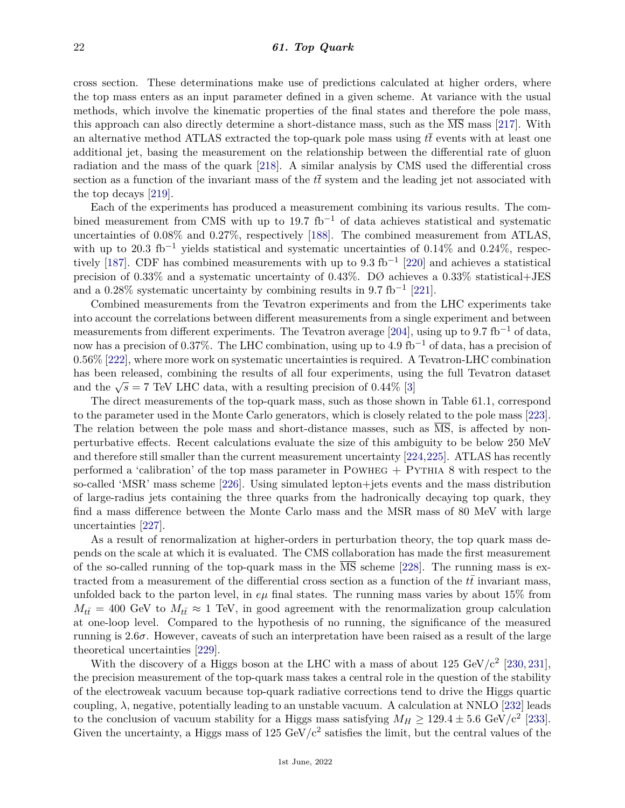cross section. These determinations make use of predictions calculated at higher orders, where the top mass enters as an input parameter defined in a given scheme. At variance with the usual methods, which involve the kinematic properties of the final states and therefore the pole mass, this approach can also directly determine a short-distance mass, such as the  $\overline{\text{MS}}$  mass [\[217\]](#page-42-6). With an alternative method ATLAS extracted the top-quark pole mass using  $t\bar{t}$  events with at least one additional jet, basing the measurement on the relationship between the differential rate of gluon radiation and the mass of the quark [\[218\]](#page-42-7). A similar analysis by CMS used the differential cross section as a function of the invariant mass of the  $t\bar{t}$  system and the leading jet not associated with the top decays [\[219\]](#page-42-8).

Each of the experiments has produced a measurement combining its various results. The combined measurement from CMS with up to 19.7 fb<sup>-1</sup> of data achieves statistical and systematic uncertainties of 0.08% and 0.27%, respectively [\[188\]](#page-41-13). The combined measurement from ATLAS, with up to 20.3 fb<sup>-1</sup> yields statistical and systematic uncertainties of 0.14% and 0.24%, respec-tively [\[187\]](#page-41-12). CDF has combined measurements with up to  $9.3 \text{ fb}^{-1}$  [\[220\]](#page-42-9) and achieves a statistical precision of 0.33% and a systematic uncertainty of 0.43%. DØ achieves a 0.33% statistical+JES and a 0.28% systematic uncertainty by combining results in  $9.7 \text{ fb}^{-1}$  [\[221\]](#page-42-10).

Combined measurements from the Tevatron experiments and from the LHC experiments take into account the correlations between different measurements from a single experiment and between measurements from different experiments. The Tevatron average [\[204\]](#page-41-29), using up to 9*.*7 fb−<sup>1</sup> of data, now has a precision of 0.37%. The LHC combination, using up to 4*.*9 fb−<sup>1</sup> of data, has a precision of 0.56% [\[222\]](#page-42-11), where more work on systematic uncertainties is required. A Tevatron-LHC combination has been released, combining the results of all four experiments, using the full Tevatron dataset and the  $\sqrt{s} = 7$  TeV LHC data, with a resulting precision of 0.44% [\[3\]](#page-36-2)

The direct measurements of the top-quark mass, such as those shown in Table 61.1, correspond to the parameter used in the Monte Carlo generators, which is closely related to the pole mass [\[223\]](#page-42-12). The relation between the pole mass and short-distance masses, such as MS, is affected by nonperturbative effects. Recent calculations evaluate the size of this ambiguity to be below 250 MeV and therefore still smaller than the current measurement uncertainty [\[224,](#page-42-13)[225\]](#page-42-14). ATLAS has recently performed a 'calibration' of the top mass parameter in Powheg + Pythia 8 with respect to the so-called 'MSR' mass scheme [\[226\]](#page-42-15). Using simulated lepton+jets events and the mass distribution of large-radius jets containing the three quarks from the hadronically decaying top quark, they find a mass difference between the Monte Carlo mass and the MSR mass of 80 MeV with large uncertainties [\[227\]](#page-42-16).

As a result of renormalization at higher-orders in perturbation theory, the top quark mass depends on the scale at which it is evaluated. The CMS collaboration has made the first measurement of the so-called running of the top-quark mass in the MS scheme [\[228\]](#page-42-17). The running mass is extracted from a measurement of the differential cross section as a function of the *tt* invariant mass, unfolded back to the parton level, in *eµ* final states. The running mass varies by about 15% from  $M_{t\bar{t}} = 400$  GeV to  $M_{t\bar{t}} \approx 1$  TeV, in good agreement with the renormalization group calculation at one-loop level. Compared to the hypothesis of no running, the significance of the measured running is 2.6*σ*. However, caveats of such an interpretation have been raised as a result of the large theoretical uncertainties [\[229\]](#page-42-18).

With the discovery of a Higgs boson at the LHC with a mass of about  $125 \text{ GeV/c}^2$  [\[230,](#page-42-19) [231\]](#page-42-20), the precision measurement of the top-quark mass takes a central role in the question of the stability of the electroweak vacuum because top-quark radiative corrections tend to drive the Higgs quartic coupling,  $\lambda$ , negative, potentially leading to an unstable vacuum. A calculation at NNLO [\[232\]](#page-42-21) leads to the conclusion of vacuum stability for a Higgs mass satisfying  $M_H \ge 129.4 \pm 5.6$  GeV/c<sup>2</sup> [\[233\]](#page-42-22). Given the uncertainty, a Higgs mass of  $125 \text{ GeV}/c^2$  satisfies the limit, but the central values of the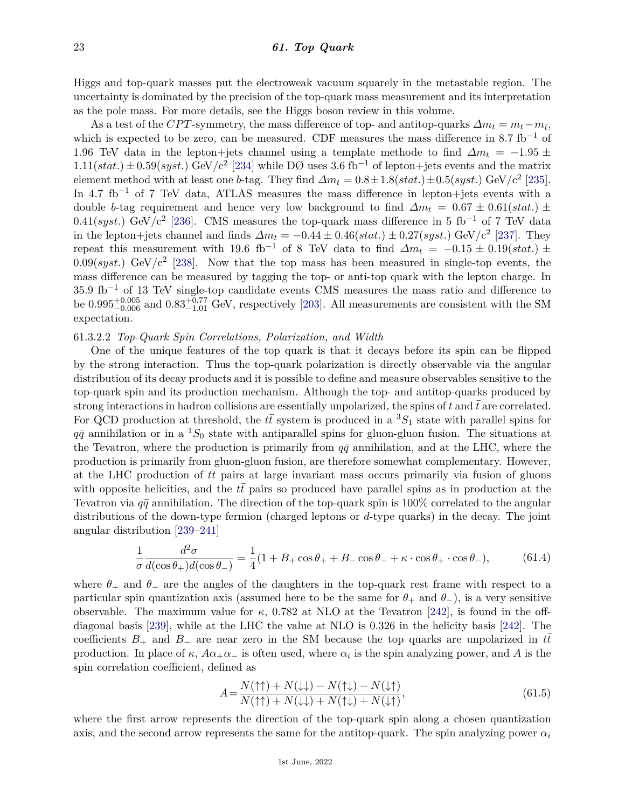Higgs and top-quark masses put the electroweak vacuum squarely in the metastable region. The uncertainty is dominated by the precision of the top-quark mass measurement and its interpretation as the pole mass. For more details, see the Higgs boson review in this volume.

As a test of the *CPT*-symmetry, the mass difference of top- and antitop-quarks  $\Delta m_t = m_t - m_{\bar{t}}$ , which is expected to be zero, can be measured. CDF measures the mass difference in  $8.7 \text{ fb}^{-1}$  of 1.96 TeV data in the lepton+jets channel using a template methode to find  $\Delta m_t = -1.95 \pm 1.95$  $1.11(stat.) \pm 0.59(syst.) \text{ GeV}/c^2$  [\[234\]](#page-42-23) while DØ uses 3.6 fb<sup>-1</sup> of lepton+jets events and the matrix element method with at least one *b*-tag. They find  $\Delta m_t = 0.8 \pm 1.8(stat.) \pm 0.5(syst.)$  GeV/c<sup>2</sup> [\[235\]](#page-42-24). In 4*.*7 fb−<sup>1</sup> of 7 TeV data, ATLAS measures the mass difference in lepton+jets events with a double *b*-tag requirement and hence very low background to find  $\Delta m_t = 0.67 \pm 0.61(stat.) \pm$ 0.41(*syst.*) GeV/ $c^2$  [\[236\]](#page-42-25). CMS measures the top-quark mass difference in 5 fb<sup>-1</sup> of 7 TeV data in the lepton+jets channel and finds  $\Delta m_t = -0.44 \pm 0.46(stat.) \pm 0.27(syst.)$  GeV/c<sup>2</sup> [\[237\]](#page-42-26). They repeat this measurement with 19.6 fb<sup>-1</sup> of 8 TeV data to find  $\Delta m_t = -0.15 \pm 0.19(stat.) \pm 0.19(stat.)$  $0.09(syst.)$  GeV/ $c^2$  [\[238\]](#page-42-27). Now that the top mass has been measured in single-top events, the mass difference can be measured by tagging the top- or anti-top quark with the lepton charge. In 35*.*9 fb−<sup>1</sup> of 13 TeV single-top candidate events CMS measures the mass ratio and difference to be  $0.995^{+0.005}_{-0.006}$  and  $0.83^{+0.77}_{-1.01}$  GeV, respectively [\[203\]](#page-41-28). All measurements are consistent with the SM expectation.

## 61.3.2.2 *Top-Quark Spin Correlations, Polarization, and Width*

One of the unique features of the top quark is that it decays before its spin can be flipped by the strong interaction. Thus the top-quark polarization is directly observable via the angular distribution of its decay products and it is possible to define and measure observables sensitive to the top-quark spin and its production mechanism. Although the top- and antitop-quarks produced by strong interactions in hadron collisions are essentially unpolarized, the spins of  $t$  and  $\bar{t}$  are correlated. For QCD production at threshold, the  $t\bar{t}$  system is produced in a <sup>3</sup> $S_1$  state with parallel spins for  $q\bar{q}$  annihilation or in a <sup>1</sup>*S*<sub>0</sub> state with antiparallel spins for gluon-gluon fusion. The situations at the Tevatron, where the production is primarily from  $q\bar{q}$  annihilation, and at the LHC, where the production is primarily from gluon-gluon fusion, are therefore somewhat complementary. However, at the LHC production of *tt* pairs at large invariant mass occurs primarily via fusion of gluons with opposite helicities, and the  $t\bar{t}$  pairs so produced have parallel spins as in production at the Tevatron via  $q\bar{q}$  annihilation. The direction of the top-quark spin is 100% correlated to the angular distributions of the down-type fermion (charged leptons or *d*-type quarks) in the decay. The joint angular distribution [\[239–](#page-42-28)[241\]](#page-42-29)

$$
\frac{1}{\sigma} \frac{d^2 \sigma}{d(\cos \theta_+) d(\cos \theta_-)} = \frac{1}{4} (1 + B_+ \cos \theta_+ + B_- \cos \theta_- + \kappa \cdot \cos \theta_+ \cdot \cos \theta_-),\tag{61.4}
$$

where  $\theta_+$  and  $\theta_-$  are the angles of the daughters in the top-quark rest frame with respect to a particular spin quantization axis (assumed here to be the same for  $\theta_+$  and  $\theta_-\rangle$ , is a very sensitive observable. The maximum value for  $\kappa$ , 0.782 at NLO at the Tevatron [\[242\]](#page-42-30), is found in the offdiagonal basis [\[239\]](#page-42-28), while at the LHC the value at NLO is 0.326 in the helicity basis [\[242\]](#page-42-30). The coefficients  $B_+$  and  $B_-$  are near zero in the SM because the top quarks are unpolarized in  $t\bar{t}$ production. In place of  $\kappa$ ,  $A\alpha_+\alpha_-$  is often used, where  $\alpha_i$  is the spin analyzing power, and A is the spin correlation coefficient, defined as

$$
A = \frac{N(\uparrow\uparrow) + N(\downarrow\downarrow) - N(\uparrow\downarrow) - N(\downarrow\uparrow)}{N(\uparrow\uparrow) + N(\downarrow\downarrow) + N(\uparrow\downarrow) + N(\downarrow\uparrow)},\tag{61.5}
$$

where the first arrow represents the direction of the top-quark spin along a chosen quantization axis, and the second arrow represents the same for the antitop-quark. The spin analyzing power  $\alpha_i$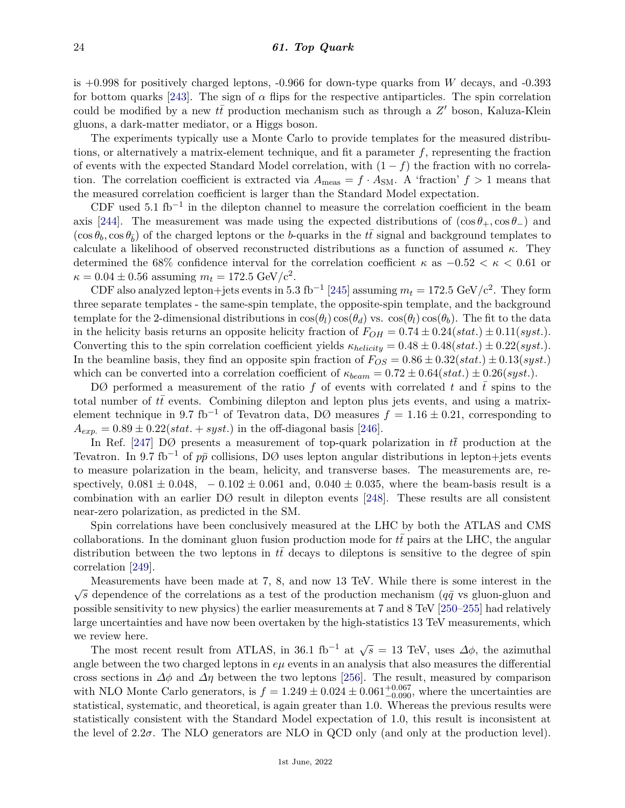is +0.998 for positively charged leptons, -0.966 for down-type quarks from *W* decays, and -0.393 for bottom quarks [\[243\]](#page-42-31). The sign of  $\alpha$  flips for the respective antiparticles. The spin correlation could be modified by a new  $t\bar{t}$  production mechanism such as through a  $Z'$  boson, Kaluza-Klein gluons, a dark-matter mediator, or a Higgs boson.

The experiments typically use a Monte Carlo to provide templates for the measured distributions, or alternatively a matrix-element technique, and fit a parameter *f*, representing the fraction of events with the expected Standard Model correlation, with (1 − *f*) the fraction with no correlation. The correlation coefficient is extracted via  $A_{\text{meas}} = f \cdot A_{\text{SM}}$ . A 'fraction'  $f > 1$  means that the measured correlation coefficient is larger than the Standard Model expectation.

CDF used  $5.1 \text{ fb}^{-1}$  in the dilepton channel to measure the correlation coefficient in the beam axis [\[244\]](#page-43-0). The measurement was made using the expected distributions of  $(\cos \theta_+, \cos \theta_-)$  and  $(\cos \theta_b, \cos \theta_{\bar{b}})$  of the charged leptons or the *b*-quarks in the  $t\bar{t}$  signal and background templates to calculate a likelihood of observed reconstructed distributions as a function of assumed *κ*. They determined the 68% confidence interval for the correlation coefficient *κ* as −0*.*52 *< κ <* 0*.*61 or  $\kappa = 0.04 \pm 0.56$  assuming  $m_t = 172.5$  GeV/ $c^2$ .

CDF also analyzed lepton+jets events in 5.3 fb<sup>-1</sup> [\[245\]](#page-43-1) assuming  $m_t = 172.5$  GeV/c<sup>2</sup>. They form three separate templates - the same-spin template, the opposite-spin template, and the background template for the 2-dimensional distributions in  $\cos(\theta_l)\cos(\theta_d)$  vs.  $\cos(\theta_l)\cos(\theta_b)$ . The fit to the data in the helicity basis returns an opposite helicity fraction of  $F_{OH} = 0.74 \pm 0.24(stat.) \pm 0.11(syst.)$ . Converting this to the spin correlation coefficient yields  $\kappa_{helicity} = 0.48 \pm 0.48(stat.) \pm 0.22(syst.)$ . In the beamline basis, they find an opposite spin fraction of  $F_{OS} = 0.86 \pm 0.32(stat.) \pm 0.13(syst.)$ which can be converted into a correlation coefficient of  $\kappa_{beam} = 0.72 \pm 0.64(stat.) \pm 0.26(syst.)$ .

DØ performed a measurement of the ratio f of events with correlated t and  $\bar{t}$  spins to the total number of *tt* events. Combining dilepton and lepton plus jets events, and using a matrixelement technique in 9.7 fb<sup>-1</sup> of Tevatron data, DØ measures  $f = 1.16 \pm 0.21$ , corresponding to  $A_{exp.} = 0.89 \pm 0.22(stat.+syst.)$  in the off-diagonal basis [\[246\]](#page-43-2).

In Ref. [\[247\]](#page-43-3) DØ presents a measurement of top-quark polarization in  $t\bar{t}$  production at the Tevatron. In 9.7 fb<sup>-1</sup> of  $p\bar{p}$  collisions, DØ uses lepton angular distributions in lepton+jets events to measure polarization in the beam, helicity, and transverse bases. The measurements are, respectively,  $0.081 \pm 0.048$ ,  $-0.102 \pm 0.061$  and,  $0.040 \pm 0.035$ , where the beam-basis result is a combination with an earlier DØ result in dilepton events [\[248\]](#page-43-4). These results are all consistent near-zero polarization, as predicted in the SM.

Spin correlations have been conclusively measured at the LHC by both the ATLAS and CMS collaborations. In the dominant gluon fusion production mode for  $t\bar{t}$  pairs at the LHC, the angular distribution between the two leptons in *tt* decays to dileptons is sensitive to the degree of spin correlation [\[249\]](#page-43-5).

Measurements have been made at 7, 8, and now 13 TeV. While there is some interest in the We assure the two states of the correlations as a test of the production mechanism ( $q\bar{q}$  vs gluon-gluon and  $\sqrt{s}$  dependence of the correlations as a test of the production mechanism ( $q\bar{q}$  vs gluon-gluon and possible sensitivity to new physics) the earlier measurements at 7 and 8 TeV [\[250–](#page-43-6)[255\]](#page-43-7) had relatively large uncertainties and have now been overtaken by the high-statistics 13 TeV measurements, which we review here.

The most recent result from ATLAS, in <sup>36</sup>*.*1 fb−<sup>1</sup> at <sup>√</sup> *s* = 13 TeV, uses *∆φ*, the azimuthal angle between the two charged leptons in *eµ* events in an analysis that also measures the differential cross sections in  $\Delta\phi$  and  $\Delta\eta$  between the two leptons [\[256\]](#page-43-8). The result, measured by comparison with NLO Monte Carlo generators, is  $f = 1.249 \pm 0.024 \pm 0.061_{-0.090}^{+0.067}$ , where the uncertainties are statistical, systematic, and theoretical, is again greater than 1.0. Whereas the previous results were statistically consistent with the Standard Model expectation of 1.0, this result is inconsistent at the level of  $2.2\sigma$ . The NLO generators are NLO in QCD only (and only at the production level).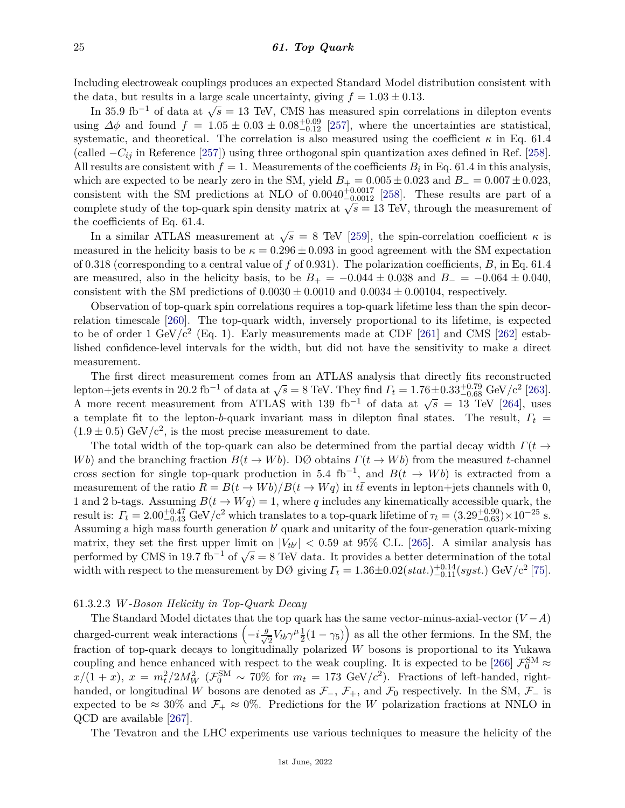Including electroweak couplings produces an expected Standard Model distribution consistent with the data, but results in a large scale uncertainty, giving  $f = 1.03 \pm 0.13$ .

In 35.9 fb<sup>-1</sup> of data at  $\sqrt{s}$  = 13 TeV, CMS has measured spin correlations in dilepton events using  $\Delta\phi$  and found  $f = 1.05 \pm 0.03 \pm 0.08^{+0.09}_{-0.12}$  [\[257\]](#page-43-9), where the uncertainties are statistical, systematic, and theoretical. The correlation is also measured using the coefficient  $\kappa$  in Eq. 61.4 (called −*Cij* in Reference [\[257\]](#page-43-9)) using three orthogonal spin quantization axes defined in Ref. [\[258\]](#page-43-10). All results are consistent with  $f = 1$ . Measurements of the coefficients  $B_i$  in Eq. 61.4 in this analysis, which are expected to be nearly zero in the SM, yield  $B_+ = 0.005 \pm 0.023$  and  $B_-=0.007 \pm 0.023$ , consistent with the SM predictions at NLO of  $0.0040^{+0.0017}_{-0.0012}$  [\[258\]](#page-43-10). These results are part of a complete study of the top-quark spin density matrix at  $\sqrt{s} = 13$  TeV, through the measurement of the coefficients of Eq. 61.4.

In a similar ATLAS measurement at  $\sqrt{s} = 8$  TeV [\[259\]](#page-43-11), the spin-correlation coefficient  $\kappa$  is measured in the helicity basis to be  $\kappa = 0.296 \pm 0.093$  in good agreement with the SM expectation of 0.318 (corresponding to a central value of *f* of 0.931). The polarization coefficients, *B*, in Eq. 61.4 are measured, also in the helicity basis, to be  $B_+ = -0.044 \pm 0.038$  and  $B_- = -0.064 \pm 0.040$ , consistent with the SM predictions of  $0.0030 \pm 0.0010$  and  $0.0034 \pm 0.00104$ , respectively.

Observation of top-quark spin correlations requires a top-quark lifetime less than the spin decorrelation timescale [\[260\]](#page-43-12). The top-quark width, inversely proportional to its lifetime, is expected to be of order 1 GeV/ $c^2$  (Eq. 1). Early measurements made at CDF [\[261\]](#page-43-13) and CMS [\[262\]](#page-43-14) established confidence-level intervals for the width, but did not have the sensitivity to make a direct measurement.

The first direct measurement comes from an ATLAS analysis that directly fits reconstructed lepton+jets events in 20.2 fb<sup>-1</sup> of data at  $\sqrt{s} = 8$  TeV. They find  $\Gamma_t = 1.76 \pm 0.33^{+0.79}_{-0.68}$  GeV/c<sup>2</sup> [\[263\]](#page-43-15).  $\Delta$  more recent measurement from ATLAS with 139 fb<sup>-1</sup> of data at  $\sqrt{s}$  = 13 TeV [\[264\]](#page-43-16), uses a template fit to the lepton-*b*-quark invariant mass in dilepton final states. The result,  $\Gamma_t$  =  $(1.9 \pm 0.5)$  GeV/c<sup>2</sup>, is the most precise measurement to date.

The total width of the top-quark can also be determined from the partial decay width  $\Gamma(t \to$ *Wb*) and the branching fraction  $B(t \to Wb)$ . DØ obtains  $\Gamma(t \to Wb)$  from the measured *t*-channel cross section for single top-quark production in 5.4 fb<sup>-1</sup>, and  $B(t \rightarrow Wb)$  is extracted from a measurement of the ratio  $R = B(t \to Wb)/B(t \to Wq)$  in  $t\bar{t}$  events in lepton+jets channels with 0, 1 and 2 b-tags. Assuming  $B(t \to Wq) = 1$ , where *q* includes any kinematically accessible quark, the result is:  $\Gamma_t = 2.00_{-0.43}^{+0.47}$  GeV/ $c^2$  which translates to a top-quark lifetime of  $\tau_t = (3.29_{-0.63}^{+0.90}) \times 10^{-25}$  s. Assuming a high mass fourth generation *b*' quark and unitarity of the four-generation quark-mixing matrix, they set the first upper limit on  $|V_{tb'}|$  < 0.59 at 95% C.L. [\[265\]](#page-43-17). A similar analysis has performed by CMS in 19.7 fb<sup>-1</sup> of  $\sqrt{s} = 8$  TeV data. It provides a better determination of the total width with respect to the measurement by DØ giving  $\Gamma_t = 1.36 \pm 0.02(stat.)^{+0.14}_{-0.11}(syst.)$  GeV/c<sup>2</sup> [\[75\]](#page-38-10).

#### 61.3.2.3 *W-Boson Helicity in Top-Quark Decay*

The Standard Model dictates that the top quark has the same vector-minus-axial-vector  $(V - A)$ charged-current weak interactions  $\left(-i\frac{g}{\sqrt{g}}\right)$  $\frac{1}{2}V_{tb}\gamma^{\mu}\frac{1}{2}(1-\gamma_5)\right)$  as all the other fermions. In the SM, the fraction of top-quark decays to longitudinally polarized *W* bosons is proportional to its Yukawa coupling and hence enhanced with respect to the weak coupling. It is expected to be [\[266\]](#page-43-18)  $\mathcal{F}_0^{\text{SM}} \approx$  $x/(1+x)$ ,  $x = m_t^2/2M_W^2$  ( $\mathcal{F}_0^{\text{SM}} \sim 70\%$  for  $m_t = 173 \text{ GeV}/c^2$ ). Fractions of left-handed, righthanded, or longitudinal *W* bosons are denoted as  $\mathcal{F}_-, \mathcal{F}_+,$  and  $\mathcal{F}_0$  respectively. In the SM,  $\mathcal{F}_-$  is expected to be  $\approx 30\%$  and  $\mathcal{F}_+ \approx 0\%$ . Predictions for the *W* polarization fractions at NNLO in QCD are available [\[267\]](#page-43-19).

The Tevatron and the LHC experiments use various techniques to measure the helicity of the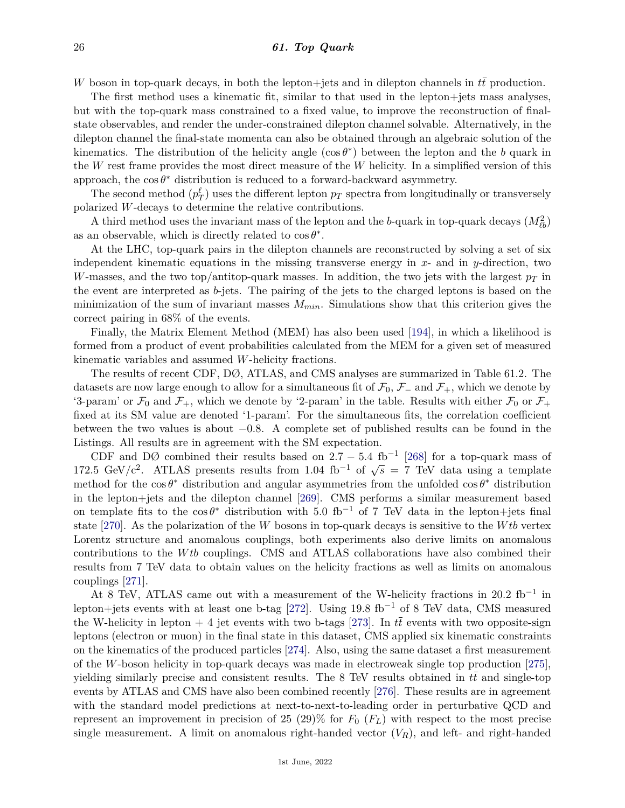*W* boson in top-quark decays, in both the lepton+jets and in dilepton channels in *tt* production.

The first method uses a kinematic fit, similar to that used in the lepton+jets mass analyses, but with the top-quark mass constrained to a fixed value, to improve the reconstruction of finalstate observables, and render the under-constrained dilepton channel solvable. Alternatively, in the dilepton channel the final-state momenta can also be obtained through an algebraic solution of the kinematics. The distribution of the helicity angle  $(\cos \theta^*)$  between the lepton and the *b* quark in the *W* rest frame provides the most direct measure of the *W* helicity. In a simplified version of this approach, the  $\cos \theta^*$  distribution is reduced to a forward-backward asymmetry.

The second method  $(p_T^{\ell})$  uses the different lepton  $p_T$  spectra from longitudinally or transversely polarized *W*-decays to determine the relative contributions.

A third method uses the invariant mass of the lepton and the *b*-quark in top-quark decays  $(M_{\ell b}^2)$ as an observable, which is directly related to  $\cos \theta^*$ .

At the LHC, top-quark pairs in the dilepton channels are reconstructed by solving a set of six independent kinematic equations in the missing transverse energy in *x*- and in *y*-direction, two *W*-masses, and the two top/antitop-quark masses. In addition, the two jets with the largest  $p_T$  in the event are interpreted as *b*-jets. The pairing of the jets to the charged leptons is based on the minimization of the sum of invariant masses *Mmin*. Simulations show that this criterion gives the correct pairing in 68% of the events.

Finally, the Matrix Element Method (MEM) has also been used [\[194\]](#page-41-19), in which a likelihood is formed from a product of event probabilities calculated from the MEM for a given set of measured kinematic variables and assumed *W*-helicity fractions.

The results of recent CDF, DØ, ATLAS, and CMS analyses are summarized in Table 61.2. The datasets are now large enough to allow for a simultaneous fit of  $\mathcal{F}_0$ ,  $\mathcal{F}_-$  and  $\mathcal{F}_+$ , which we denote by '3-param' or  $\mathcal{F}_0$  and  $\mathcal{F}_+$ , which we denote by '2-param' in the table. Results with either  $\mathcal{F}_0$  or  $\mathcal{F}_+$ fixed at its SM value are denoted '1-param'. For the simultaneous fits, the correlation coefficient between the two values is about −0*.*8. A complete set of published results can be found in the Listings. All results are in agreement with the SM expectation.

CDF and DØ combined their results based on  $2.7 - 5.4$  fb<sup>-1</sup> [\[268\]](#page-43-20) for a top-quark mass of 172.5 GeV/c<sup>2</sup>. ATLAS presents results from 1.04 fb<sup>-1</sup> of  $\sqrt{s} = 7$  TeV data using a template method for the  $\cos \theta^*$  distribution and angular asymmetries from the unfolded  $\cos \theta^*$  distribution in the lepton+jets and the dilepton channel [\[269\]](#page-43-21). CMS performs a similar measurement based on template fits to the  $\cos \theta^*$  distribution with 5.0 fb<sup>-1</sup> of 7 TeV data in the lepton+jets final state [\[270\]](#page-43-22). As the polarization of the *W* bosons in top-quark decays is sensitive to the *W tb* vertex Lorentz structure and anomalous couplings, both experiments also derive limits on anomalous contributions to the *W tb* couplings. CMS and ATLAS collaborations have also combined their results from 7 TeV data to obtain values on the helicity fractions as well as limits on anomalous couplings [\[271\]](#page-43-23).

At 8 TeV, ATLAS came out with a measurement of the W-helicity fractions in 20.2  $\text{fb}^{-1}$  in lepton+jets events with at least one b-tag [\[272\]](#page-43-24). Using 19*.*8 fb−<sup>1</sup> of 8 TeV data, CMS measured the W-helicity in lepton  $+$  4 jet events with two b-tags [\[273\]](#page-43-25). In  $t\bar{t}$  events with two opposite-sign leptons (electron or muon) in the final state in this dataset, CMS applied six kinematic constraints on the kinematics of the produced particles [\[274\]](#page-43-26). Also, using the same dataset a first measurement of the *W*-boson helicity in top-quark decays was made in electroweak single top production [\[275\]](#page-43-27), yielding similarly precise and consistent results. The 8 TeV results obtained in *tt* and single-top events by ATLAS and CMS have also been combined recently [\[276\]](#page-43-28). These results are in agreement with the standard model predictions at next-to-next-to-leading order in perturbative QCD and represent an improvement in precision of 25 (29)% for  $F_0$  ( $F_L$ ) with respect to the most precise single measurement. A limit on anomalous right-handed vector  $(V_R)$ , and left- and right-handed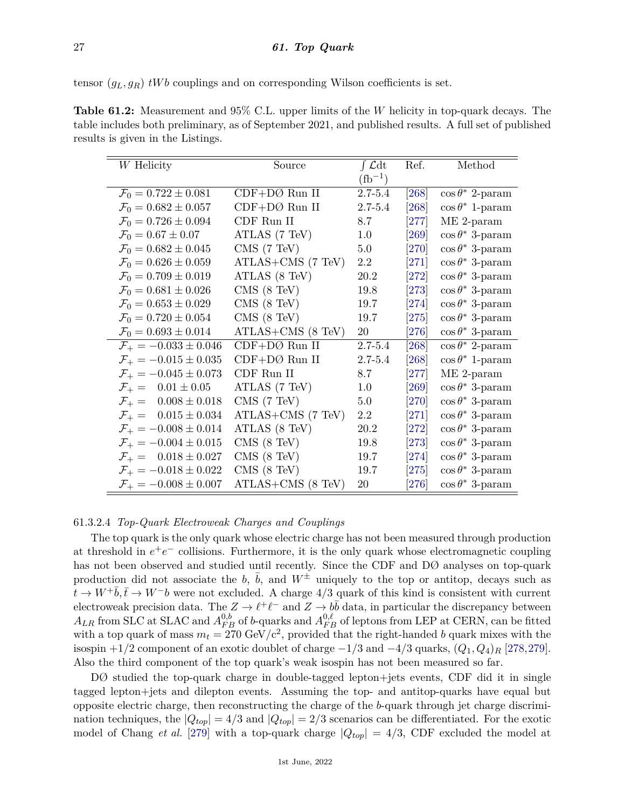tensor  $(g_L, g_R)$  *tWb* couplings and on corresponding Wilson coefficients is set.

**Table 61.2:** Measurement and 95% C.L. upper limits of the *W* helicity in top-quark decays. The table includes both preliminary, as of September 2021, and published results. A full set of published results is given in the Listings.

| W Helicity                         | Source              | $\int \mathcal{L} dt$ | Ref.    | Method                  |
|------------------------------------|---------------------|-----------------------|---------|-------------------------|
|                                    |                     | $({\rm fb}^{-1})$     |         |                         |
| $\mathcal{F}_0 = 0.722 \pm 0.081$  | $CDF+DØ$ Run II     | $2.7 - 5.4$           | [268]   | $\cos \theta^*$ 2-param |
| $\mathcal{F}_0 = 0.682 \pm 0.057$  | $CDF+DØ$ Run II     | $2.7 - 5.4$           | $[268]$ | $\cos \theta^*$ 1-param |
| $\mathcal{F}_0 = 0.726 \pm 0.094$  | CDF Run II          | 8.7                   | [277]   | ME 2-param              |
| $\mathcal{F}_0 = 0.67 \pm 0.07$    | ATLAS (7 TeV)       | $1.0\,$               | [269]   | $\cos \theta^*$ 3-param |
| $\mathcal{F}_0 = 0.682 \pm 0.045$  | CMS (7 TeV)         | 5.0                   | [270]   | $\cos \theta^*$ 3-param |
| $\mathcal{F}_0 = 0.626 \pm 0.059$  | ATLAS+CMS (7 TeV)   | $2.2\,$               | [271]   | $\cos \theta^*$ 3-param |
| $\mathcal{F}_0 = 0.709 \pm 0.019$  | ATLAS (8 TeV)       | 20.2                  | [272]   | $\cos \theta^*$ 3-param |
| $\mathcal{F}_0 = 0.681 \pm 0.026$  | CMS (8 TeV)         | 19.8                  | $[273]$ | $\cos \theta^*$ 3-param |
| $\mathcal{F}_0 = 0.653 \pm 0.029$  | CMS (8 TeV)         | 19.7                  | $[274]$ | $\cos \theta^*$ 3-param |
| $\mathcal{F}_0 = 0.720 \pm 0.054$  | CMS (8 TeV)         | 19.7                  | [275]   | $\cos \theta^*$ 3-param |
| $\mathcal{F}_0 = 0.693 \pm 0.014$  | $ATLAS+CMS$ (8 TeV) | 20                    | [276]   | $\cos \theta^*$ 3-param |
| $\mathcal{F}_+ = -0.033 \pm 0.046$ | $CDF+DØ$ Run II     | $2.7 - 5.4$           | [268]   | $\cos \theta^*$ 2-param |
| $\mathcal{F}_+ = -0.015 \pm 0.035$ | $CDF+DØ$ Run II     | $2.7 - 5.4$           | [268]   | $\cos \theta^*$ 1-param |
| $\mathcal{F}_+ = -0.045 \pm 0.073$ | CDF Run II          | 8.7                   | [277]   | $ME 2$ -param           |
| $\mathcal{F}_+ = 0.01 \pm 0.05$    | ATLAS (7 TeV)       | $1.0\,$               | [269]   | $\cos \theta^*$ 3-param |
| $\mathcal{F}_+ = 0.008 \pm 0.018$  | CMS (7 TeV)         | 5.0                   | [270]   | $\cos \theta^*$ 3-param |
| $\mathcal{F}_+ = 0.015 \pm 0.034$  | $ATLAS+CMS$ (7 TeV) | 2.2                   | [271]   | $\cos \theta^*$ 3-param |
| $\mathcal{F}_+ = -0.008 \pm 0.014$ | ATLAS (8 TeV)       | 20.2                  | $[272]$ | $\cos \theta^*$ 3-param |
| $\mathcal{F}_+ = -0.004 \pm 0.015$ | CMS (8 TeV)         | 19.8                  | $[273]$ | $\cos \theta^*$ 3-param |
| $\mathcal{F}_+ = 0.018 \pm 0.027$  | CMS (8 TeV)         | 19.7                  | [274]   | $\cos \theta^*$ 3-param |
| $\mathcal{F}_+ = -0.018 \pm 0.022$ | CMS (8 TeV)         | 19.7                  | [275]   | $\cos \theta^*$ 3-param |
| $\mathcal{F}_+ = -0.008 \pm 0.007$ | $ATLAS+CMS$ (8 TeV) | 20                    | [276]   | $\cos \theta^*$ 3-param |

## 61.3.2.4 *Top-Quark Electroweak Charges and Couplings*

The top quark is the only quark whose electric charge has not been measured through production at threshold in  $e^+e^-$  collisions. Furthermore, it is the only quark whose electromagnetic coupling has not been observed and studied until recently. Since the CDF and DØ analyses on top-quark production did not associate the *b*,  $\bar{b}$ , and  $W^{\pm}$  uniquely to the top or antitop, decays such as  $t \to W^+b, \bar{t} \to W^-b$  were not excluded. A charge 4/3 quark of this kind is consistent with current electroweak precision data. The  $Z \to \ell^+ \ell^-$  and  $Z \to b\bar{b}$  data, in particular the discrepancy between  $A_{LR}$  from SLC at SLAC and  $A_{FB}^{0,b}$  of *b*-quarks and  $A_{FB}^{0,\ell}$  of leptons from LEP at CERN, can be fitted with a top quark of mass  $m_t = 270 \text{ GeV}/c^2$ , provided that the right-handed *b* quark mixes with the isospin  $+1/2$  component of an exotic doublet of charge  $-1/3$  and  $-4/3$  quarks,  $(Q_1, Q_4)_R$  [\[278,](#page-43-30)[279\]](#page-44-0). Also the third component of the top quark's weak isospin has not been measured so far.

DØ studied the top-quark charge in double-tagged lepton+jets events, CDF did it in single tagged lepton+jets and dilepton events. Assuming the top- and antitop-quarks have equal but opposite electric charge, then reconstructing the charge of the *b*-quark through jet charge discrimination techniques, the  $|Q_{top}| = 4/3$  and  $|Q_{top}| = 2/3$  scenarios can be differentiated. For the exotic model of Chang *et al.* [\[279\]](#page-44-0) with a top-quark charge  $|Q_{top}| = 4/3$ , CDF excluded the model at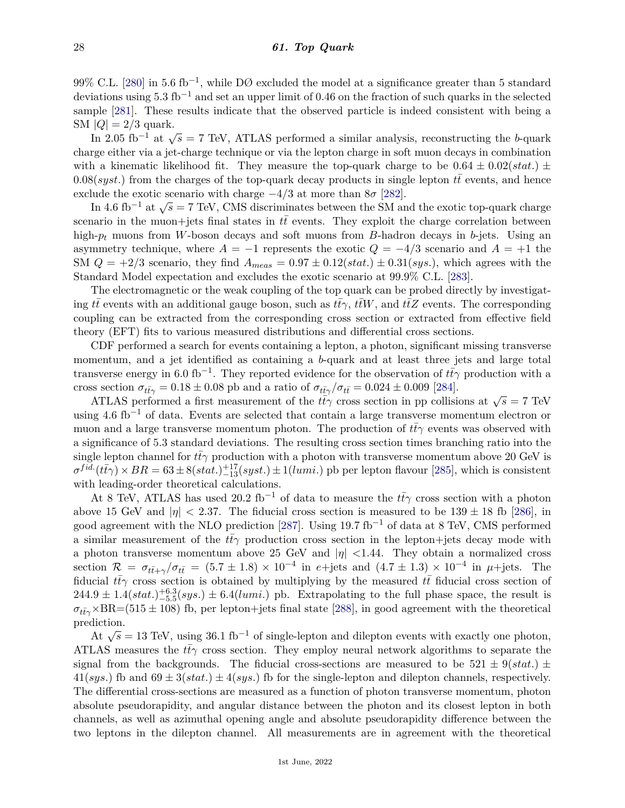99% C.L. [\[280\]](#page-44-1) in 5.6 fb<sup>-1</sup>, while DØ excluded the model at a significance greater than 5 standard deviations using 5*.*3 fb−<sup>1</sup> and set an upper limit of 0.46 on the fraction of such quarks in the selected sample [\[281\]](#page-44-2). These results indicate that the observed particle is indeed consistent with being a SM  $|Q| = 2/3$  quark.

In <sup>2</sup>*.*05 fb−<sup>1</sup> at <sup>√</sup> *s* = 7 TeV, ATLAS performed a similar analysis, reconstructing the *b*-quark charge either via a jet-charge technique or via the lepton charge in soft muon decays in combination with a kinematic likelihood fit. They measure the top-quark charge to be  $0.64 \pm 0.02(stat.) \pm$  $0.08(syst.)$  from the charges of the top-quark decay products in single lepton  $t\bar{t}$  events, and hence exclude the exotic scenario with charge  $-4/3$  at more than  $8\sigma$  [\[282\]](#page-44-3).

flude the exotic scenario with charge  $-4/3$  at more than 80 [282].<br>In 4.6 fb<sup>-1</sup> at  $\sqrt{s}$  = 7 TeV, CMS discriminates between the SM and the exotic top-quark charge scenario in the muon+jets final states in  $t\bar{t}$  events. They exploit the charge correlation between high- $p_t$  muons from *W*-boson decays and soft muons from *B*-hadron decays in *b*-jets. Using an asymmetry technique, where  $A = -1$  represents the exotic  $Q = -4/3$  scenario and  $A = +1$  the SM  $Q = \pm 2/3$  scenario, they find  $A_{meas} = 0.97 \pm 0.12(stat.) \pm 0.31(sys.),$  which agrees with the Standard Model expectation and excludes the exotic scenario at 99.9% C.L. [\[283\]](#page-44-4).

The electromagnetic or the weak coupling of the top quark can be probed directly by investigating  $t\bar{t}$  events with an additional gauge boson, such as  $t\bar{t}\gamma$ ,  $t\bar{t}W$ , and  $t\bar{t}Z$  events. The corresponding coupling can be extracted from the corresponding cross section or extracted from effective field theory (EFT) fits to various measured distributions and differential cross sections.

CDF performed a search for events containing a lepton, a photon, significant missing transverse momentum, and a jet identified as containing a *b*-quark and at least three jets and large total transverse energy in 6.0 fb<sup>-1</sup>. They reported evidence for the observation of  $t\bar{t}\gamma$  production with a cross section  $\sigma_{t\bar{t}\gamma} = 0.18 \pm 0.08$  pb and a ratio of  $\sigma_{t\bar{t}\gamma}/\sigma_{t\bar{t}} = 0.024 \pm 0.009$  [\[284\]](#page-44-5).

ATLAS performed a first measurement of the  $t\bar{t}\gamma/\sigma_{tt} = 0.024 \pm 0.009$  [204].<br>ATLAS performed a first measurement of the  $t\bar{t}\gamma$  cross section in pp collisions at  $\sqrt{s} = 7$  TeV using 4*.*6 fb−<sup>1</sup> of data. Events are selected that contain a large transverse momentum electron or muon and a large transverse momentum photon. The production of  $t\bar{t}\gamma$  events was observed with a significance of 5.3 standard deviations. The resulting cross section times branching ratio into the single lepton channel for  $t\bar{t}\gamma$  production with a photon with transverse momentum above 20 GeV is  $\sigma^{fid.}(t\bar{t}\gamma) \times BR = 63 \pm 8(stat.)^{+17}_{-13}(syst.) \pm 1(lumi.)$  pb per lepton flavour [\[285\]](#page-44-6), which is consistent with leading-order theoretical calculations.

At 8 TeV, ATLAS has used 20.2 fb<sup>-1</sup> of data to measure the  $t\bar{t}\gamma$  cross section with a photon above 15 GeV and  $|\eta|$  < 2.37. The fiducial cross section is measured to be  $139 \pm 18$  fb [\[286\]](#page-44-7), in good agreement with the NLO prediction [\[287\]](#page-44-8). Using 19*.*7 fb−<sup>1</sup> of data at 8 TeV, CMS performed a similar measurement of the  $t\bar{t}\gamma$  production cross section in the lepton+jets decay mode with a photon transverse momentum above 25 GeV and  $|\eta|$  <1.44. They obtain a normalized cross section  $\mathcal{R} = \sigma_{t\bar{t}+\gamma}/\sigma_{t\bar{t}} = (5.7 \pm 1.8) \times 10^{-4}$  in *e*+jets and  $(4.7 \pm 1.3) \times 10^{-4}$  in *µ*+jets. The fiducial  $t\bar{t}\gamma$  cross section is obtained by multiplying by the measured  $t\bar{t}$  fiducial cross section of  $244.9 \pm 1.4(stat.)^{+6.3}_{-5.5}(sys.) \pm 6.4(lumi.)$  pb. Extrapolating to the full phase space, the result is  $\sigma_{t\bar{t}\gamma}$ ×BR=(515 ± 108) fb, per lepton+jets final state [\[288\]](#page-44-9), in good agreement with the theoretical prediction.

At <sup>√</sup> *s* = 13 TeV, using 36*.*1 fb−<sup>1</sup> of single-lepton and dilepton events with exactly one photon, ATLAS measures the  $t\bar{t}\gamma$  cross section. They employ neural network algorithms to separate the signal from the backgrounds. The fiducial cross-sections are measured to be  $521 \pm 9(stat.) \pm$  $41(sys.)$  fb and  $69 \pm 3(stat.) \pm 4(sys.)$  fb for the single-lepton and dilepton channels, respectively. The differential cross-sections are measured as a function of photon transverse momentum, photon absolute pseudorapidity, and angular distance between the photon and its closest lepton in both channels, as well as azimuthal opening angle and absolute pseudorapidity difference between the two leptons in the dilepton channel. All measurements are in agreement with the theoretical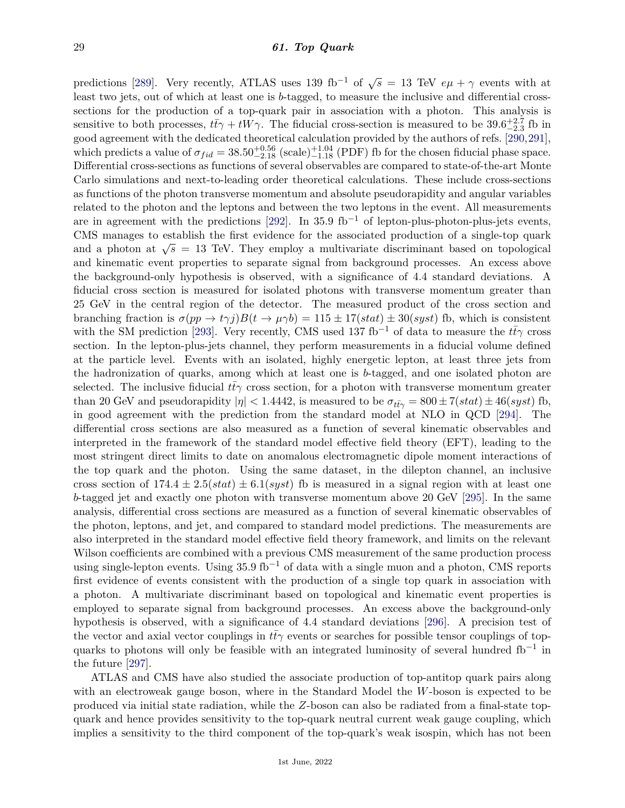## 29 *61. Top Quark*

predictions [\[289\]](#page-44-10). Very recently, ATLAS uses 139 fb<sup>-1</sup> of  $\sqrt{s}$  = 13 TeV  $e\mu + \gamma$  events with at least two jets, out of which at least one is *b*-tagged, to measure the inclusive and differential crosssections for the production of a top-quark pair in association with a photon. This analysis is sensitive to both processes,  $t\bar{t}\gamma + tW\gamma$ . The fiducial cross-section is measured to be  $39.6^{+2.7}_{-2.3}$  fb in good agreement with the dedicated theoretical calculation provided by the authors of refs. [\[290,](#page-44-11)[291\]](#page-44-12), which predicts a value of  $\sigma_{fid} = 38.50^{+0.56}_{-2.18}$  (scale)<sup> $+1.04$ </sup> (PDF) fb for the chosen fiducial phase space. Differential cross-sections as functions of several observables are compared to state-of-the-art Monte Carlo simulations and next-to-leading order theoretical calculations. These include cross-sections as functions of the photon transverse momentum and absolute pseudorapidity and angular variables related to the photon and the leptons and between the two leptons in the event. All measurements are in agreement with the predictions [\[292\]](#page-44-13). In 35.9 fb<sup>-1</sup> of lepton-plus-photon-plus-jets events, CMS manages to establish the first evidence for the associated production of a single-top quark and a photon at  $\sqrt{s}$  = 13 TeV. They employ a multivariate discriminant based on topological and kinematic event properties to separate signal from background processes. An excess above the background-only hypothesis is observed, with a significance of 4.4 standard deviations. A fiducial cross section is measured for isolated photons with transverse momentum greater than 25 GeV in the central region of the detector. The measured product of the cross section and branching fraction is  $\sigma(pp \to t\gamma j)B(t \to \mu\gamma b) = 115 \pm 17(stat) \pm 30(syst)$  fb, which is consistent with the SM prediction [\[293\]](#page-44-14). Very recently, CMS used 137 fb<sup>-1</sup> of data to measure the  $t\bar{t}\gamma$  cross section. In the lepton-plus-jets channel, they perform measurements in a fiducial volume defined at the particle level. Events with an isolated, highly energetic lepton, at least three jets from the hadronization of quarks, among which at least one is *b*-tagged, and one isolated photon are selected. The inclusive fiducial  $t\bar{t}\gamma$  cross section, for a photon with transverse momentum greater than 20 GeV and pseudorapidity  $|\eta|$  < 1.4442, is measured to be  $\sigma_{t\bar{t}\gamma} = 800 \pm 7(stat) \pm 46(syst)$  fb, in good agreement with the prediction from the standard model at NLO in QCD [\[294\]](#page-44-15). The differential cross sections are also measured as a function of several kinematic observables and interpreted in the framework of the standard model effective field theory (EFT), leading to the most stringent direct limits to date on anomalous electromagnetic dipole moment interactions of the top quark and the photon. Using the same dataset, in the dilepton channel, an inclusive cross section of  $174.4 \pm 2.5(stat) \pm 6.1(syst)$  fb is measured in a signal region with at least one *b*-tagged jet and exactly one photon with transverse momentum above 20 GeV [\[295\]](#page-44-16). In the same analysis, differential cross sections are measured as a function of several kinematic observables of the photon, leptons, and jet, and compared to standard model predictions. The measurements are also interpreted in the standard model effective field theory framework, and limits on the relevant Wilson coefficients are combined with a previous CMS measurement of the same production process using single-lepton events. Using 35*.*9 fb−<sup>1</sup> of data with a single muon and a photon, CMS reports first evidence of events consistent with the production of a single top quark in association with a photon. A multivariate discriminant based on topological and kinematic event properties is employed to separate signal from background processes. An excess above the background-only hypothesis is observed, with a significance of 4.4 standard deviations [\[296\]](#page-44-17). A precision test of the vector and axial vector couplings in  $t\bar{t}\gamma$  events or searches for possible tensor couplings of topquarks to photons will only be feasible with an integrated luminosity of several hundred  $fb^{-1}$  in the future [\[297\]](#page-44-18).

ATLAS and CMS have also studied the associate production of top-antitop quark pairs along with an electroweak gauge boson, where in the Standard Model the *W*-boson is expected to be produced via initial state radiation, while the *Z*-boson can also be radiated from a final-state topquark and hence provides sensitivity to the top-quark neutral current weak gauge coupling, which implies a sensitivity to the third component of the top-quark's weak isospin, which has not been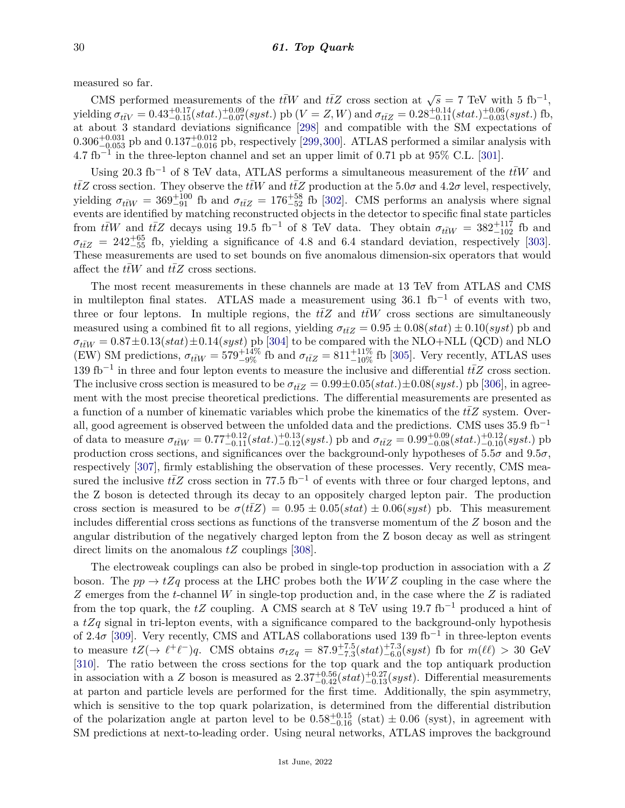measured so far.

CMS performed measurements of the  $t\bar{t}W$  and  $t\bar{t}Z$  cross section at  $\sqrt{s} = 7$  TeV with 5 fb<sup>-1</sup>, yielding  $\sigma_{t\bar{t}V} = 0.43^{+0.17}_{-0.15}(stat.)^{+0.09}_{-0.07}(syst.)$  pb  $(V = Z, W)$  and  $\sigma_{t\bar{t}Z} = 0.28^{+0.14}_{-0.11}(stat.)^{+0.06}_{-0.03}(syst.)$  fb, at about 3 standard deviations significance [\[298\]](#page-44-19) and compatible with the SM expectations of  $0.306_{-0.053}^{+0.031}$  pb and  $0.137_{-0.016}^{+0.012}$  pb, respectively [\[299,](#page-44-20)[300\]](#page-44-21). ATLAS performed a similar analysis with 4*.*7 fb−<sup>1</sup> in the three-lepton channel and set an upper limit of 0*.*71 pb at 95% C.L. [\[301\]](#page-44-22).

Using 20.3 fb<sup>-1</sup> of 8 TeV data, ATLAS performs a simultaneous measurement of the  $t\bar{t}W$  and  $t\bar{t}Z$  cross section. They observe the  $t\bar{t}W$  and  $t\bar{t}Z$  production at the 5*.0<i>σ* and 4*.2<i>σ* level, respectively, yielding  $\sigma_{\bar{t} \bar{t}W} = 369^{+100}_{-91}$  fb and  $\sigma_{\bar{t}Z} = 176^{+58}_{-52}$  fb [\[302\]](#page-44-23). CMS performs an analysis where signal events are identified by matching reconstructed objects in the detector to specific final state particles from  $t\bar{t}W$  and  $t\bar{t}Z$  decays using 19.5 fb<sup>-1</sup> of 8 TeV data. They obtain  $\sigma_{t\bar{t}W} = 382^{+117}_{-102}$  fb and  $\sigma_{t\bar{t}Z}$  = 242<sup>+65</sup> fb, yielding a significance of 4.8 and 6.4 standard deviation, respectively [\[303\]](#page-44-24). These measurements are used to set bounds on five anomalous dimension-six operators that would affect the  $t\bar{t}W$  and  $t\bar{t}Z$  cross sections.

The most recent measurements in these channels are made at 13 TeV from ATLAS and CMS in multilepton final states. ATLAS made a measurement using 36*.*1 fb−<sup>1</sup> of events with two, three or four leptons. In multiple regions, the  $t\bar{t}Z$  and  $t\bar{t}W$  cross sections are simultaneously measured using a combined fit to all regions, yielding  $\sigma_{t\bar{t}Z} = 0.95 \pm 0.08(stat) \pm 0.10(syst)$  pb and  $\sigma_{\bar{t}W} = 0.87 \pm 0.13(stat) \pm 0.14(syst)$  pb [\[304\]](#page-44-25) to be compared with the NLO+NLL (QCD) and NLO (EW) SM predictions,  $\sigma_{\bar{t}W} = 579^{+14\%}_{-9\%}$  fb and  $\sigma_{\bar{t}Z} = 811^{+11\%}_{-10\%}$  fb [\[305\]](#page-44-26). Very recently, ATLAS uses 139 fb<sup>-1</sup> in three and four lepton events to measure the inclusive and differential  $t\bar{t}Z$  cross section. The inclusive cross section is measured to be  $\sigma_{t\bar{t}Z} = 0.99 \pm 0.05(stat.) \pm 0.08(syst.)$  pb [\[306\]](#page-44-27), in agreement with the most precise theoretical predictions. The differential measurements are presented as a function of a number of kinematic variables which probe the kinematics of the  $t\bar{z}$  system. Overall, good agreement is observed between the unfolded data and the predictions. CMS uses 35*.*9 fb−<sup>1</sup> of data to measure  $\sigma_{t\bar{t}W} = 0.77^{+0.12}_{-0.11}(stat.)^{+0.13}_{-0.12}(syst.)$  pb and  $\sigma_{t\bar{t}Z} = 0.99^{+0.09}_{-0.08}(stat.)^{+0.12}_{-0.10}(syst.)$  pb production cross sections, and significances over the background-only hypotheses of  $5.5\sigma$  and  $9.5\sigma$ , respectively [\[307\]](#page-44-28), firmly establishing the observation of these processes. Very recently, CMS measured the inclusive  $t\bar{t}Z$  cross section in 77.5 fb<sup>-1</sup> of events with three or four charged leptons, and the Z boson is detected through its decay to an oppositely charged lepton pair. The production cross section is measured to be  $\sigma(tz) = 0.95 \pm 0.05(stat) \pm 0.06(syst)$  pb. This measurement includes differential cross sections as functions of the transverse momentum of the *Z* boson and the angular distribution of the negatively charged lepton from the Z boson decay as well as stringent direct limits on the anomalous *tZ* couplings [\[308\]](#page-44-29).

The electroweak couplings can also be probed in single-top production in association with a *Z* boson. The  $pp \rightarrow tZq$  process at the LHC probes both the *WWZ* coupling in the case where the *Z* emerges from the *t*-channel *W* in single-top production and, in the case where the *Z* is radiated from the top quark, the  $tZ$  coupling. A CMS search at 8 TeV using 19.7 fb<sup>-1</sup> produced a hint of a *tZq* signal in tri-lepton events, with a significance compared to the background-only hypothesis of 2.4 $\sigma$  [\[309\]](#page-44-30). Very recently, CMS and ATLAS collaborations used 139 fb<sup>-1</sup> in three-lepton events to measure  $tZ(\to \ell^+\ell^-)q$ . CMS obtains  $\sigma_{tZq} = 87.9^{+7.5}_{-7.3}(stat)^{+7.3}_{-6.0}(syst)$  fb for  $m(\ell\ell) > 30$  GeV [\[310\]](#page-44-31). The ratio between the cross sections for the top quark and the top antiquark production in association with a *Z* boson is measured as  $2.37^{+0.56}_{-0.42}(stat)^{+0.27}_{-0.13}(syst)$ . Differential measurements at parton and particle levels are performed for the first time. Additionally, the spin asymmetry, which is sensitive to the top quark polarization, is determined from the differential distribution of the polarization angle at parton level to be  $0.58^{+0.15}_{-0.16}$  (stat)  $\pm 0.06$  (syst), in agreement with SM predictions at next-to-leading order. Using neural networks, ATLAS improves the background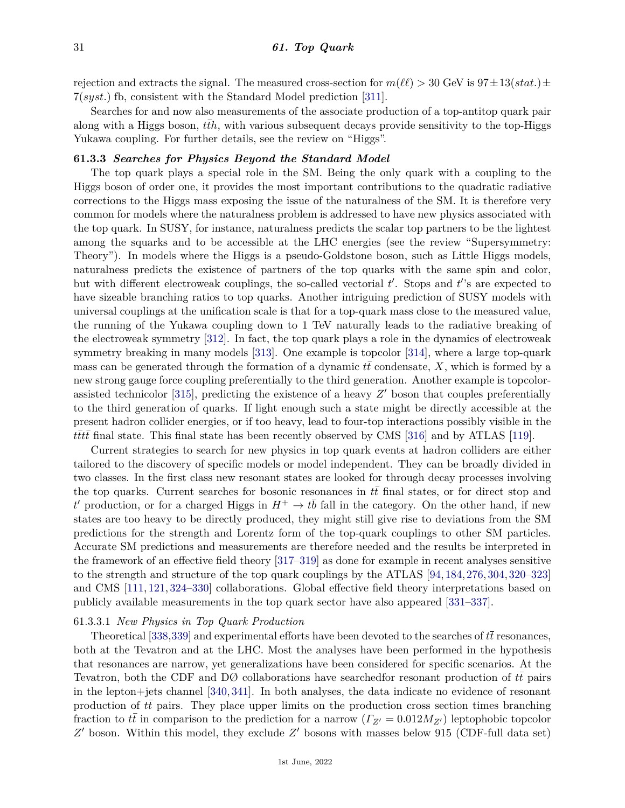rejection and extracts the signal. The measured cross-section for  $m(\ell\ell) > 30$  GeV is  $97 \pm 13(stat.) \pm$ 7(*syst.*) fb, consistent with the Standard Model prediction [\[311\]](#page-44-32).

Searches for and now also measurements of the associate production of a top-antitop quark pair along with a Higgs boson, *tth*, with various subsequent decays provide sensitivity to the top-Higgs Yukawa coupling. For further details, see the review on "Higgs".

#### **61.3.3** *Searches for Physics Beyond the Standard Model*

The top quark plays a special role in the SM. Being the only quark with a coupling to the Higgs boson of order one, it provides the most important contributions to the quadratic radiative corrections to the Higgs mass exposing the issue of the naturalness of the SM. It is therefore very common for models where the naturalness problem is addressed to have new physics associated with the top quark. In SUSY, for instance, naturalness predicts the scalar top partners to be the lightest among the squarks and to be accessible at the LHC energies (see the review "Supersymmetry: Theory"). In models where the Higgs is a pseudo-Goldstone boson, such as Little Higgs models, naturalness predicts the existence of partners of the top quarks with the same spin and color, but with different electroweak couplings, the so-called vectorial  $t'$ . Stops and  $t''$ s are expected to have sizeable branching ratios to top quarks. Another intriguing prediction of SUSY models with universal couplings at the unification scale is that for a top-quark mass close to the measured value, the running of the Yukawa coupling down to 1 TeV naturally leads to the radiative breaking of the electroweak symmetry [\[312\]](#page-44-33). In fact, the top quark plays a role in the dynamics of electroweak symmetry breaking in many models [\[313\]](#page-44-34). One example is topcolor [\[314\]](#page-44-35), where a large top-quark mass can be generated through the formation of a dynamic  $tt$  condensate,  $X$ , which is formed by a new strong gauge force coupling preferentially to the third generation. Another example is topcolorassisted technicolor  $[315]$ , predicting the existence of a heavy  $Z'$  boson that couples preferentially to the third generation of quarks. If light enough such a state might be directly accessible at the present hadron collider energies, or if too heavy, lead to four-top interactions possibly visible in the *tttt* final state. This final state has been recently observed by CMS [\[316\]](#page-45-0) and by ATLAS [\[119\]](#page-39-17).

Current strategies to search for new physics in top quark events at hadron colliders are either tailored to the discovery of specific models or model independent. They can be broadly divided in two classes. In the first class new resonant states are looked for through decay processes involving the top quarks. Current searches for bosonic resonances in  $t\bar{t}$  final states, or for direct stop and  $t'$  production, or for a charged Higgs in  $H^+ \to t\bar{b}$  fall in the category. On the other hand, if new states are too heavy to be directly produced, they might still give rise to deviations from the SM predictions for the strength and Lorentz form of the top-quark couplings to other SM particles. Accurate SM predictions and measurements are therefore needed and the results be interpreted in the framework of an effective field theory [\[317–](#page-45-1)[319\]](#page-45-2) as done for example in recent analyses sensitive to the strength and structure of the top quark couplings by the ATLAS [\[94,](#page-38-28) [184,](#page-41-9) [276,](#page-43-28) [304,](#page-44-25) [320–](#page-45-3)[323\]](#page-45-4) and CMS [\[111,](#page-39-9) [121,](#page-39-19) [324](#page-45-5)[–330\]](#page-45-6) collaborations. Global effective field theory interpretations based on publicly available measurements in the top quark sector have also appeared [\[331–](#page-45-7)[337\]](#page-45-8).

## 61.3.3.1 *New Physics in Top Quark Production*

Theoretical [\[338,](#page-45-9)[339\]](#page-45-10) and experimental efforts have been devoted to the searches of  $t\bar{t}$  resonances, both at the Tevatron and at the LHC. Most the analyses have been performed in the hypothesis that resonances are narrow, yet generalizations have been considered for specific scenarios. At the Tevatron, both the CDF and  $DØ$  collaborations have searchedfor resonant production of  $tt$  pairs in the lepton+jets channel [\[340,](#page-45-11) [341\]](#page-45-12). In both analyses, the data indicate no evidence of resonant production of  $t\bar{t}$  pairs. They place upper limits on the production cross section times branching fraction to *tt* in comparison to the prediction for a narrow  $(\Gamma_{Z} = 0.012 M_{Z})$  leptophobic topcolor Z' boson. Within this model, they exclude Z' bosons with masses below 915 (CDF-full data set)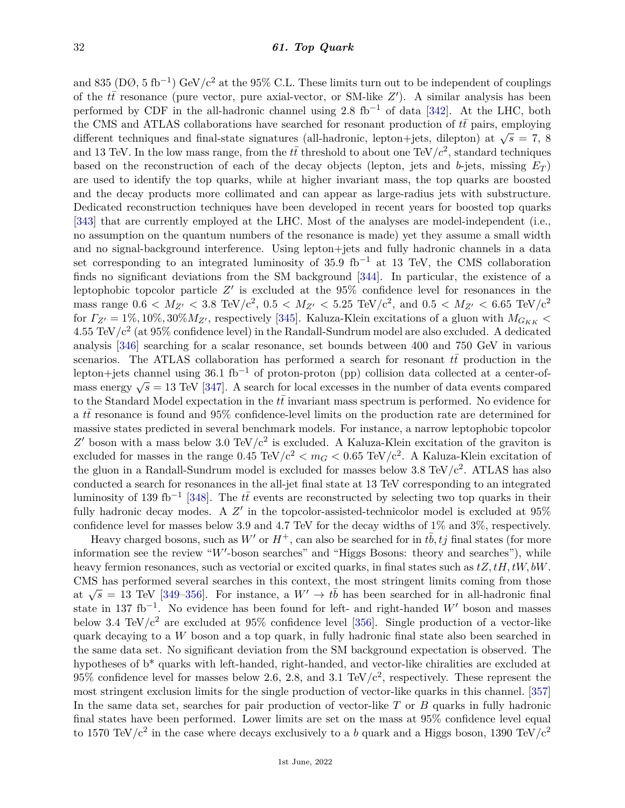and 835 (DØ, 5 fb<sup>-1</sup>) GeV/ $c^2$  at the 95% C.L. These limits turn out to be independent of couplings of the  $t\bar{t}$  resonance (pure vector, pure axial-vector, or SM-like  $Z'$ ). A similar analysis has been performed by CDF in the all-hadronic channel using 2.8 fb<sup>-1</sup> of data [\[342\]](#page-45-13). At the LHC, both the CMS and ATLAS collaborations have searched for resonant production of  $t\bar{t}$  pairs, employing different techniques and final-state signatures (all-hadronic, lepton+jets, dilepton) at  $\sqrt{s} = 7, 8$ and 13 TeV. In the low mass range, from the  $t\bar{t}$  threshold to about one TeV/ $c^2$ , standard techniques based on the reconstruction of each of the decay objects (lepton, jets and *b*-jets, missing  $E_T$ ) are used to identify the top quarks, while at higher invariant mass, the top quarks are boosted and the decay products more collimated and can appear as large-radius jets with substructure. Dedicated reconstruction techniques have been developed in recent years for boosted top quarks [\[343\]](#page-45-14) that are currently employed at the LHC. Most of the analyses are model-independent (i.e., no assumption on the quantum numbers of the resonance is made) yet they assume a small width and no signal-background interference. Using lepton+jets and fully hadronic channels in a data set corresponding to an integrated luminosity of 35.9 fb<sup>-1</sup> at 13 TeV, the CMS collaboration finds no significant deviations from the SM background [\[344\]](#page-45-15). In particular, the existence of a leptophobic topcolor particle  $Z'$  is excluded at the 95% confidence level for resonances in the mass range  $0.6 < M_{Z'} < 3.8 \text{ TeV}/c^2$ ,  $0.5 < M_{Z'} < 5.25 \text{ TeV}/c^2$ , and  $0.5 < M_{Z'} < 6.65 \text{ TeV}/c^2$  $f_{Z'} = 1\%, 10\%, 30\%$ *M<sub>Z</sub><sup>* $\prime$ *</sup>*, respectively [\[345\]](#page-45-16). Kaluza-Klein excitations of a gluon with  $M_{G_{KK}}$  <  $4.55 \text{ TeV}/\text{c}^2$  (at  $95\%$  confidence level) in the Randall-Sundrum model are also excluded. A dedicated analysis [\[346\]](#page-45-17) searching for a scalar resonance, set bounds between 400 and 750 GeV in various scenarios. The ATLAS collaboration has performed a search for resonant  $t\bar{t}$  production in the lepton+jets channel using 36*.*1 fb−<sup>1</sup> of proton-proton (pp) collision data collected at a center-of- $\frac{1}{\sqrt{s}}$  = 13 TeV [\[347\]](#page-45-18). A search for local excesses in the number of data events compared mass energy  $\sqrt{s}$  = 13 TeV [347]. A search for local excesses in the number of data events compared to the Standard Model expectation in the *tt*¯ invariant mass spectrum is performed. No evidence for a *tt* resonance is found and 95% confidence-level limits on the production rate are determined for massive states predicted in several benchmark models. For instance, a narrow leptophobic topcolor Z' boson with a mass below 3.0 TeV/ $c^2$  is excluded. A Kaluza-Klein excitation of the graviton is excluded for masses in the range  $0.45 \text{ TeV}/c^2 < m_G < 0.65 \text{ TeV}/c^2$ . A Kaluza-Klein excitation of the gluon in a Randall-Sundrum model is excluded for masses below 3*.*8 TeV*/*c 2 . ATLAS has also conducted a search for resonances in the all-jet final state at 13 TeV corresponding to an integrated luminosity of 139 fb<sup>-1</sup> [\[348\]](#page-45-19). The  $t\bar{t}$  events are reconstructed by selecting two top quarks in their fully hadronic decay modes. A  $Z'$  in the topcolor-assisted-technicolor model is excluded at  $95\%$ confidence level for masses below 3.9 and 4.7 TeV for the decay widths of 1% and 3%, respectively.

Heavy charged bosons, such as  $W'$  or  $H^+$ , can also be searched for in  $t\bar{b}$ ,  $t\bar{j}$  final states (for more information see the review " $W'$ -boson searches" and "Higgs Bosons: theory and searches"), while heavy fermion resonances, such as vectorial or excited quarks, in final states such as *tZ, tH, tW, bW*. CMS has performed several searches in this context, the most stringent limits coming from those at  $\sqrt{s} = 13$  TeV [\[349–](#page-46-0)[356\]](#page-46-1). For instance, a  $W' \to t\bar{b}$  has been searched for in all-hadronic final state in 137 fb<sup>-1</sup>. No evidence has been found for left- and right-handed *W*<sup>*'*</sup> boson and masses below 3.4 TeV*/*c <sup>2</sup> are excluded at 95% confidence level [\[356\]](#page-46-1). Single production of a vector-like quark decaying to a *W* boson and a top quark, in fully hadronic final state also been searched in the same data set. No significant deviation from the SM background expectation is observed. The hypotheses of  $b^*$  quarks with left-handed, right-handed, and vector-like chiralities are excluded at  $95\%$  confidence level for masses below 2.6, 2.8, and 3.1 TeV/ $c^2$ , respectively. These represent the most stringent exclusion limits for the single production of vector-like quarks in this channel. [\[357\]](#page-46-2) In the same data set, searches for pair production of vector-like *T* or *B* quarks in fully hadronic final states have been performed. Lower limits are set on the mass at 95% confidence level equal to 1570 TeV/ $c^2$  in the case where decays exclusively to a *b* quark and a Higgs boson, 1390 TeV/ $c^2$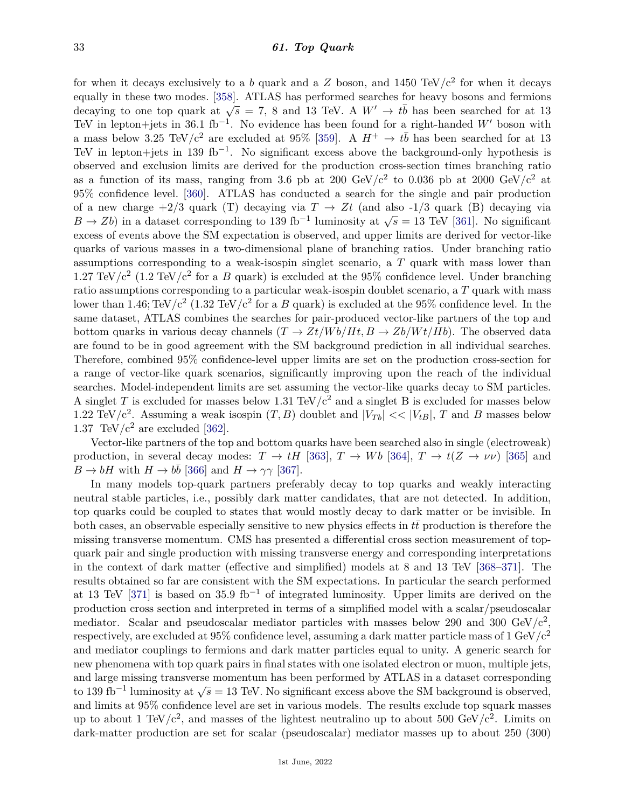for when it decays exclusively to a *b* quark and a *Z* boson, and 1450 TeV/ $c^2$  for when it decays equally in these two modes. [\[358\]](#page-46-3). ATLAS has performed searches for heavy bosons and fermions equally in these two modes. [556]. ATLAS has performed searches for heavy bosons and fermions decaying to one top quark at  $\sqrt{s} = 7$ , 8 and 13 TeV. A  $W' \to t\bar{b}$  has been searched for at 13 TeV in lepton+jets in 36.1 fb<sup>-1</sup>. No evidence has been found for a right-handed  $W'$  boson with a mass below 3.25 TeV/ $c^2$  are excluded at 95% [\[359\]](#page-46-4). A  $H^+ \to t\bar{b}$  has been searched for at 13 TeV in lepton+jets in 139 fb<sup>-1</sup>. No significant excess above the background-only hypothesis is observed and exclusion limits are derived for the production cross-section times branching ratio as a function of its mass, ranging from 3.6 pb at 200 GeV/ $c^2$  to 0.036 pb at 2000 GeV/ $c^2$  at 95% confidence level. [\[360\]](#page-46-5). ATLAS has conducted a search for the single and pair production of a new charge  $+2/3$  quark (T) decaying via  $T \rightarrow Zt$  (and also  $-1/3$  quark (B) decaying via of a flew charge  $\pm$ 2/5 quark (1) decaying via  $I \rightarrow Zt$  (and also -1/5 quark (B) decaying via  $B \rightarrow Zb$ ) in a dataset corresponding to 139 fb<sup>-1</sup> luminosity at  $\sqrt{s}$  = 13 TeV [\[361\]](#page-46-6). No significant excess of events above the SM expectation is observed, and upper limits are derived for vector-like quarks of various masses in a two-dimensional plane of branching ratios. Under branching ratio assumptions corresponding to a weak-isospin singlet scenario, a *T* quark with mass lower than 1.27 TeV/ $c^2$  (1.2 TeV/ $c^2$  for a *B* quark) is excluded at the 95% confidence level. Under branching ratio assumptions corresponding to a particular weak-isospin doublet scenario, a *T* quark with mass lower than  $1.46$ ; TeV/ $c^2$  (1.32 TeV/ $c^2$  for a *B* quark) is excluded at the 95% confidence level. In the same dataset, ATLAS combines the searches for pair-produced vector-like partners of the top and bottom quarks in various decay channels  $(T \to Zt/Wb/Ht, B \to Zb/Wt/Hb)$ . The observed data are found to be in good agreement with the SM background prediction in all individual searches. Therefore, combined 95% confidence-level upper limits are set on the production cross-section for a range of vector-like quark scenarios, significantly improving upon the reach of the individual searches. Model-independent limits are set assuming the vector-like quarks decay to SM particles. A singlet *T* is excluded for masses below 1.31 TeV*/*c <sup>2</sup> and a singlet B is excluded for masses below 1.22 TeV/ $c^2$ . Assuming a weak isospin  $(T, B)$  doublet and  $|V_{Tb}| \ll |V_{tb}|$ , T and B masses below 1.37 TeV/ $c^2$  are excluded [\[362\]](#page-46-7).

Vector-like partners of the top and bottom quarks have been searched also in single (electroweak) production, in several decay modes:  $T \to tH$  [\[363\]](#page-46-8),  $T \to Wb$  [\[364\]](#page-46-9),  $T \to t(Z \to \nu\nu)$  [\[365\]](#page-46-10) and  $B \to bH$  with  $H \to b\bar{b}$  [\[366\]](#page-46-11) and  $H \to \gamma\gamma$  [\[367\]](#page-46-12).

In many models top-quark partners preferably decay to top quarks and weakly interacting neutral stable particles, i.e., possibly dark matter candidates, that are not detected. In addition, top quarks could be coupled to states that would mostly decay to dark matter or be invisible. In both cases, an observable especially sensitive to new physics effects in *tt* production is therefore the missing transverse momentum. CMS has presented a differential cross section measurement of topquark pair and single production with missing transverse energy and corresponding interpretations in the context of dark matter (effective and simplified) models at 8 and 13 TeV [\[368](#page-46-13)[–371\]](#page-46-14). The results obtained so far are consistent with the SM expectations. In particular the search performed at 13 TeV [\[371\]](#page-46-14) is based on 35.9 fb<sup>-1</sup> of integrated luminosity. Upper limits are derived on the production cross section and interpreted in terms of a simplified model with a scalar/pseudoscalar mediator. Scalar and pseudoscalar mediator particles with masses below 290 and 300 GeV/c<sup>2</sup>, respectively, are excluded at 95% confidence level, assuming a dark matter particle mass of 1 GeV*/*c 2 and mediator couplings to fermions and dark matter particles equal to unity. A generic search for new phenomena with top quark pairs in final states with one isolated electron or muon, multiple jets, and large missing transverse momentum has been performed by ATLAS in a dataset corresponding to 139 fb−<sup>1</sup> luminosity at <sup>√</sup> *s* = 13 TeV. No significant excess above the SM background is observed, and limits at 95% confidence level are set in various models. The results exclude top squark masses up to about 1 TeV/ $c^2$ , and masses of the lightest neutralino up to about 500 GeV/ $c^2$ . Limits on dark-matter production are set for scalar (pseudoscalar) mediator masses up to about 250 (300)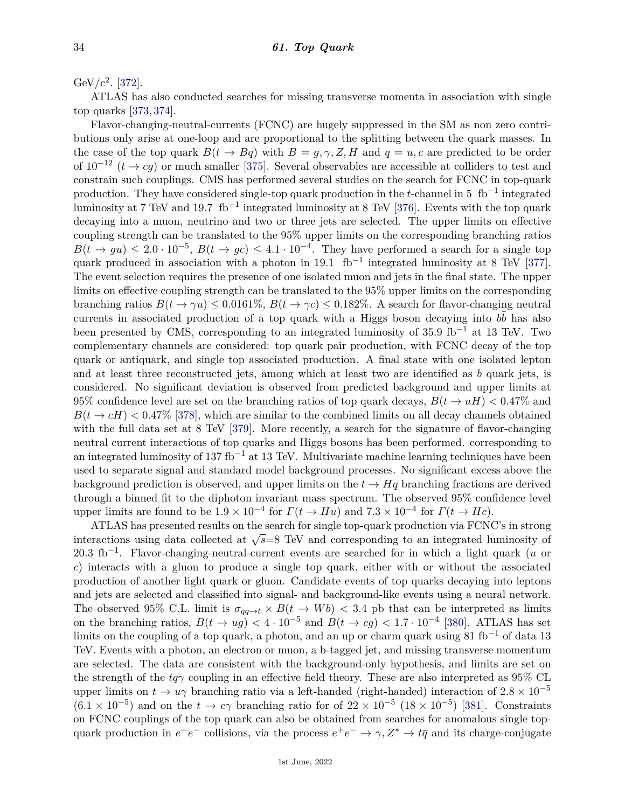## GeV/ $c^2$ . [\[372\]](#page-46-15).

ATLAS has also conducted searches for missing transverse momenta in association with single top quarks [\[373,](#page-46-16) [374\]](#page-46-17).

Flavor-changing-neutral-currents (FCNC) are hugely suppressed in the SM as non zero contributions only arise at one-loop and are proportional to the splitting between the quark masses. In the case of the top quark  $B(t \to Bq)$  with  $B = g, \gamma, Z, H$  and  $q = u, c$  are predicted to be order of  $10^{-12}$  ( $t \rightarrow cg$ ) or much smaller [\[375\]](#page-46-18). Several observables are accessible at colliders to test and constrain such couplings. CMS has performed several studies on the search for FCNC in top-quark production. They have considered single-top quark production in the *t*-channel in 5 fb−<sup>1</sup> integrated luminosity at 7 TeV and 19*.*7 fb−<sup>1</sup> integrated luminosity at 8 TeV [\[376\]](#page-46-19). Events with the top quark decaying into a muon, neutrino and two or three jets are selected. The upper limits on effective coupling strength can be translated to the 95% upper limits on the corresponding branching ratios  $B(t \to gu) \leq 2.0 \cdot 10^{-5}$ ,  $B(t \to gc) \leq 4.1 \cdot 10^{-4}$ . They have performed a search for a single top quark produced in association with a photon in  $19.1 \text{ fb}^{-1}$  integrated luminosity at 8 TeV [\[377\]](#page-46-20). The event selection requires the presence of one isolated muon and jets in the final state. The upper limits on effective coupling strength can be translated to the 95% upper limits on the corresponding branching ratios  $B(t \to \gamma u) \leq 0.0161\%$ ,  $B(t \to \gamma c) \leq 0.182\%$ . A search for flavor-changing neutral currents in associated production of a top quark with a Higgs boson decaying into  $b\bar{b}$  has also been presented by CMS, corresponding to an integrated luminosity of 35.9 fb−<sup>1</sup> at 13 TeV. Two complementary channels are considered: top quark pair production, with FCNC decay of the top quark or antiquark, and single top associated production. A final state with one isolated lepton and at least three reconstructed jets, among which at least two are identified as *b* quark jets, is considered. No significant deviation is observed from predicted background and upper limits at 95% confidence level are set on the branching ratios of top quark decays,  $B(t \to uH) < 0.47\%$  and  $B(t \to cH)$  < 0.47% [\[378\]](#page-46-21), which are similar to the combined limits on all decay channels obtained with the full data set at 8 TeV [\[379\]](#page-46-22). More recently, a search for the signature of flavor-changing neutral current interactions of top quarks and Higgs bosons has been performed. corresponding to an integrated luminosity of 137 fb<sup>-1</sup> at 13 TeV. Multivariate machine learning techniques have been used to separate signal and standard model background processes. No significant excess above the background prediction is observed, and upper limits on the  $t \to Hq$  branching fractions are derived through a binned fit to the diphoton invariant mass spectrum. The observed 95% confidence level upper limits are found to be  $1.9 \times 10^{-4}$  for  $\Gamma(t \to Hu)$  and  $7.3 \times 10^{-4}$  for  $\Gamma(t \to Hc)$ .

ATLAS has presented results on the search for single top-quark production via FCNC's in strong  $\overline{\text{ATLAS}}$  has presented results on the search for single top-quark production via PCNC s in strong<br>interactions using data collected at  $\sqrt{s}=8$  TeV and corresponding to an integrated luminosity of 20.3 fb−<sup>1</sup> . Flavor-changing-neutral-current events are searched for in which a light quark (*u* or *c*) interacts with a gluon to produce a single top quark, either with or without the associated production of another light quark or gluon. Candidate events of top quarks decaying into leptons and jets are selected and classified into signal- and background-like events using a neural network. The observed 95% C.L. limit is  $\sigma_{qq \to t} \times B(t \to Wb) < 3.4$  pb that can be interpreted as limits on the branching ratios,  $B(t \to ug) < 4 \cdot 10^{-5}$  and  $B(t \to cg) < 1.7 \cdot 10^{-4}$  [\[380\]](#page-46-23). ATLAS has set limits on the coupling of a top quark, a photon, and an up or charm quark using 81 fb<sup>-1</sup> of data 13 TeV. Events with a photon, an electron or muon, a b-tagged jet, and missing transverse momentum are selected. The data are consistent with the background-only hypothesis, and limits are set on the strength of the *tqγ* coupling in an effective field theory. These are also interpreted as 95% CL upper limits on  $t \to u\gamma$  branching ratio via a left-handed (right-handed) interaction of  $2.8 \times 10^{-5}$  $(6.1 \times 10^{-5})$  and on the  $t \to c\gamma$  branching ratio for of  $22 \times 10^{-5}$  ( $18 \times 10^{-5}$ ) [\[381\]](#page-46-24). Constraints on FCNC couplings of the top quark can also be obtained from searches for anomalous single topquark production in  $e^+e^-$  collisions, via the process  $e^+e^- \to \gamma$ ,  $Z^* \to t\bar{q}$  and its charge-conjugate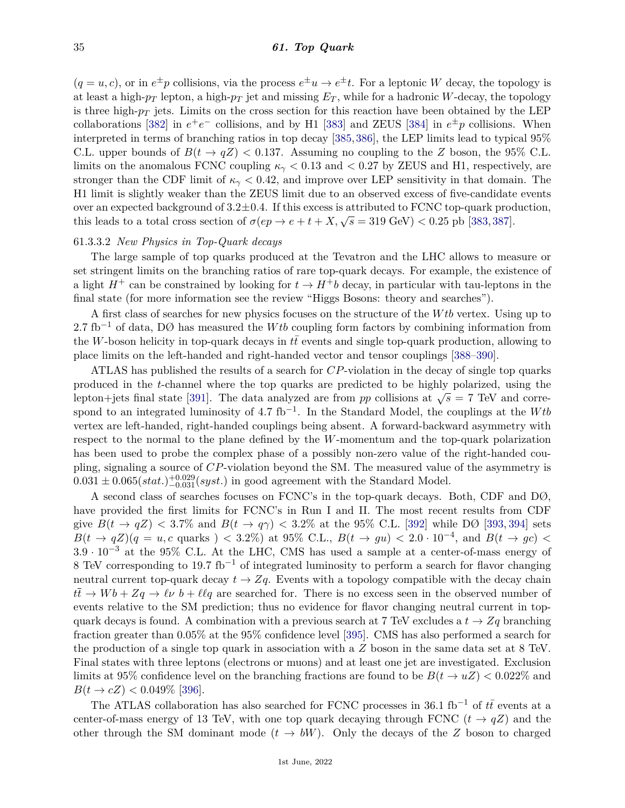$(q = u, c)$ , or in  $e^{\pm}p$  collisions, via the process  $e^{\pm}u \to e^{\pm}t$ . For a leptonic *W* decay, the topology is at least a high- $p_T$  lepton, a high- $p_T$  jet and missing  $E_T$ , while for a hadronic *W*-decay, the topology is three high- $p_T$  jets. Limits on the cross section for this reaction have been obtained by the LEP collaborations [\[382\]](#page-47-0) in  $e^+e^-$  collisions, and by H1 [\[383\]](#page-47-1) and ZEUS [\[384\]](#page-47-2) in  $e^{\pm}p$  collisions. When interpreted in terms of branching ratios in top decay [\[385,](#page-47-3)[386\]](#page-47-4), the LEP limits lead to typical 95% C.L. upper bounds of  $B(t \to qZ) < 0.137$ . Assuming no coupling to the *Z* boson, the 95% C.L. limits on the anomalous FCNC coupling  $\kappa_{\gamma}$  < 0.13 and < 0.27 by ZEUS and H1, respectively, are stronger than the CDF limit of  $\kappa_{\gamma}$  < 0.42, and improve over LEP sensitivity in that domain. The H1 limit is slightly weaker than the ZEUS limit due to an observed excess of five-candidate events over an expected background of  $3.2 \pm 0.4$ . If this excess is attributed to FCNC top-quark production, this leads to a total cross section of  $\sigma(ep \to e + t + X, \sqrt{s} = 319 \text{ GeV}) < 0.25 \text{ pb } [383, 387].$  $\sigma(ep \to e + t + X, \sqrt{s} = 319 \text{ GeV}) < 0.25 \text{ pb } [383, 387].$  $\sigma(ep \to e + t + X, \sqrt{s} = 319 \text{ GeV}) < 0.25 \text{ pb } [383, 387].$  $\sigma(ep \to e + t + X, \sqrt{s} = 319 \text{ GeV}) < 0.25 \text{ pb } [383, 387].$  $\sigma(ep \to e + t + X, \sqrt{s} = 319 \text{ GeV}) < 0.25 \text{ pb } [383, 387].$ 

#### 61.3.3.2 *New Physics in Top-Quark decays*

The large sample of top quarks produced at the Tevatron and the LHC allows to measure or set stringent limits on the branching ratios of rare top-quark decays. For example, the existence of a light  $H^+$  can be constrained by looking for  $t \to H^+b$  decay, in particular with tau-leptons in the final state (for more information see the review "Higgs Bosons: theory and searches").

A first class of searches for new physics focuses on the structure of the *W tb* vertex. Using up to 2*.*7 fb−<sup>1</sup> of data, DØ has measured the *W tb* coupling form factors by combining information from the *W*-boson helicity in top-quark decays in  $t\bar{t}$  events and single top-quark production, allowing to place limits on the left-handed and right-handed vector and tensor couplings [\[388–](#page-47-6)[390\]](#page-47-7).

ATLAS has published the results of a search for *CP*-violation in the decay of single top quarks produced in the *t*-channel where the top quarks are predicted to be highly polarized, using the produced in the *t*-channel where the top quarks are predicted to be highly polarized, using the lepton+jets final state [\[391\]](#page-47-8). The data analyzed are from *pp* collisions at  $\sqrt{s} = 7$  TeV and correspond to an integrated luminosity of 4.7 fb<sup>-1</sup>. In the Standard Model, the couplings at the *Wtb* vertex are left-handed, right-handed couplings being absent. A forward-backward asymmetry with respect to the normal to the plane defined by the *W*-momentum and the top-quark polarization has been used to probe the complex phase of a possibly non-zero value of the right-handed coupling, signaling a source of *CP*-violation beyond the SM. The measured value of the asymmetry is  $0.031 \pm 0.065(stat.)^{+0.029}_{-0.031}(syst.)$  in good agreement with the Standard Model.

A second class of searches focuses on FCNC's in the top-quark decays. Both, CDF and DØ, have provided the first limits for FCNC's in Run I and II. The most recent results from CDF give  $B(t \to qZ)$  < 3.7% and  $B(t \to q\gamma)$  < 3.2% at the 95% C.L. [\[392\]](#page-47-9) while DØ [\[393,](#page-47-10) [394\]](#page-47-11) sets  $B(t \to qZ)(q = u, c \text{ quarks } ) < 3.2\%$  at 95% C.L.,  $B(t \to gu) < 2.0 \cdot 10^{-4}$ , and  $B(t \to gc) <$ 3*.*9 · 10−<sup>3</sup> at the 95% C.L. At the LHC, CMS has used a sample at a center-of-mass energy of 8 TeV corresponding to 19.7 fb<sup>-1</sup> of integrated luminosity to perform a search for flavor changing neutral current top-quark decay  $t \to Zq$ . Events with a topology compatible with the decay chain  $t\bar{t} \to Wb + Zq \to \ell \nu \bar{b} + \ell \ell q$  are searched for. There is no excess seen in the observed number of events relative to the SM prediction; thus no evidence for flavor changing neutral current in topquark decays is found. A combination with a previous search at 7 TeV excludes a  $t \to Zq$  branching fraction greater than 0.05% at the 95% confidence level [\[395\]](#page-47-12). CMS has also performed a search for the production of a single top quark in association with a *Z* boson in the same data set at 8 TeV. Final states with three leptons (electrons or muons) and at least one jet are investigated. Exclusion limits at 95% confidence level on the branching fractions are found to be  $B(t \to uZ) < 0.022\%$  and  $B(t \to cZ) < 0.049\%$  [\[396\]](#page-47-13).

The ATLAS collaboration has also searched for FCNC processes in 36.1 fb<sup>-1</sup> of  $t\bar{t}$  events at a center-of-mass energy of 13 TeV, with one top quark decaying through FCNC  $(t \rightarrow qZ)$  and the other through the SM dominant mode  $(t \to bW)$ . Only the decays of the *Z* boson to charged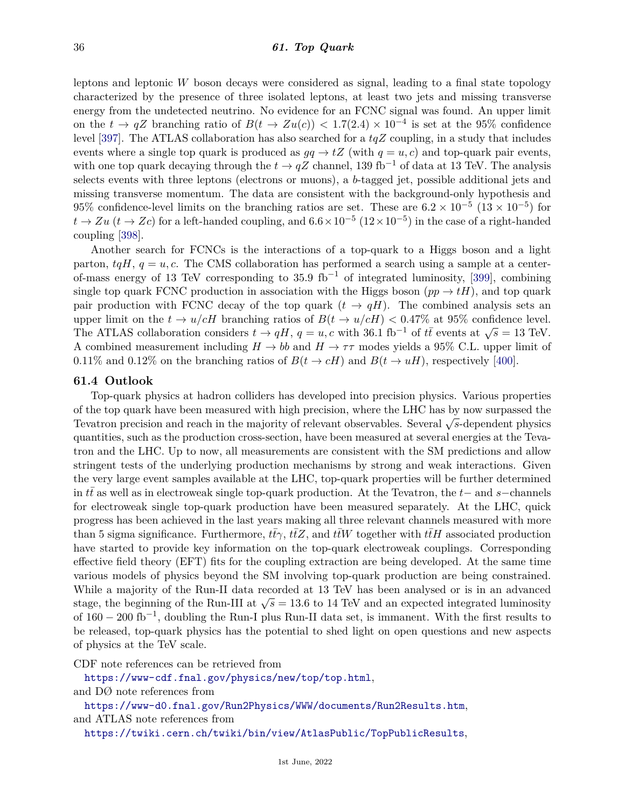leptons and leptonic  $W$  boson decays were considered as signal, leading to a final state topology characterized by the presence of three isolated leptons, at least two jets and missing transverse energy from the undetected neutrino. No evidence for an FCNC signal was found. An upper limit on the  $t \to qZ$  branching ratio of  $B(t \to Zu(c)) < 1.7(2.4) \times 10^{-4}$  is set at the 95% confidence level [\[397\]](#page-47-14). The ATLAS collaboration has also searched for a *tqZ* coupling, in a study that includes events where a single top quark is produced as  $qq \rightarrow tZ$  (with  $q = u, c$ ) and top-quark pair events, with one top quark decaying through the  $t \to qZ$  channel, 139 fb<sup>-1</sup> of data at 13 TeV. The analysis selects events with three leptons (electrons or muons), a *b*-tagged jet, possible additional jets and missing transverse momentum. The data are consistent with the background-only hypothesis and 95% confidence-level limits on the branching ratios are set. These are  $6.2 \times 10^{-5}$  ( $13 \times 10^{-5}$ ) for  $t \to Zu$  ( $t \to Zc$ ) for a left-handed coupling, and  $6.6 \times 10^{-5}$  ( $12 \times 10^{-5}$ ) in the case of a right-handed coupling [\[398\]](#page-47-15).

Another search for FCNCs is the interactions of a top-quark to a Higgs boson and a light parton,  $tqH$ ,  $q = u$ , c. The CMS collaboration has performed a search using a sample at a center-of-mass energy of 13 TeV corresponding to 35.9 fb<sup>-1</sup> of integrated luminosity, [\[399\]](#page-47-16), combining single top quark FCNC production in association with the Higgs boson  $(pp \rightarrow tH)$ , and top quark pair production with FCNC decay of the top quark  $(t \rightarrow qH)$ . The combined analysis sets an upper limit on the  $t \to u/cH$  branching ratios of  $B(t \to u/cH) < 0.47\%$  at 95% confidence level. The ATLAS collaboration considers  $t \to qH$ ,  $q = u$ , c with 36.1 fb<sup>-1</sup> of  $t\bar{t}$  events at  $\sqrt{s} = 13$  TeV. A combined measurement including  $H \to bb$  and  $H \to \tau\tau$  modes yields a 95% C.L. upper limit of 0.11% and 0.12% on the branching ratios of  $B(t \to cH)$  and  $B(t \to uH)$ , respectively [\[400\]](#page-47-17).

### **61.4 Outlook**

Top-quark physics at hadron colliders has developed into precision physics. Various properties of the top quark have been measured with high precision, where the LHC has by now surpassed the of the top quark have been measured with high precision, where the EIIC has by now surpassed the<br>Tevatron precision and reach in the majority of relevant observables. Several √s-dependent physics quantities, such as the production cross-section, have been measured at several energies at the Tevatron and the LHC. Up to now, all measurements are consistent with the SM predictions and allow stringent tests of the underlying production mechanisms by strong and weak interactions. Given the very large event samples available at the LHC, top-quark properties will be further determined in *tt*¯as well as in electroweak single top-quark production. At the Tevatron, the *t*− and *s*−channels for electroweak single top-quark production have been measured separately. At the LHC, quick progress has been achieved in the last years making all three relevant channels measured with more than 5 sigma significance. Furthermore,  $t\bar{t}\gamma$ ,  $t\bar{t}Z$ , and  $t\bar{t}W$  together with  $t\bar{t}H$  associated production have started to provide key information on the top-quark electroweak couplings. Corresponding effective field theory (EFT) fits for the coupling extraction are being developed. At the same time various models of physics beyond the SM involving top-quark production are being constrained. While a majority of the Run-II data recorded at 13 TeV has been analysed or is in an advanced while a majority of the Run-III data recorded at 15 TeV has been analysed of is in an advanced stage, the beginning of the Run-III at  $\sqrt{s} = 13.6$  to 14 TeV and an expected integrated luminosity of  $160 - 200$  fb<sup>-1</sup>, doubling the Run-I plus Run-II data set, is immanent. With the first results to be released, top-quark physics has the potential to shed light on open questions and new aspects of physics at the TeV scale.

CDF note references can be retrieved from

<https://www-cdf.fnal.gov/physics/new/top/top.html>,

<https://www-d0.fnal.gov/Run2Physics/WWW/documents/Run2Results.htm>, and ATLAS note references from

<https://twiki.cern.ch/twiki/bin/view/AtlasPublic/TopPublicResults>,

and DØ note references from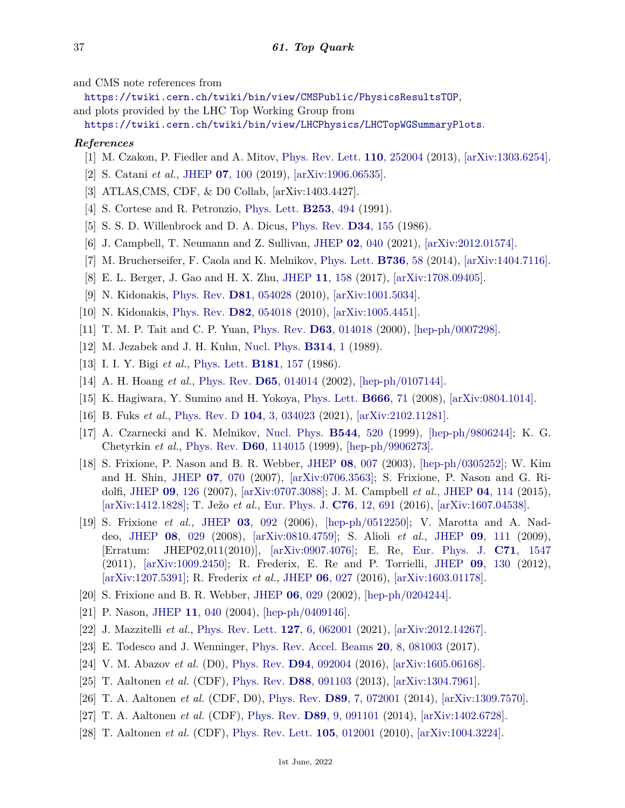and CMS note references from

- <https://twiki.cern.ch/twiki/bin/view/CMSPublic/PhysicsResultsTOP>,
- and plots provided by the LHC Top Working Group from

<https://twiki.cern.ch/twiki/bin/view/LHCPhysics/LHCTopWGSummaryPlots>.

#### <span id="page-36-0"></span>*References*

- [1] M. Czakon, P. Fiedler and A. Mitov, [Phys. Rev. Lett.](http://doi.org/10.1103/PhysRevLett.110.252004) **110**[, 252004](http://doi.org/10.1103/PhysRevLett.110.252004) (2013), [\[arXiv:1303.6254\].](https://arxiv.org/abs/1303.6254)
- <span id="page-36-1"></span>[2] S. Catani *et al.*, [JHEP](http://doi.org/10.1007/JHEP07(2019)100) **07**[, 100](http://doi.org/10.1007/JHEP07(2019)100) (2019), [\[arXiv:1906.06535\].](https://arxiv.org/abs/1906.06535)
- <span id="page-36-2"></span>[3] ATLAS,CMS, CDF, & D0 Collab, [arXiv:1403.4427].
- <span id="page-36-3"></span>[4] S. Cortese and R. Petronzio, [Phys. Lett.](http://doi.org/10.1016/0370-2693(91)91758-N) **[B253](http://doi.org/10.1016/0370-2693(91)91758-N)**, 494 (1991).
- <span id="page-36-4"></span>[5] S. S. D. Willenbrock and D. A. Dicus, [Phys. Rev.](http://doi.org/10.1103/PhysRevD.34.155) **D34**[, 155](http://doi.org/10.1103/PhysRevD.34.155) (1986).
- <span id="page-36-5"></span>[6] J. Campbell, T. Neumann and Z. Sullivan, [JHEP](http://doi.org/10.1007/JHEP02(2021)040) **02**[, 040](http://doi.org/10.1007/JHEP02(2021)040) (2021), [\[arXiv:2012.01574\].](https://arxiv.org/abs/2012.01574)
- <span id="page-36-6"></span>[7] M. Brucherseifer, F. Caola and K. Melnikov, [Phys. Lett.](http://doi.org/10.1016/j.physletb.2014.06.075) **[B736](http://doi.org/10.1016/j.physletb.2014.06.075)**, 58 (2014), [\[arXiv:1404.7116\].](https://arxiv.org/abs/1404.7116)
- <span id="page-36-7"></span>[8] E. L. Berger, J. Gao and H. X. Zhu, [JHEP](http://doi.org/10.1007/JHEP11(2017)158) **11**[, 158](http://doi.org/10.1007/JHEP11(2017)158) (2017), [\[arXiv:1708.09405\].](https://arxiv.org/abs/1708.09405)
- <span id="page-36-8"></span>[9] N. Kidonakis, [Phys. Rev.](http://doi.org/10.1103/PhysRevD.81.054028) **D81**[, 054028](http://doi.org/10.1103/PhysRevD.81.054028) (2010), [\[arXiv:1001.5034\].](https://arxiv.org/abs/1001.5034)
- <span id="page-36-9"></span>[10] N. Kidonakis, [Phys. Rev.](http://doi.org/10.1103/PhysRevD.82.054018) **D82**[, 054018](http://doi.org/10.1103/PhysRevD.82.054018) (2010), [\[arXiv:1005.4451\].](https://arxiv.org/abs/1005.4451)
- <span id="page-36-10"></span>[11] T. M. P. Tait and C. P. Yuan, [Phys. Rev.](http://doi.org/10.1103/PhysRevD.63.014018) **D63**[, 014018](http://doi.org/10.1103/PhysRevD.63.014018) (2000), [\[hep-ph/0007298\].](https://arxiv.org/abs/hep-ph/0007298)
- <span id="page-36-11"></span>[12] M. Jezabek and J. H. Kuhn, [Nucl. Phys.](http://doi.org/10.1016/0550-3213(89)90108-9) **[B314](http://doi.org/10.1016/0550-3213(89)90108-9)**, 1 (1989).
- <span id="page-36-12"></span>[13] I. I. Y. Bigi *et al.*, [Phys. Lett.](http://doi.org/10.1016/0370-2693(86)91275-X) **[B181](http://doi.org/10.1016/0370-2693(86)91275-X)**, 157 (1986).
- <span id="page-36-13"></span>[14] A. H. Hoang *et al.*, [Phys. Rev.](http://doi.org/10.1103/PhysRevD.65.014014) **D65**[, 014014](http://doi.org/10.1103/PhysRevD.65.014014) (2002), [\[hep-ph/0107144\].](https://arxiv.org/abs/hep-ph/0107144)
- <span id="page-36-14"></span>[15] K. Hagiwara, Y. Sumino and H. Yokoya, [Phys. Lett.](http://doi.org/10.1016/j.physletb.2008.07.006) **[B666](http://doi.org/10.1016/j.physletb.2008.07.006)**, 71 (2008), [\[arXiv:0804.1014\].](https://arxiv.org/abs/0804.1014)
- <span id="page-36-15"></span>[16] B. Fuks *et al.*, [Phys. Rev. D](http://doi.org/10.1103/PhysRevD.104.034023) **104**[, 3, 034023](http://doi.org/10.1103/PhysRevD.104.034023) (2021), [\[arXiv:2102.11281\].](https://arxiv.org/abs/2102.11281)
- <span id="page-36-16"></span>[17] A. Czarnecki and K. Melnikov, [Nucl. Phys.](http://doi.org/10.1016/S0550-3213(98)00844-X) **[B544](http://doi.org/10.1016/S0550-3213(98)00844-X)**, 520 (1999), [\[hep-ph/9806244\];](https://arxiv.org/abs/hep-ph/9806244) K. G. Chetyrkin *et al.*, [Phys. Rev.](http://doi.org/10.1103/PhysRevD.60.114015) **D60**[, 114015](http://doi.org/10.1103/PhysRevD.60.114015) (1999), [\[hep-ph/9906273\].](https://arxiv.org/abs/hep-ph/9906273)
- <span id="page-36-17"></span>[18] S. Frixione, P. Nason and B. R. Webber, [JHEP](http://doi.org/10.1088/1126-6708/2003/08/007) **08**[, 007](http://doi.org/10.1088/1126-6708/2003/08/007) (2003), [\[hep-ph/0305252\];](https://arxiv.org/abs/hep-ph/0305252) W. Kim and H. Shin, [JHEP](http://doi.org/10.1088/1126-6708/2007/07/070) **07**[, 070](http://doi.org/10.1088/1126-6708/2007/07/070) (2007), [\[arXiv:0706.3563\];](https://arxiv.org/abs/0706.3563) S. Frixione, P. Nason and G. Ridolfi, [JHEP](http://doi.org/10.1088/1126-6708/2007/09/126) **09**[, 126](http://doi.org/10.1088/1126-6708/2007/09/126) (2007), [\[arXiv:0707.3088\];](https://arxiv.org/abs/0707.3088) J. M. Campbell *et al.*, [JHEP](http://doi.org/10.1007/JHEP04(2015)114) **04**[, 114](http://doi.org/10.1007/JHEP04(2015)114) (2015), [\[arXiv:1412.1828\];](https://arxiv.org/abs/1412.1828) T. Ježo *et al.*, [Eur. Phys. J.](http://doi.org/10.1140/epjc/s10052-016-4538-2) **C76**[, 12, 691](http://doi.org/10.1140/epjc/s10052-016-4538-2) (2016), [\[arXiv:1607.04538\].](https://arxiv.org/abs/1607.04538)
- <span id="page-36-18"></span>[19] S. Frixione *et al.*, [JHEP](http://doi.org/10.1088/1126-6708/2006/03/092) **03**[, 092](http://doi.org/10.1088/1126-6708/2006/03/092) (2006), [\[hep-ph/0512250\];](https://arxiv.org/abs/hep-ph/0512250) V. Marotta and A. Naddeo, [JHEP](http://doi.org/10.1088/1126-6708/2008/08/029) **08**[, 029](http://doi.org/10.1088/1126-6708/2008/08/029) (2008), [\[arXiv:0810.4759\];](https://arxiv.org/abs/0810.4759) S. Alioli *et al.*, [JHEP](http://doi.org/10.1007/JHEP02(2010)011) **09**[, 111](http://doi.org/10.1007/JHEP02(2010)011) (2009), [Erratum: JHEP02,011(2010)], [\[arXiv:0907.4076\];](https://arxiv.org/abs/0907.4076) E. Re, [Eur. Phys. J.](http://doi.org/10.1140/epjc/s10052-011-1547-z) **C71**[, 1547](http://doi.org/10.1140/epjc/s10052-011-1547-z) (2011), [\[arXiv:1009.2450\];](https://arxiv.org/abs/1009.2450) R. Frederix, E. Re and P. Torrielli, [JHEP](http://doi.org/10.1007/JHEP09(2012)130) **09**[, 130](http://doi.org/10.1007/JHEP09(2012)130) (2012), [\[arXiv:1207.5391\];](https://arxiv.org/abs/1207.5391) R. Frederix *et al.*, [JHEP](http://doi.org/10.1007/JHEP06(2016)027) **06**[, 027](http://doi.org/10.1007/JHEP06(2016)027) (2016), [\[arXiv:1603.01178\].](https://arxiv.org/abs/1603.01178)
- <span id="page-36-19"></span>[20] S. Frixione and B. R. Webber, [JHEP](http://doi.org/10.1088/1126-6708/2002/06/029) **06**[, 029](http://doi.org/10.1088/1126-6708/2002/06/029) (2002), [\[hep-ph/0204244\].](https://arxiv.org/abs/hep-ph/0204244)
- <span id="page-36-20"></span>[21] P. Nason, [JHEP](http://doi.org/10.1088/1126-6708/2004/11/040) **11**[, 040](http://doi.org/10.1088/1126-6708/2004/11/040) (2004), [\[hep-ph/0409146\].](https://arxiv.org/abs/hep-ph/0409146)
- <span id="page-36-21"></span>[22] J. Mazzitelli *et al.*, [Phys. Rev. Lett.](http://doi.org/10.1103/PhysRevLett.127.062001) **127**[, 6, 062001](http://doi.org/10.1103/PhysRevLett.127.062001) (2021), [\[arXiv:2012.14267\].](https://arxiv.org/abs/2012.14267)
- <span id="page-36-22"></span>[23] E. Todesco and J. Wenninger, [Phys. Rev. Accel. Beams](http://doi.org/10.1103/PhysRevAccelBeams.20.081003) **20**[, 8, 081003](http://doi.org/10.1103/PhysRevAccelBeams.20.081003) (2017).
- <span id="page-36-23"></span>[24] V. M. Abazov *et al.* (D0), [Phys. Rev.](http://doi.org/10.1103/PhysRevD.94.092004) **D94**[, 092004](http://doi.org/10.1103/PhysRevD.94.092004) (2016), [\[arXiv:1605.06168\].](https://arxiv.org/abs/1605.06168)
- <span id="page-36-24"></span>[25] T. Aaltonen *et al.* (CDF), [Phys. Rev.](http://doi.org/10.1103/PhysRevD.88.091103) **D88**[, 091103](http://doi.org/10.1103/PhysRevD.88.091103) (2013), [\[arXiv:1304.7961\].](https://arxiv.org/abs/1304.7961)
- <span id="page-36-25"></span>[26] T. A. Aaltonen *et al.* (CDF, D0), [Phys. Rev.](http://doi.org/10.1103/PhysRevD.89.072001) **D89**[, 7, 072001](http://doi.org/10.1103/PhysRevD.89.072001) (2014), [\[arXiv:1309.7570\].](https://arxiv.org/abs/1309.7570)
- <span id="page-36-26"></span>[27] T. A. Aaltonen *et al.* (CDF), [Phys. Rev.](http://doi.org/10.1103/PhysRevD.89.091101) **D89**[, 9, 091101](http://doi.org/10.1103/PhysRevD.89.091101) (2014), [\[arXiv:1402.6728\].](https://arxiv.org/abs/1402.6728)
- <span id="page-36-27"></span>[28] T. Aaltonen *et al.* (CDF), [Phys. Rev. Lett.](http://doi.org/10.1103/PhysRevLett.105.012001) **105**[, 012001](http://doi.org/10.1103/PhysRevLett.105.012001) (2010), [\[arXiv:1004.3224\].](https://arxiv.org/abs/1004.3224)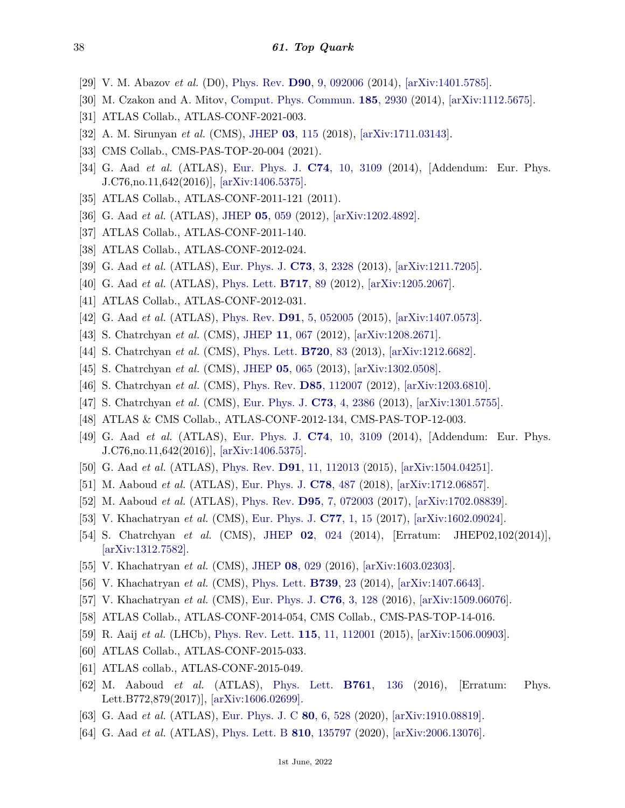- <span id="page-37-0"></span>[29] V. M. Abazov *et al.* (D0), [Phys. Rev.](http://doi.org/10.1103/PhysRevD.90.092006) **D90**[, 9, 092006](http://doi.org/10.1103/PhysRevD.90.092006) (2014), [\[arXiv:1401.5785\].](https://arxiv.org/abs/1401.5785)
- <span id="page-37-1"></span>[30] M. Czakon and A. Mitov, [Comput. Phys. Commun.](http://doi.org/10.1016/j.cpc.2014.06.021) **185**[, 2930](http://doi.org/10.1016/j.cpc.2014.06.021) (2014), [\[arXiv:1112.5675\].](https://arxiv.org/abs/1112.5675)
- <span id="page-37-2"></span>[31] ATLAS Collab., ATLAS-CONF-2021-003.
- <span id="page-37-3"></span>[32] A. M. Sirunyan *et al.* (CMS), [JHEP](http://doi.org/10.1007/JHEP03(2018)115) **03**[, 115](http://doi.org/10.1007/JHEP03(2018)115) (2018), [\[arXiv:1711.03143\].](https://arxiv.org/abs/1711.03143)
- <span id="page-37-4"></span>[33] CMS Collab., CMS-PAS-TOP-20-004 (2021).
- <span id="page-37-5"></span>[34] G. Aad *et al.* (ATLAS), [Eur. Phys. J.](http://doi.org/10.1140/epjc/s10052-016-4501-2) **C74**[, 10, 3109](http://doi.org/10.1140/epjc/s10052-016-4501-2) (2014), [Addendum: Eur. Phys. J.C76,no.11,642(2016)], [\[arXiv:1406.5375\].](https://arxiv.org/abs/1406.5375)
- <span id="page-37-6"></span>[35] ATLAS Collab., ATLAS-CONF-2011-121 (2011).
- <span id="page-37-8"></span><span id="page-37-7"></span>[36] G. Aad *et al.* (ATLAS), [JHEP](http://doi.org/10.1007/JHEP05(2012)059) **05**[, 059](http://doi.org/10.1007/JHEP05(2012)059) (2012), [\[arXiv:1202.4892\].](https://arxiv.org/abs/1202.4892)
- [37] ATLAS Collab., ATLAS-CONF-2011-140.
- <span id="page-37-9"></span>[38] ATLAS Collab., ATLAS-CONF-2012-024.
- <span id="page-37-10"></span>[39] G. Aad *et al.* (ATLAS), [Eur. Phys. J.](http://doi.org/10.1140/epjc/s10052-013-2328-7) **C73**[, 3, 2328](http://doi.org/10.1140/epjc/s10052-013-2328-7) (2013), [\[arXiv:1211.7205\].](https://arxiv.org/abs/1211.7205)
- <span id="page-37-11"></span>[40] G. Aad *et al.* (ATLAS), [Phys. Lett.](http://doi.org/10.1016/j.physletb.2012.09.032) **[B717](http://doi.org/10.1016/j.physletb.2012.09.032)**, 89 (2012), [\[arXiv:1205.2067\].](https://arxiv.org/abs/1205.2067)
- <span id="page-37-12"></span>[41] ATLAS Collab., ATLAS-CONF-2012-031.
- <span id="page-37-13"></span>[42] G. Aad *et al.* (ATLAS), [Phys. Rev.](http://doi.org/10.1103/PhysRevD.91.052005) **D91**[, 5, 052005](http://doi.org/10.1103/PhysRevD.91.052005) (2015), [\[arXiv:1407.0573\].](https://arxiv.org/abs/1407.0573)
- <span id="page-37-14"></span>[43] S. Chatrchyan *et al.* (CMS), [JHEP](http://doi.org/10.1007/JHEP11(2012)067) **11**[, 067](http://doi.org/10.1007/JHEP11(2012)067) (2012), [\[arXiv:1208.2671\].](https://arxiv.org/abs/1208.2671)
- <span id="page-37-15"></span>[44] S. Chatrchyan *et al.* (CMS), [Phys. Lett.](http://doi.org/10.1016/j.physletb.2013.02.021) **[B720](http://doi.org/10.1016/j.physletb.2013.02.021)**, 83 (2013), [\[arXiv:1212.6682\].](https://arxiv.org/abs/1212.6682)
- <span id="page-37-16"></span>[45] S. Chatrchyan *et al.* (CMS), [JHEP](http://doi.org/10.1007/JHEP05(2013)065) **05**[, 065](http://doi.org/10.1007/JHEP05(2013)065) (2013), [\[arXiv:1302.0508\].](https://arxiv.org/abs/1302.0508)
- <span id="page-37-17"></span>[46] S. Chatrchyan *et al.* (CMS), [Phys. Rev.](http://doi.org/10.1103/PhysRevD.85.112007) **D85**[, 112007](http://doi.org/10.1103/PhysRevD.85.112007) (2012), [\[arXiv:1203.6810\].](https://arxiv.org/abs/1203.6810)
- <span id="page-37-18"></span>[47] S. Chatrchyan *et al.* (CMS), [Eur. Phys. J.](http://doi.org/10.1140/epjc/s10052-013-2386-x) **C73**[, 4, 2386](http://doi.org/10.1140/epjc/s10052-013-2386-x) (2013), [\[arXiv:1301.5755\].](https://arxiv.org/abs/1301.5755)
- <span id="page-37-19"></span>[48] ATLAS & CMS Collab., ATLAS-CONF-2012-134, CMS-PAS-TOP-12-003.
- <span id="page-37-20"></span>[49] G. Aad *et al.* (ATLAS), [Eur. Phys. J.](http://doi.org/10.1140/epjc/s10052-016-4501-2) **C74**[, 10, 3109](http://doi.org/10.1140/epjc/s10052-016-4501-2) (2014), [Addendum: Eur. Phys. J.C76,no.11,642(2016)], [\[arXiv:1406.5375\].](https://arxiv.org/abs/1406.5375)
- <span id="page-37-21"></span>[50] G. Aad *et al.* (ATLAS), [Phys. Rev.](http://doi.org/10.1103/PhysRevD.91.112013) **D91**[, 11, 112013](http://doi.org/10.1103/PhysRevD.91.112013) (2015), [\[arXiv:1504.04251\].](https://arxiv.org/abs/1504.04251)
- <span id="page-37-22"></span>[51] M. Aaboud *et al.* (ATLAS), [Eur. Phys. J.](http://doi.org/10.1140/epjc/s10052-018-5904-z) **C78**[, 487](http://doi.org/10.1140/epjc/s10052-018-5904-z) (2018), [\[arXiv:1712.06857\].](https://arxiv.org/abs/1712.06857)
- <span id="page-37-23"></span>[52] M. Aaboud *et al.* (ATLAS), [Phys. Rev.](http://doi.org/10.1103/PhysRevD.95.072003) **D95**[, 7, 072003](http://doi.org/10.1103/PhysRevD.95.072003) (2017), [\[arXiv:1702.08839\].](https://arxiv.org/abs/1702.08839)
- <span id="page-37-24"></span>[53] V. Khachatryan *et al.* (CMS), [Eur. Phys. J.](http://doi.org/10.1140/epjc/s10052-016-4504-z) **C77**[, 1, 15](http://doi.org/10.1140/epjc/s10052-016-4504-z) (2017), [\[arXiv:1602.09024\].](https://arxiv.org/abs/1602.09024)
- <span id="page-37-25"></span>[54] S. Chatrchyan *et al.* (CMS), [JHEP](http://doi.org/10.1007/JHEP02(2014)024) **02**[, 024](http://doi.org/10.1007/JHEP02(2014)024) (2014), [Erratum: JHEP02,102(2014)], [\[arXiv:1312.7582\].](https://arxiv.org/abs/1312.7582)
- <span id="page-37-26"></span>[55] V. Khachatryan *et al.* (CMS), [JHEP](http://doi.org/10.1007/JHEP08(2016)029) **08**[, 029](http://doi.org/10.1007/JHEP08(2016)029) (2016), [\[arXiv:1603.02303\].](https://arxiv.org/abs/1603.02303)
- <span id="page-37-27"></span>[56] V. Khachatryan *et al.* (CMS), [Phys. Lett.](http://doi.org/10.1016/j.physletb.2014.10.032) **[B739](http://doi.org/10.1016/j.physletb.2014.10.032)**, 23 (2014), [\[arXiv:1407.6643\].](https://arxiv.org/abs/1407.6643)
- <span id="page-37-28"></span>[57] V. Khachatryan *et al.* (CMS), [Eur. Phys. J.](http://doi.org/10.1140/epjc/s10052-016-3956-5) **C76**[, 3, 128](http://doi.org/10.1140/epjc/s10052-016-3956-5) (2016), [\[arXiv:1509.06076\].](https://arxiv.org/abs/1509.06076)
- <span id="page-37-29"></span>[58] ATLAS Collab., ATLAS-CONF-2014-054, CMS Collab., CMS-PAS-TOP-14-016.
- <span id="page-37-31"></span><span id="page-37-30"></span>[59] R. Aaij *et al.* (LHCb), [Phys. Rev. Lett.](http://doi.org/10.1103/PhysRevLett.115.112001) **115**[, 11, 112001](http://doi.org/10.1103/PhysRevLett.115.112001) (2015), [\[arXiv:1506.00903\].](https://arxiv.org/abs/1506.00903)
- [60] ATLAS Collab., ATLAS-CONF-2015-033.
- <span id="page-37-32"></span>[61] ATLAS collab., ATLAS-CONF-2015-049.
- <span id="page-37-33"></span>[62] M. Aaboud *et al.* (ATLAS), [Phys. Lett.](http://doi.org/10.1016/j.physletb.2016.08.019) **B761**[, 136](http://doi.org/10.1016/j.physletb.2016.08.019) (2016), [Erratum: Phys. Lett.B772,879(2017)], [\[arXiv:1606.02699\].](https://arxiv.org/abs/1606.02699)
- <span id="page-37-34"></span>[63] G. Aad *et al.* (ATLAS), [Eur. Phys. J. C](http://doi.org/10.1140/epjc/s10052-020-7907-9) **80**[, 6, 528](http://doi.org/10.1140/epjc/s10052-020-7907-9) (2020), [\[arXiv:1910.08819\].](https://arxiv.org/abs/1910.08819)
- <span id="page-37-35"></span>[64] G. Aad *et al.* (ATLAS), [Phys. Lett. B](http://doi.org/10.1016/j.physletb.2020.135797) **810**[, 135797](http://doi.org/10.1016/j.physletb.2020.135797) (2020), [\[arXiv:2006.13076\].](https://arxiv.org/abs/2006.13076)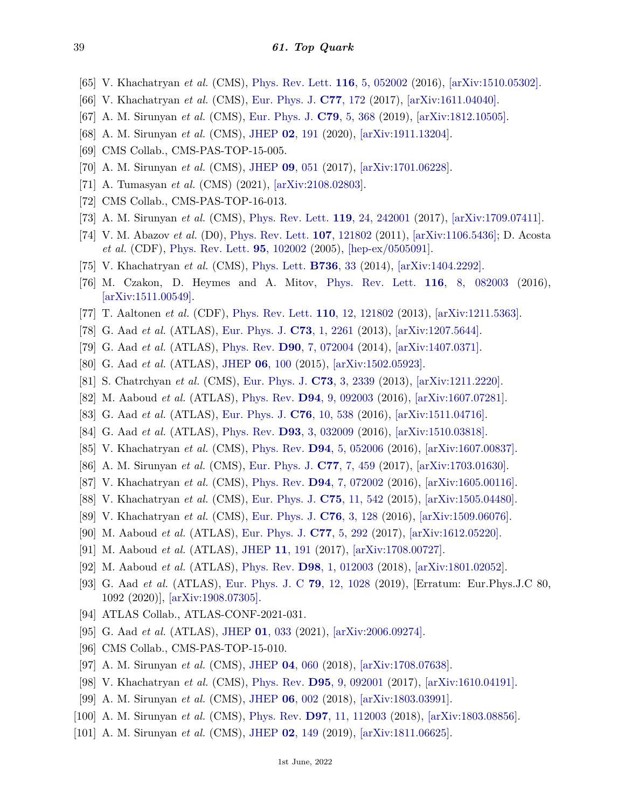- <span id="page-38-0"></span>[65] V. Khachatryan *et al.* (CMS), [Phys. Rev. Lett.](http://doi.org/10.1103/PhysRevLett.116.052002) **116**[, 5, 052002](http://doi.org/10.1103/PhysRevLett.116.052002) (2016), [\[arXiv:1510.05302\].](https://arxiv.org/abs/1510.05302)
- <span id="page-38-1"></span>[66] V. Khachatryan *et al.* (CMS), [Eur. Phys. J.](http://doi.org/10.1140/epjc/s10052-017-4718-8) **C77**[, 172](http://doi.org/10.1140/epjc/s10052-017-4718-8) (2017), [\[arXiv:1611.04040\].](https://arxiv.org/abs/1611.04040)
- <span id="page-38-2"></span>[67] A. M. Sirunyan *et al.* (CMS), [Eur. Phys. J.](http://doi.org/10.1140/epjc/s10052-019-6863-8) **C79**[, 5, 368](http://doi.org/10.1140/epjc/s10052-019-6863-8) (2019), [\[arXiv:1812.10505\].](https://arxiv.org/abs/1812.10505)
- <span id="page-38-3"></span>[68] A. M. Sirunyan *et al.* (CMS), [JHEP](http://doi.org/10.1007/JHEP02(2020)191) **02**[, 191](http://doi.org/10.1007/JHEP02(2020)191) (2020), [\[arXiv:1911.13204\].](https://arxiv.org/abs/1911.13204)
- <span id="page-38-4"></span>[69] CMS Collab., CMS-PAS-TOP-15-005.
- <span id="page-38-5"></span>[70] A. M. Sirunyan *et al.* (CMS), [JHEP](http://doi.org/10.1007/JHEP09(2017)051) **09**[, 051](http://doi.org/10.1007/JHEP09(2017)051) (2017), [\[arXiv:1701.06228\].](https://arxiv.org/abs/1701.06228)
- <span id="page-38-6"></span>[71] A. Tumasyan *et al.* (CMS) (2021), [\[arXiv:2108.02803\].](https://arxiv.org/abs/2108.02803)
- <span id="page-38-7"></span>[72] CMS Collab., CMS-PAS-TOP-16-013.
- <span id="page-38-8"></span>[73] A. M. Sirunyan *et al.* (CMS), [Phys. Rev. Lett.](http://doi.org/10.1103/PhysRevLett.119.242001) **119**[, 24, 242001](http://doi.org/10.1103/PhysRevLett.119.242001) (2017), [\[arXiv:1709.07411\].](https://arxiv.org/abs/1709.07411)
- <span id="page-38-9"></span>[74] V. M. Abazov *et al.* (D0), [Phys. Rev. Lett.](http://doi.org/10.1103/PhysRevLett.107.121802) **107**[, 121802](http://doi.org/10.1103/PhysRevLett.107.121802) (2011), [\[arXiv:1106.5436\];](https://arxiv.org/abs/1106.5436) D. Acosta *et al.* (CDF), [Phys. Rev. Lett.](http://doi.org/10.1103/PhysRevLett.95.102002) **95**[, 102002](http://doi.org/10.1103/PhysRevLett.95.102002) (2005), [\[hep-ex/0505091\].](https://arxiv.org/abs/hep-ex/0505091)
- <span id="page-38-10"></span>[75] V. Khachatryan *et al.* (CMS), [Phys. Lett.](http://doi.org/10.1016/j.physletb.2014.06.076) **[B736](http://doi.org/10.1016/j.physletb.2014.06.076)**, 33 (2014), [\[arXiv:1404.2292\].](https://arxiv.org/abs/1404.2292)
- <span id="page-38-11"></span>[76] M. Czakon, D. Heymes and A. Mitov, [Phys. Rev. Lett.](http://doi.org/10.1103/PhysRevLett.116.082003) **116**[, 8, 082003](http://doi.org/10.1103/PhysRevLett.116.082003) (2016), [\[arXiv:1511.00549\].](https://arxiv.org/abs/1511.00549)
- <span id="page-38-12"></span>[77] T. Aaltonen *et al.* (CDF), [Phys. Rev. Lett.](http://doi.org/10.1103/PhysRevLett.110.121802) **110**[, 12, 121802](http://doi.org/10.1103/PhysRevLett.110.121802) (2013), [\[arXiv:1211.5363\].](https://arxiv.org/abs/1211.5363)
- <span id="page-38-13"></span>[78] G. Aad *et al.* (ATLAS), [Eur. Phys. J.](http://doi.org/10.1140/epjc/s10052-012-2261-1) **C73**[, 1, 2261](http://doi.org/10.1140/epjc/s10052-012-2261-1) (2013), [\[arXiv:1207.5644\].](https://arxiv.org/abs/1207.5644)
- [79] G. Aad *et al.* (ATLAS), [Phys. Rev.](http://doi.org/10.1103/PhysRevD.90.072004) **D90**[, 7, 072004](http://doi.org/10.1103/PhysRevD.90.072004) (2014), [\[arXiv:1407.0371\].](https://arxiv.org/abs/1407.0371)
- <span id="page-38-14"></span>[80] G. Aad *et al.* (ATLAS), [JHEP](http://doi.org/10.1007/JHEP06(2015)100) **06**[, 100](http://doi.org/10.1007/JHEP06(2015)100) (2015), [\[arXiv:1502.05923\].](https://arxiv.org/abs/1502.05923)
- <span id="page-38-15"></span>[81] S. Chatrchyan *et al.* (CMS), [Eur. Phys. J.](http://doi.org/10.1140/epjc/s10052-013-2339-4) **C73**[, 3, 2339](http://doi.org/10.1140/epjc/s10052-013-2339-4) (2013), [\[arXiv:1211.2220\].](https://arxiv.org/abs/1211.2220)
- <span id="page-38-16"></span>[82] M. Aaboud *et al.* (ATLAS), [Phys. Rev.](http://doi.org/10.1103/PhysRevD.94.092003) **D94**[, 9, 092003](http://doi.org/10.1103/PhysRevD.94.092003) (2016), [\[arXiv:1607.07281\].](https://arxiv.org/abs/1607.07281)
- <span id="page-38-17"></span>[83] G. Aad *et al.* (ATLAS), [Eur. Phys. J.](http://doi.org/10.1140/epjc/s10052-016-4366-4) **C76**[, 10, 538](http://doi.org/10.1140/epjc/s10052-016-4366-4) (2016), [\[arXiv:1511.04716\].](https://arxiv.org/abs/1511.04716)
- <span id="page-38-18"></span>[84] G. Aad *et al.* (ATLAS), [Phys. Rev.](http://doi.org/10.1103/PhysRevD.93.032009) **D93**[, 3, 032009](http://doi.org/10.1103/PhysRevD.93.032009) (2016), [\[arXiv:1510.03818\].](https://arxiv.org/abs/1510.03818)
- <span id="page-38-19"></span>[85] V. Khachatryan *et al.* (CMS), [Phys. Rev.](http://doi.org/10.1103/PhysRevD.94.052006) **D94**[, 5, 052006](http://doi.org/10.1103/PhysRevD.94.052006) (2016), [\[arXiv:1607.00837\].](https://arxiv.org/abs/1607.00837)
- <span id="page-38-20"></span>[86] A. M. Sirunyan *et al.* (CMS), [Eur. Phys. J.](http://doi.org/10.1140/epjc/s10052-017-4984-5) **C77**[, 7, 459](http://doi.org/10.1140/epjc/s10052-017-4984-5) (2017), [\[arXiv:1703.01630\].](https://arxiv.org/abs/1703.01630)
- <span id="page-38-21"></span>[87] V. Khachatryan *et al.* (CMS), [Phys. Rev.](http://doi.org/10.1103/PhysRevD.94.072002) **D94**[, 7, 072002](http://doi.org/10.1103/PhysRevD.94.072002) (2016), [\[arXiv:1605.00116\].](https://arxiv.org/abs/1605.00116)
- <span id="page-38-22"></span>[88] V. Khachatryan *et al.* (CMS), [Eur. Phys. J.](http://doi.org/10.1140/epjc/s10052-015-3709-x) **C75**[, 11, 542](http://doi.org/10.1140/epjc/s10052-015-3709-x) (2015), [\[arXiv:1505.04480\].](https://arxiv.org/abs/1505.04480)
- <span id="page-38-23"></span>[89] V. Khachatryan *et al.* (CMS), [Eur. Phys. J.](http://doi.org/10.1140/epjc/s10052-016-3956-5) **C76**[, 3, 128](http://doi.org/10.1140/epjc/s10052-016-3956-5) (2016), [\[arXiv:1509.06076\].](https://arxiv.org/abs/1509.06076)
- <span id="page-38-24"></span>[90] M. Aaboud *et al.* (ATLAS), [Eur. Phys. J.](http://doi.org/10.1140/epjc/s10052-017-4821-x) **C77**[, 5, 292](http://doi.org/10.1140/epjc/s10052-017-4821-x) (2017), [\[arXiv:1612.05220\].](https://arxiv.org/abs/1612.05220)
- <span id="page-38-25"></span>[91] M. Aaboud *et al.* (ATLAS), [JHEP](http://doi.org/10.1007/JHEP11(2017)191) **11**[, 191](http://doi.org/10.1007/JHEP11(2017)191) (2017), [\[arXiv:1708.00727\].](https://arxiv.org/abs/1708.00727)
- <span id="page-38-26"></span>[92] M. Aaboud *et al.* (ATLAS), [Phys. Rev.](http://doi.org/10.1103/PhysRevD.98.012003) **D98**[, 1, 012003](http://doi.org/10.1103/PhysRevD.98.012003) (2018), [\[arXiv:1801.02052\].](https://arxiv.org/abs/1801.02052)
- <span id="page-38-27"></span>[93] G. Aad *et al.* (ATLAS), [Eur. Phys. J. C](http://doi.org/10.1140/epjc/s10052-019-7525-6) **79**[, 12, 1028](http://doi.org/10.1140/epjc/s10052-019-7525-6) (2019), [Erratum: Eur.Phys.J.C 80, 1092 (2020)], [\[arXiv:1908.07305\].](https://arxiv.org/abs/1908.07305)
- <span id="page-38-28"></span>[94] ATLAS Collab., ATLAS-CONF-2021-031.
- <span id="page-38-29"></span>[95] G. Aad *et al.* (ATLAS), [JHEP](http://doi.org/10.1007/JHEP01(2021)033) **01**[, 033](http://doi.org/10.1007/JHEP01(2021)033) (2021), [\[arXiv:2006.09274\].](https://arxiv.org/abs/2006.09274)
- <span id="page-38-30"></span>[96] CMS Collab., CMS-PAS-TOP-15-010.
- <span id="page-38-31"></span>[97] A. M. Sirunyan *et al.* (CMS), [JHEP](http://doi.org/10.1007/JHEP04(2018)060) **04**[, 060](http://doi.org/10.1007/JHEP04(2018)060) (2018), [\[arXiv:1708.07638\].](https://arxiv.org/abs/1708.07638)
- <span id="page-38-32"></span>[98] V. Khachatryan *et al.* (CMS), [Phys. Rev.](http://doi.org/10.1103/PhysRevD.95.092001) **D95**[, 9, 092001](http://doi.org/10.1103/PhysRevD.95.092001) (2017), [\[arXiv:1610.04191\].](https://arxiv.org/abs/1610.04191)
- <span id="page-38-33"></span>[99] A. M. Sirunyan *et al.* (CMS), [JHEP](http://doi.org/10.1007/JHEP06(2018)002) **06**[, 002](http://doi.org/10.1007/JHEP06(2018)002) (2018), [\[arXiv:1803.03991\].](https://arxiv.org/abs/1803.03991)
- <span id="page-38-34"></span>[100] A. M. Sirunyan *et al.* (CMS), [Phys. Rev.](http://doi.org/10.1103/PhysRevD.97.112003) **D97**[, 11, 112003](http://doi.org/10.1103/PhysRevD.97.112003) (2018), [\[arXiv:1803.08856\].](https://arxiv.org/abs/1803.08856)
- <span id="page-38-35"></span>[101] A. M. Sirunyan *et al.* (CMS), [JHEP](http://doi.org/10.1007/JHEP02(2019)149) **02**[, 149](http://doi.org/10.1007/JHEP02(2019)149) (2019), [\[arXiv:1811.06625\].](https://arxiv.org/abs/1811.06625)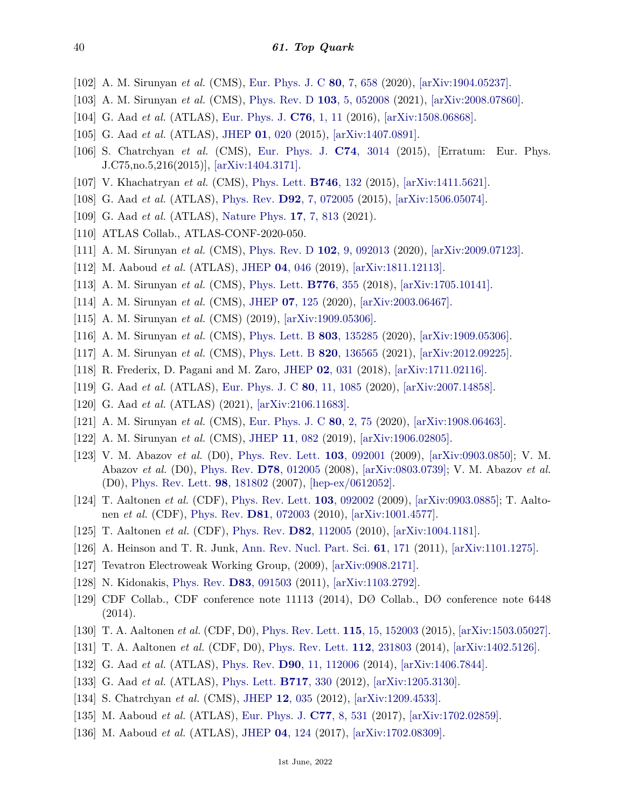- <span id="page-39-0"></span>[102] A. M. Sirunyan *et al.* (CMS), [Eur. Phys. J. C](http://doi.org/10.1140/epjc/s10052-020-7917-7) **80**[, 7, 658](http://doi.org/10.1140/epjc/s10052-020-7917-7) (2020), [\[arXiv:1904.05237\].](https://arxiv.org/abs/1904.05237)
- <span id="page-39-1"></span>[103] A. M. Sirunyan *et al.* (CMS), [Phys. Rev. D](http://doi.org/10.1103/PhysRevD.103.052008) **103**[, 5, 052008](http://doi.org/10.1103/PhysRevD.103.052008) (2021), [\[arXiv:2008.07860\].](https://arxiv.org/abs/2008.07860)
- <span id="page-39-2"></span>[104] G. Aad *et al.* (ATLAS), [Eur. Phys. J.](http://doi.org/10.1140/epjc/s10052-015-3852-4) **C76**[, 1, 11](http://doi.org/10.1140/epjc/s10052-015-3852-4) (2016), [\[arXiv:1508.06868\].](https://arxiv.org/abs/1508.06868)
- <span id="page-39-3"></span>[105] G. Aad *et al.* (ATLAS), [JHEP](http://doi.org/10.1007/JHEP01(2015)020) **01**[, 020](http://doi.org/10.1007/JHEP01(2015)020) (2015), [\[arXiv:1407.0891\].](https://arxiv.org/abs/1407.0891)
- <span id="page-39-4"></span>[106] S. Chatrchyan *et al.* (CMS), [Eur. Phys. J.](http://doi.org/10.1140/epjc/s10052-014-3014-0) **C74**[, 3014](http://doi.org/10.1140/epjc/s10052-014-3014-0) (2015), [Erratum: Eur. Phys. J.C75,no.5,216(2015)], [\[arXiv:1404.3171\].](https://arxiv.org/abs/1404.3171)
- <span id="page-39-5"></span>[107] V. Khachatryan *et al.* (CMS), [Phys. Lett.](http://doi.org/10.1016/j.physletb.2015.04.060) **[B746](http://doi.org/10.1016/j.physletb.2015.04.060)**, 132 (2015), [\[arXiv:1411.5621\].](https://arxiv.org/abs/1411.5621)
- <span id="page-39-6"></span>[108] G. Aad *et al.* (ATLAS), [Phys. Rev.](http://doi.org/10.1103/PhysRevD.92.072005) **D92**[, 7, 072005](http://doi.org/10.1103/PhysRevD.92.072005) (2015), [\[arXiv:1506.05074\].](https://arxiv.org/abs/1506.05074)
- <span id="page-39-7"></span>[109] G. Aad *et al.* (ATLAS), [Nature Phys.](http://doi.org/10.1038/s41567-021-01236-w) **17**[, 7, 813](http://doi.org/10.1038/s41567-021-01236-w) (2021).
- <span id="page-39-8"></span>[110] ATLAS Collab., ATLAS-CONF-2020-050.
- <span id="page-39-9"></span>[111] A. M. Sirunyan *et al.* (CMS), [Phys. Rev. D](http://doi.org/10.1103/PhysRevD.102.092013) **102**[, 9, 092013](http://doi.org/10.1103/PhysRevD.102.092013) (2020), [\[arXiv:2009.07123\].](https://arxiv.org/abs/2009.07123)
- <span id="page-39-10"></span>[112] M. Aaboud *et al.* (ATLAS), [JHEP](http://doi.org/10.1007/JHEP04(2019)046) **04**[, 046](http://doi.org/10.1007/JHEP04(2019)046) (2019), [\[arXiv:1811.12113\].](https://arxiv.org/abs/1811.12113)
- <span id="page-39-11"></span>[113] A. M. Sirunyan *et al.* (CMS), [Phys. Lett.](http://doi.org/10.1016/j.physletb.2017.11.043) **[B776](http://doi.org/10.1016/j.physletb.2017.11.043)**, 355 (2018), [\[arXiv:1705.10141\].](https://arxiv.org/abs/1705.10141)
- <span id="page-39-12"></span>[114] A. M. Sirunyan *et al.* (CMS), [JHEP](http://doi.org/10.1007/JHEP07(2020)125) **07**[, 125](http://doi.org/10.1007/JHEP07(2020)125) (2020), [\[arXiv:2003.06467\].](https://arxiv.org/abs/2003.06467)
- <span id="page-39-13"></span>[115] A. M. Sirunyan *et al.* (CMS) (2019), [\[arXiv:1909.05306\].](https://arxiv.org/abs/1909.05306)
- <span id="page-39-14"></span>[116] A. M. Sirunyan *et al.* (CMS), [Phys. Lett. B](http://doi.org/10.1016/j.physletb.2020.135285) **803**[, 135285](http://doi.org/10.1016/j.physletb.2020.135285) (2020), [\[arXiv:1909.05306\].](https://arxiv.org/abs/1909.05306)
- <span id="page-39-15"></span>[117] A. M. Sirunyan *et al.* (CMS), [Phys. Lett. B](http://doi.org/10.1016/j.physletb.2021.136565) **820**[, 136565](http://doi.org/10.1016/j.physletb.2021.136565) (2021), [\[arXiv:2012.09225\].](https://arxiv.org/abs/2012.09225)
- <span id="page-39-16"></span>[118] R. Frederix, D. Pagani and M. Zaro, [JHEP](http://doi.org/10.1007/JHEP02(2018)031) **02**[, 031](http://doi.org/10.1007/JHEP02(2018)031) (2018), [\[arXiv:1711.02116\].](https://arxiv.org/abs/1711.02116)
- <span id="page-39-17"></span>[119] G. Aad *et al.* (ATLAS), [Eur. Phys. J. C](http://doi.org/10.1140/epjc/s10052-020-08509-3) **80**[, 11, 1085](http://doi.org/10.1140/epjc/s10052-020-08509-3) (2020), [\[arXiv:2007.14858\].](https://arxiv.org/abs/2007.14858)
- <span id="page-39-18"></span>[120] G. Aad *et al.* (ATLAS) (2021), [\[arXiv:2106.11683\].](https://arxiv.org/abs/2106.11683)
- <span id="page-39-19"></span>[121] A. M. Sirunyan *et al.* (CMS), [Eur. Phys. J. C](http://doi.org/10.1140/epjc/s10052-019-7593-7) **80**[, 2, 75](http://doi.org/10.1140/epjc/s10052-019-7593-7) (2020), [\[arXiv:1908.06463\].](https://arxiv.org/abs/1908.06463)
- <span id="page-39-20"></span>[122] A. M. Sirunyan *et al.* (CMS), [JHEP](http://doi.org/10.1007/JHEP11(2019)082) **11**[, 082](http://doi.org/10.1007/JHEP11(2019)082) (2019), [\[arXiv:1906.02805\].](https://arxiv.org/abs/1906.02805)
- <span id="page-39-21"></span>[123] V. M. Abazov *et al.* (D0), [Phys. Rev. Lett.](http://doi.org/10.1103/PhysRevLett.103.092001) **103**[, 092001](http://doi.org/10.1103/PhysRevLett.103.092001) (2009), [\[arXiv:0903.0850\];](https://arxiv.org/abs/0903.0850) V. M. Abazov *et al.* (D0), [Phys. Rev.](http://doi.org/10.1103/PhysRevD.78.012005) **D78**[, 012005](http://doi.org/10.1103/PhysRevD.78.012005) (2008), [\[arXiv:0803.0739\];](https://arxiv.org/abs/0803.0739) V. M. Abazov *et al.* (D0), [Phys. Rev. Lett.](http://doi.org/10.1103/PhysRevLett.98.181802) **98**[, 181802](http://doi.org/10.1103/PhysRevLett.98.181802) (2007), [\[hep-ex/0612052\].](https://arxiv.org/abs/hep-ex/0612052)
- <span id="page-39-22"></span>[124] T. Aaltonen *et al.* (CDF), [Phys. Rev. Lett.](http://doi.org/10.1103/PhysRevLett.103.092002) **103**[, 092002](http://doi.org/10.1103/PhysRevLett.103.092002) (2009), [\[arXiv:0903.0885\];](https://arxiv.org/abs/0903.0885) T. Aaltonen *et al.* (CDF), [Phys. Rev.](http://doi.org/10.1103/PhysRevD.81.072003) **D81**[, 072003](http://doi.org/10.1103/PhysRevD.81.072003) (2010), [\[arXiv:1001.4577\].](https://arxiv.org/abs/1001.4577)
- <span id="page-39-23"></span>[125] T. Aaltonen *et al.* (CDF), [Phys. Rev.](http://doi.org/10.1103/PhysRevD.82.112005) **D82**[, 112005](http://doi.org/10.1103/PhysRevD.82.112005) (2010), [\[arXiv:1004.1181\].](https://arxiv.org/abs/1004.1181)
- <span id="page-39-24"></span>[126] A. Heinson and T. R. Junk, [Ann. Rev. Nucl. Part. Sci.](http://doi.org/10.1146/annurev-nucl-102010-130416) **61**[, 171](http://doi.org/10.1146/annurev-nucl-102010-130416) (2011), [\[arXiv:1101.1275\].](https://arxiv.org/abs/1101.1275)
- <span id="page-39-25"></span>[127] Tevatron Electroweak Working Group, (2009), [\[arXiv:0908.2171\].](https://arxiv.org/abs/0908.2171)
- <span id="page-39-26"></span>[128] N. Kidonakis, [Phys. Rev.](http://doi.org/10.1103/PhysRevD.83.091503) **D83**[, 091503](http://doi.org/10.1103/PhysRevD.83.091503) (2011), [\[arXiv:1103.2792\].](https://arxiv.org/abs/1103.2792)
- <span id="page-39-27"></span>[129] CDF Collab., CDF conference note 11113 (2014), DØ Collab., DØ conference note 6448 (2014).
- <span id="page-39-28"></span>[130] T. A. Aaltonen *et al.* (CDF, D0), [Phys. Rev. Lett.](http://doi.org/10.1103/PhysRevLett.115.152003) **115**[, 15, 152003](http://doi.org/10.1103/PhysRevLett.115.152003) (2015), [\[arXiv:1503.05027\].](https://arxiv.org/abs/1503.05027)
- <span id="page-39-29"></span>[131] T. A. Aaltonen *et al.* (CDF, D0), [Phys. Rev. Lett.](http://doi.org/10.1103/PhysRevLett.112.231803) **112**[, 231803](http://doi.org/10.1103/PhysRevLett.112.231803) (2014), [\[arXiv:1402.5126\].](https://arxiv.org/abs/1402.5126)
- <span id="page-39-30"></span>[132] G. Aad *et al.* (ATLAS), [Phys. Rev.](http://doi.org/10.1103/PhysRevD.90.112006) **D90**[, 11, 112006](http://doi.org/10.1103/PhysRevD.90.112006) (2014), [\[arXiv:1406.7844\].](https://arxiv.org/abs/1406.7844)
- <span id="page-39-31"></span>[133] G. Aad *et al.* (ATLAS), [Phys. Lett.](http://doi.org/10.1016/j.physletb.2012.09.031) **[B717](http://doi.org/10.1016/j.physletb.2012.09.031)**, 330 (2012), [\[arXiv:1205.3130\].](https://arxiv.org/abs/1205.3130)
- <span id="page-39-32"></span>[134] S. Chatrchyan *et al.* (CMS), [JHEP](http://doi.org/10.1007/JHEP12(2012)035) **12**[, 035](http://doi.org/10.1007/JHEP12(2012)035) (2012), [\[arXiv:1209.4533\].](https://arxiv.org/abs/1209.4533)
- <span id="page-39-33"></span>[135] M. Aaboud *et al.* (ATLAS), [Eur. Phys. J.](http://doi.org/10.1140/epjc/s10052-017-5061-9) **C77**[, 8, 531](http://doi.org/10.1140/epjc/s10052-017-5061-9) (2017), [\[arXiv:1702.02859\].](https://arxiv.org/abs/1702.02859)
- <span id="page-39-34"></span>[136] M. Aaboud *et al.* (ATLAS), [JHEP](http://doi.org/10.1007/JHEP04(2017)124) **04**[, 124](http://doi.org/10.1007/JHEP04(2017)124) (2017), [\[arXiv:1702.08309\].](https://arxiv.org/abs/1702.08309)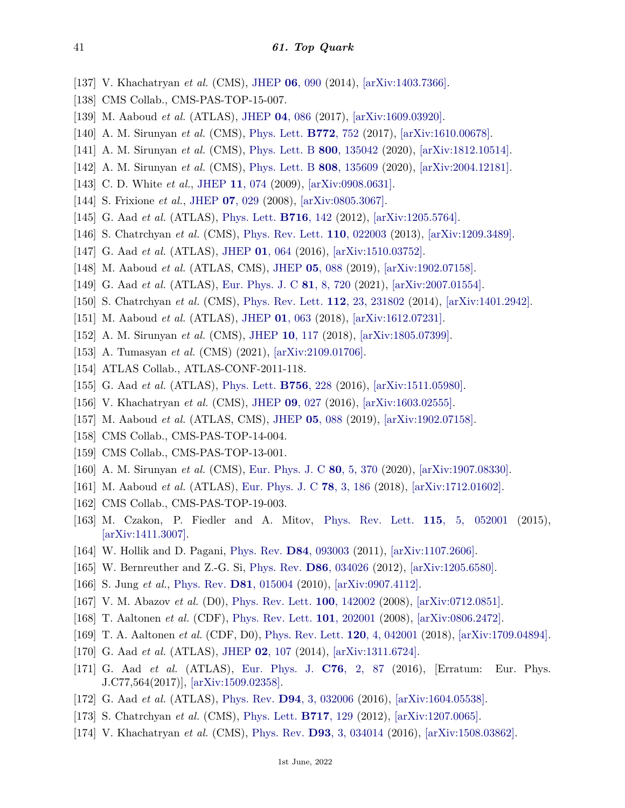- <span id="page-40-0"></span>[137] V. Khachatryan *et al.* (CMS), [JHEP](http://doi.org/10.1007/JHEP06(2014)090) **06**[, 090](http://doi.org/10.1007/JHEP06(2014)090) (2014), [\[arXiv:1403.7366\].](https://arxiv.org/abs/1403.7366)
- <span id="page-40-1"></span>[138] CMS Collab., CMS-PAS-TOP-15-007.
- <span id="page-40-2"></span>[139] M. Aaboud *et al.* (ATLAS), [JHEP](http://doi.org/10.1007/JHEP04(2017)086) **04**[, 086](http://doi.org/10.1007/JHEP04(2017)086) (2017), [\[arXiv:1609.03920\].](https://arxiv.org/abs/1609.03920)
- <span id="page-40-3"></span>[140] A. M. Sirunyan *et al.* (CMS), [Phys. Lett.](http://doi.org/10.1016/j.physletb.2017.07.047) **[B772](http://doi.org/10.1016/j.physletb.2017.07.047)**, 752 (2017), [\[arXiv:1610.00678\].](https://arxiv.org/abs/1610.00678)
- <span id="page-40-4"></span>[141] A. M. Sirunyan *et al.* (CMS), [Phys. Lett. B](http://doi.org/10.1016/j.physletb.2019.135042) **800**[, 135042](http://doi.org/10.1016/j.physletb.2019.135042) (2020), [\[arXiv:1812.10514\].](https://arxiv.org/abs/1812.10514)
- <span id="page-40-5"></span>[142] A. M. Sirunyan *et al.* (CMS), [Phys. Lett. B](http://doi.org/10.1016/j.physletb.2020.135609) **808**[, 135609](http://doi.org/10.1016/j.physletb.2020.135609) (2020), [\[arXiv:2004.12181\].](https://arxiv.org/abs/2004.12181)
- <span id="page-40-6"></span>[143] C. D. White *et al.*, [JHEP](http://doi.org/10.1088/1126-6708/2009/11/074) **11**[, 074](http://doi.org/10.1088/1126-6708/2009/11/074) (2009), [\[arXiv:0908.0631\].](https://arxiv.org/abs/0908.0631)
- <span id="page-40-7"></span>[144] S. Frixione *et al.*, [JHEP](http://doi.org/10.1088/1126-6708/2008/07/029) **07**[, 029](http://doi.org/10.1088/1126-6708/2008/07/029) (2008), [\[arXiv:0805.3067\].](https://arxiv.org/abs/0805.3067)
- <span id="page-40-8"></span>[145] G. Aad *et al.* (ATLAS), [Phys. Lett.](http://doi.org/10.1016/j.physletb.2012.08.011) **[B716](http://doi.org/10.1016/j.physletb.2012.08.011)**, 142 (2012), [\[arXiv:1205.5764\].](https://arxiv.org/abs/1205.5764)
- <span id="page-40-9"></span>[146] S. Chatrchyan *et al.* (CMS), [Phys. Rev. Lett.](http://doi.org/10.1103/PhysRevLett.110.022003) **110**[, 022003](http://doi.org/10.1103/PhysRevLett.110.022003) (2013), [\[arXiv:1209.3489\].](https://arxiv.org/abs/1209.3489)
- <span id="page-40-10"></span>[147] G. Aad *et al.* (ATLAS), [JHEP](http://doi.org/10.1007/JHEP01(2016)064) **01**[, 064](http://doi.org/10.1007/JHEP01(2016)064) (2016), [\[arXiv:1510.03752\].](https://arxiv.org/abs/1510.03752)
- <span id="page-40-11"></span>[148] M. Aaboud *et al.* (ATLAS, CMS), [JHEP](http://doi.org/10.1007/JHEP05(2019)088) **05**[, 088](http://doi.org/10.1007/JHEP05(2019)088) (2019), [\[arXiv:1902.07158\].](https://arxiv.org/abs/1902.07158)
- <span id="page-40-12"></span>[149] G. Aad *et al.* (ATLAS), [Eur. Phys. J. C](http://doi.org/10.1140/epjc/s10052-021-09371-7) **81**[, 8, 720](http://doi.org/10.1140/epjc/s10052-021-09371-7) (2021), [\[arXiv:2007.01554\].](https://arxiv.org/abs/2007.01554)
- <span id="page-40-13"></span>[150] S. Chatrchyan *et al.* (CMS), [Phys. Rev. Lett.](http://doi.org/10.1103/PhysRevLett.112.231802) **112**[, 23, 231802](http://doi.org/10.1103/PhysRevLett.112.231802) (2014), [\[arXiv:1401.2942\].](https://arxiv.org/abs/1401.2942)
- <span id="page-40-14"></span>[151] M. Aaboud *et al.* (ATLAS), [JHEP](http://doi.org/10.1007/JHEP01(2018)063) **01**[, 063](http://doi.org/10.1007/JHEP01(2018)063) (2018), [\[arXiv:1612.07231\].](https://arxiv.org/abs/1612.07231)
- <span id="page-40-15"></span>[152] A. M. Sirunyan *et al.* (CMS), [JHEP](http://doi.org/10.1007/JHEP10(2018)117) **10**[, 117](http://doi.org/10.1007/JHEP10(2018)117) (2018), [\[arXiv:1805.07399\].](https://arxiv.org/abs/1805.07399)
- <span id="page-40-16"></span>[153] A. Tumasyan *et al.* (CMS) (2021), [\[arXiv:2109.01706\].](https://arxiv.org/abs/2109.01706)
- <span id="page-40-17"></span>[154] ATLAS Collab., ATLAS-CONF-2011-118.
- <span id="page-40-18"></span>[155] G. Aad *et al.* (ATLAS), [Phys. Lett.](http://doi.org/10.1016/j.physletb.2016.03.017) **[B756](http://doi.org/10.1016/j.physletb.2016.03.017)**, 228 (2016), [\[arXiv:1511.05980\].](https://arxiv.org/abs/1511.05980)
- <span id="page-40-19"></span>[156] V. Khachatryan *et al.* (CMS), [JHEP](http://doi.org/10.1007/JHEP09(2016)027) **09**[, 027](http://doi.org/10.1007/JHEP09(2016)027) (2016), [\[arXiv:1603.02555\].](https://arxiv.org/abs/1603.02555)
- <span id="page-40-20"></span>[157] M. Aaboud *et al.* (ATLAS, CMS), [JHEP](http://doi.org/10.1007/JHEP05(2019)088) **05**[, 088](http://doi.org/10.1007/JHEP05(2019)088) (2019), [\[arXiv:1902.07158\].](https://arxiv.org/abs/1902.07158)
- <span id="page-40-21"></span>[158] CMS Collab., CMS-PAS-TOP-14-004.
- <span id="page-40-22"></span>[159] CMS Collab., CMS-PAS-TOP-13-001.
- <span id="page-40-23"></span>[160] A. M. Sirunyan *et al.* (CMS), [Eur. Phys. J. C](http://doi.org/10.1140/epjc/s10052-020-7858-1) **80**[, 5, 370](http://doi.org/10.1140/epjc/s10052-020-7858-1) (2020), [\[arXiv:1907.08330\].](https://arxiv.org/abs/1907.08330)
- <span id="page-40-24"></span>[161] M. Aaboud *et al.* (ATLAS), [Eur. Phys. J. C](http://doi.org/10.1140/epjc/s10052-018-5649-8) **78**[, 3, 186](http://doi.org/10.1140/epjc/s10052-018-5649-8) (2018), [\[arXiv:1712.01602\].](https://arxiv.org/abs/1712.01602)
- <span id="page-40-25"></span>[162] CMS Collab., CMS-PAS-TOP-19-003.
- <span id="page-40-26"></span>[163] M. Czakon, P. Fiedler and A. Mitov, [Phys. Rev. Lett.](http://doi.org/10.1103/PhysRevLett.115.052001) **115**[, 5, 052001](http://doi.org/10.1103/PhysRevLett.115.052001) (2015), [\[arXiv:1411.3007\].](https://arxiv.org/abs/1411.3007)
- <span id="page-40-27"></span>[164] W. Hollik and D. Pagani, [Phys. Rev.](http://doi.org/10.1103/PhysRevD.84.093003) **D84**[, 093003](http://doi.org/10.1103/PhysRevD.84.093003) (2011), [\[arXiv:1107.2606\].](https://arxiv.org/abs/1107.2606)
- <span id="page-40-28"></span>[165] W. Bernreuther and Z.-G. Si, [Phys. Rev.](http://doi.org/10.1103/PhysRevD.86.034026) **D86**[, 034026](http://doi.org/10.1103/PhysRevD.86.034026) (2012), [\[arXiv:1205.6580\].](https://arxiv.org/abs/1205.6580)
- <span id="page-40-29"></span>[166] S. Jung *et al.*, [Phys. Rev.](http://doi.org/10.1103/PhysRevD.81.015004) **D81**[, 015004](http://doi.org/10.1103/PhysRevD.81.015004) (2010), [\[arXiv:0907.4112\].](https://arxiv.org/abs/0907.4112)
- <span id="page-40-30"></span>[167] V. M. Abazov *et al.* (D0), [Phys. Rev. Lett.](http://doi.org/10.1103/PhysRevLett.100.142002) **100**[, 142002](http://doi.org/10.1103/PhysRevLett.100.142002) (2008), [\[arXiv:0712.0851\].](https://arxiv.org/abs/0712.0851)
- <span id="page-40-31"></span>[168] T. Aaltonen *et al.* (CDF), [Phys. Rev. Lett.](http://doi.org/10.1103/PhysRevLett.101.202001) **101**[, 202001](http://doi.org/10.1103/PhysRevLett.101.202001) (2008), [\[arXiv:0806.2472\].](https://arxiv.org/abs/0806.2472)
- <span id="page-40-32"></span>[169] T. A. Aaltonen *et al.* (CDF, D0), [Phys. Rev. Lett.](http://doi.org/10.1103/PhysRevLett.120.042001) **120**[, 4, 042001](http://doi.org/10.1103/PhysRevLett.120.042001) (2018), [\[arXiv:1709.04894\].](https://arxiv.org/abs/1709.04894)
- <span id="page-40-33"></span>[170] G. Aad *et al.* (ATLAS), [JHEP](http://doi.org/10.1007/JHEP02(2014)107) **02**[, 107](http://doi.org/10.1007/JHEP02(2014)107) (2014), [\[arXiv:1311.6724\].](https://arxiv.org/abs/1311.6724)
- <span id="page-40-34"></span>[171] G. Aad *et al.* (ATLAS), [Eur. Phys. J.](http://doi.org/10.1140/epjc/s10052-016-3910-6) **C76**[, 2, 87](http://doi.org/10.1140/epjc/s10052-016-3910-6) (2016), [Erratum: Eur. Phys. J.C77,564(2017)], [\[arXiv:1509.02358\].](https://arxiv.org/abs/1509.02358)
- <span id="page-40-36"></span><span id="page-40-35"></span>[172] G. Aad *et al.* (ATLAS), [Phys. Rev.](http://doi.org/10.1103/PhysRevD.94.032006) **D94**[, 3, 032006](http://doi.org/10.1103/PhysRevD.94.032006) (2016), [\[arXiv:1604.05538\].](https://arxiv.org/abs/1604.05538)
- [173] S. Chatrchyan *et al.* (CMS), [Phys. Lett.](http://doi.org/10.1016/j.physletb.2012.09.028) **[B717](http://doi.org/10.1016/j.physletb.2012.09.028)**, 129 (2012), [\[arXiv:1207.0065\].](https://arxiv.org/abs/1207.0065)
- <span id="page-40-37"></span>[174] V. Khachatryan *et al.* (CMS), [Phys. Rev.](http://doi.org/10.1103/PhysRevD.93.034014) **D93**[, 3, 034014](http://doi.org/10.1103/PhysRevD.93.034014) (2016), [\[arXiv:1508.03862\].](https://arxiv.org/abs/1508.03862)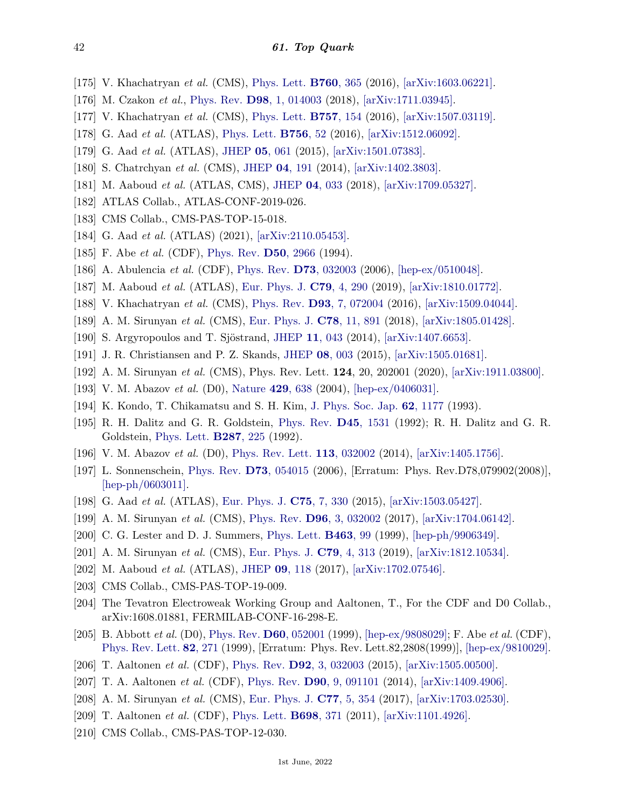- <span id="page-41-0"></span>[175] V. Khachatryan *et al.* (CMS), [Phys. Lett.](http://doi.org/10.1016/j.physletb.2016.07.006) **[B760](http://doi.org/10.1016/j.physletb.2016.07.006)**, 365 (2016), [\[arXiv:1603.06221\].](https://arxiv.org/abs/1603.06221)
- <span id="page-41-1"></span>[176] M. Czakon *et al.*, [Phys. Rev.](http://doi.org/10.1103/PhysRevD.98.014003) **D98**[, 1, 014003](http://doi.org/10.1103/PhysRevD.98.014003) (2018), [\[arXiv:1711.03945\].](https://arxiv.org/abs/1711.03945)
- <span id="page-41-2"></span>[177] V. Khachatryan *et al.* (CMS), [Phys. Lett.](http://doi.org/10.1016/j.physletb.2016.03.060) **[B757](http://doi.org/10.1016/j.physletb.2016.03.060)**, 154 (2016), [\[arXiv:1507.03119\].](https://arxiv.org/abs/1507.03119)
- <span id="page-41-3"></span>[178] G. Aad *et al.* (ATLAS), [Phys. Lett.](http://doi.org/10.1016/j.physletb.2016.02.055) **[B756](http://doi.org/10.1016/j.physletb.2016.02.055)**, 52 (2016), [\[arXiv:1512.06092\].](https://arxiv.org/abs/1512.06092)
- <span id="page-41-4"></span>[179] G. Aad *et al.* (ATLAS), [JHEP](http://doi.org/10.1007/JHEP05(2015)061) **05**[, 061](http://doi.org/10.1007/JHEP05(2015)061) (2015), [\[arXiv:1501.07383\].](https://arxiv.org/abs/1501.07383)
- <span id="page-41-5"></span>[180] S. Chatrchyan *et al.* (CMS), [JHEP](http://doi.org/10.1007/JHEP04(2014)191) **04**[, 191](http://doi.org/10.1007/JHEP04(2014)191) (2014), [\[arXiv:1402.3803\].](https://arxiv.org/abs/1402.3803)
- <span id="page-41-6"></span>[181] M. Aaboud *et al.* (ATLAS, CMS), [JHEP](http://doi.org/10.1007/JHEP04(2018)033) **04**[, 033](http://doi.org/10.1007/JHEP04(2018)033) (2018), [\[arXiv:1709.05327\].](https://arxiv.org/abs/1709.05327)
- <span id="page-41-7"></span>[182] ATLAS Collab., ATLAS-CONF-2019-026.
- <span id="page-41-8"></span>[183] CMS Collab., CMS-PAS-TOP-15-018.
- <span id="page-41-9"></span>[184] G. Aad *et al.* (ATLAS) (2021), [\[arXiv:2110.05453\].](https://arxiv.org/abs/2110.05453)
- <span id="page-41-10"></span>[185] F. Abe *et al.* (CDF), [Phys. Rev.](http://doi.org/10.1103/PhysRevD.50.2966) **D50**[, 2966](http://doi.org/10.1103/PhysRevD.50.2966) (1994).
- <span id="page-41-11"></span>[186] A. Abulencia *et al.* (CDF), [Phys. Rev.](http://doi.org/10.1103/PhysRevD.73.032003) **D73**[, 032003](http://doi.org/10.1103/PhysRevD.73.032003) (2006), [\[hep-ex/0510048\].](https://arxiv.org/abs/hep-ex/0510048)
- <span id="page-41-12"></span>[187] M. Aaboud *et al.* (ATLAS), [Eur. Phys. J.](http://doi.org/10.1140/epjc/s10052-019-6757-9) **C79**[, 4, 290](http://doi.org/10.1140/epjc/s10052-019-6757-9) (2019), [\[arXiv:1810.01772\].](https://arxiv.org/abs/1810.01772)
- <span id="page-41-13"></span>[188] V. Khachatryan *et al.* (CMS), [Phys. Rev.](http://doi.org/10.1103/PhysRevD.93.072004) **D93**[, 7, 072004](http://doi.org/10.1103/PhysRevD.93.072004) (2016), [\[arXiv:1509.04044\].](https://arxiv.org/abs/1509.04044)
- <span id="page-41-14"></span>[189] A. M. Sirunyan *et al.* (CMS), [Eur. Phys. J.](http://doi.org/10.1140/epjc/s10052-018-6332-9) **C78**[, 11, 891](http://doi.org/10.1140/epjc/s10052-018-6332-9) (2018), [\[arXiv:1805.01428\].](https://arxiv.org/abs/1805.01428)
- <span id="page-41-15"></span>[190] S. Argyropoulos and T. Sjöstrand, [JHEP](http://doi.org/10.1007/JHEP11(2014)043) **11**[, 043](http://doi.org/10.1007/JHEP11(2014)043) (2014), [\[arXiv:1407.6653\].](https://arxiv.org/abs/1407.6653)
- <span id="page-41-16"></span>[191] J. R. Christiansen and P. Z. Skands, [JHEP](http://doi.org/10.1007/JHEP08(2015)003) **08**[, 003](http://doi.org/10.1007/JHEP08(2015)003) (2015), [\[arXiv:1505.01681\].](https://arxiv.org/abs/1505.01681)
- <span id="page-41-17"></span>[192] A. M. Sirunyan *et al.* (CMS), Phys. Rev. Lett. **124**, 20, 202001 (2020), [\[arXiv:1911.03800\].](https://arxiv.org/abs/1911.03800)
- <span id="page-41-18"></span>[193] V. M. Abazov *et al.* (D0), [Nature](http://doi.org/10.1038/nature02589) **429**[, 638](http://doi.org/10.1038/nature02589) (2004), [\[hep-ex/0406031\].](https://arxiv.org/abs/hep-ex/0406031)
- <span id="page-41-19"></span>[194] K. Kondo, T. Chikamatsu and S. H. Kim, [J. Phys. Soc. Jap.](http://doi.org/10.1143/JPSJ.62.1177) **62**[, 1177](http://doi.org/10.1143/JPSJ.62.1177) (1993).
- <span id="page-41-20"></span>[195] R. H. Dalitz and G. R. Goldstein, [Phys. Rev.](http://doi.org/10.1103/PhysRevD.45.1531) **D45**[, 1531](http://doi.org/10.1103/PhysRevD.45.1531) (1992); R. H. Dalitz and G. R. Goldstein, [Phys. Lett.](http://doi.org/10.1016/0370-2693(92)91904-N) **[B287](http://doi.org/10.1016/0370-2693(92)91904-N)**, 225 (1992).
- <span id="page-41-21"></span>[196] V. M. Abazov *et al.* (D0), [Phys. Rev. Lett.](http://doi.org/10.1103/PhysRevLett.113.032002) **113**[, 032002](http://doi.org/10.1103/PhysRevLett.113.032002) (2014), [\[arXiv:1405.1756\].](https://arxiv.org/abs/1405.1756)
- <span id="page-41-22"></span>[197] L. Sonnenschein, [Phys. Rev.](http://doi.org/10.1103/PhysRevD.78.079902) **D73**[, 054015](http://doi.org/10.1103/PhysRevD.78.079902) (2006), [Erratum: Phys. Rev.D78,079902(2008)], [\[hep-ph/0603011\].](https://arxiv.org/abs/hep-ph/0603011)
- <span id="page-41-23"></span>[198] G. Aad *et al.* (ATLAS), [Eur. Phys. J.](http://doi.org/10.1140/epjc/s10052-015-3544-0) **C75**[, 7, 330](http://doi.org/10.1140/epjc/s10052-015-3544-0) (2015), [\[arXiv:1503.05427\].](https://arxiv.org/abs/1503.05427)
- <span id="page-41-24"></span>[199] A. M. Sirunyan *et al.* (CMS), [Phys. Rev.](http://doi.org/10.1103/PhysRevD.96.032002) **D96**[, 3, 032002](http://doi.org/10.1103/PhysRevD.96.032002) (2017), [\[arXiv:1704.06142\].](https://arxiv.org/abs/1704.06142)
- <span id="page-41-25"></span>[200] C. G. Lester and D. J. Summers, [Phys. Lett.](http://doi.org/10.1016/S0370-2693(99)00945-4) **[B463](http://doi.org/10.1016/S0370-2693(99)00945-4)**, 99 (1999), [\[hep-ph/9906349\].](https://arxiv.org/abs/hep-ph/9906349)
- <span id="page-41-26"></span>[201] A. M. Sirunyan *et al.* (CMS), [Eur. Phys. J.](http://doi.org/10.1140/epjc/s10052-019-6788-2) **C79**[, 4, 313](http://doi.org/10.1140/epjc/s10052-019-6788-2) (2019), [\[arXiv:1812.10534\].](https://arxiv.org/abs/1812.10534)
- <span id="page-41-27"></span>[202] M. Aaboud *et al.* (ATLAS), [JHEP](http://doi.org/10.1007/JHEP09(2017)118) **09**[, 118](http://doi.org/10.1007/JHEP09(2017)118) (2017), [\[arXiv:1702.07546\].](https://arxiv.org/abs/1702.07546)
- <span id="page-41-28"></span>[203] CMS Collab., CMS-PAS-TOP-19-009.
- <span id="page-41-29"></span>[204] The Tevatron Electroweak Working Group and Aaltonen, T., For the CDF and D0 Collab., arXiv:1608.01881, FERMILAB-CONF-16-298-E.
- <span id="page-41-30"></span>[205] B. Abbott *et al.* (D0), [Phys. Rev.](http://doi.org/10.1103/PhysRevD.60.052001) **D60**[, 052001](http://doi.org/10.1103/PhysRevD.60.052001) (1999), [\[hep-ex/9808029\];](https://arxiv.org/abs/hep-ex/9808029) F. Abe *et al.* (CDF), [Phys. Rev. Lett.](http://doi.org/10.1103/PhysRevLett.82.271) **82**[, 271](http://doi.org/10.1103/PhysRevLett.82.271) (1999), [Erratum: Phys. Rev. Lett.82,2808(1999)], [\[hep-ex/9810029\].](https://arxiv.org/abs/hep-ex/9810029)
- <span id="page-41-31"></span>[206] T. Aaltonen *et al.* (CDF), [Phys. Rev.](http://doi.org/10.1103/PhysRevD.92.032003) **D92**[, 3, 032003](http://doi.org/10.1103/PhysRevD.92.032003) (2015), [\[arXiv:1505.00500\].](https://arxiv.org/abs/1505.00500)
- <span id="page-41-32"></span>[207] T. A. Aaltonen *et al.* (CDF), [Phys. Rev.](http://doi.org/10.1103/PhysRevD.90.091101) **D90**[, 9, 091101](http://doi.org/10.1103/PhysRevD.90.091101) (2014), [\[arXiv:1409.4906\].](https://arxiv.org/abs/1409.4906)
- <span id="page-41-33"></span>[208] A. M. Sirunyan *et al.* (CMS), [Eur. Phys. J.](http://doi.org/10.1140/epjc/s10052-017-4912-8) **C77**[, 5, 354](http://doi.org/10.1140/epjc/s10052-017-4912-8) (2017), [\[arXiv:1703.02530\].](https://arxiv.org/abs/1703.02530)
- <span id="page-41-34"></span>[209] T. Aaltonen *et al.* (CDF), [Phys. Lett.](http://doi.org/10.1016/j.physletb.2011.03.041) **[B698](http://doi.org/10.1016/j.physletb.2011.03.041)**, 371 (2011), [\[arXiv:1101.4926\].](https://arxiv.org/abs/1101.4926)
- <span id="page-41-35"></span>[210] CMS Collab., CMS-PAS-TOP-12-030.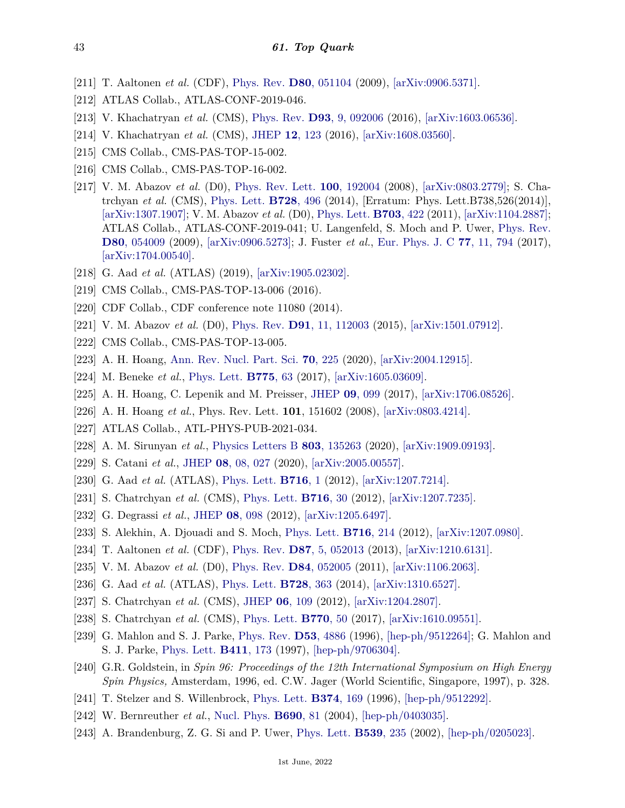- <span id="page-42-0"></span>[211] T. Aaltonen *et al.* (CDF), [Phys. Rev.](http://doi.org/10.1103/PhysRevD.80.051104) **D80**[, 051104](http://doi.org/10.1103/PhysRevD.80.051104) (2009), [\[arXiv:0906.5371\].](https://arxiv.org/abs/0906.5371)
- <span id="page-42-1"></span>[212] ATLAS Collab., ATLAS-CONF-2019-046.
- <span id="page-42-2"></span>[213] V. Khachatryan *et al.* (CMS), [Phys. Rev.](http://doi.org/10.1103/PhysRevD.93.092006) **D93**[, 9, 092006](http://doi.org/10.1103/PhysRevD.93.092006) (2016), [\[arXiv:1603.06536\].](https://arxiv.org/abs/1603.06536)
- <span id="page-42-3"></span>[214] V. Khachatryan *et al.* (CMS), [JHEP](http://doi.org/10.1007/JHEP12(2016)123) **12**[, 123](http://doi.org/10.1007/JHEP12(2016)123) (2016), [\[arXiv:1608.03560\].](https://arxiv.org/abs/1608.03560)
- <span id="page-42-4"></span>[215] CMS Collab., CMS-PAS-TOP-15-002.
- <span id="page-42-5"></span>[216] CMS Collab., CMS-PAS-TOP-16-002.
- <span id="page-42-6"></span>[217] V. M. Abazov *et al.* (D0), [Phys. Rev. Lett.](http://doi.org/10.1103/PhysRevLett.100.192004) **100**[, 192004](http://doi.org/10.1103/PhysRevLett.100.192004) (2008), [\[arXiv:0803.2779\];](https://arxiv.org/abs/0803.2779) S. Chatrchyan *et al.* (CMS), [Phys. Lett.](http://doi.org/10.1016/j.physletb.2014.08.040) **[B728](http://doi.org/10.1016/j.physletb.2014.08.040)**, 496 (2014), [Erratum: Phys. Lett.B738,526(2014)], [\[arXiv:1307.1907\];](https://arxiv.org/abs/1307.1907) V. M. Abazov *et al.* (D0), [Phys. Lett.](http://doi.org/10.1016/j.physletb.2011.08.015) **[B703](http://doi.org/10.1016/j.physletb.2011.08.015)**, 422 (2011), [\[arXiv:1104.2887\];](https://arxiv.org/abs/1104.2887) ATLAS Collab., ATLAS-CONF-2019-041; U. Langenfeld, S. Moch and P. Uwer, [Phys. Rev.](http://doi.org/10.1103/PhysRevD.80.054009) **D80**[, 054009](http://doi.org/10.1103/PhysRevD.80.054009) (2009), [\[arXiv:0906.5273\];](https://arxiv.org/abs/0906.5273) J. Fuster *et al.*, [Eur. Phys. J. C](http://doi.org/10.1140/epjc/s10052-017-5354-z) **77**[, 11, 794](http://doi.org/10.1140/epjc/s10052-017-5354-z) (2017), [\[arXiv:1704.00540\].](https://arxiv.org/abs/1704.00540)
- <span id="page-42-7"></span>[218] G. Aad *et al.* (ATLAS) (2019), [\[arXiv:1905.02302\].](https://arxiv.org/abs/1905.02302)
- <span id="page-42-8"></span>[219] CMS Collab., CMS-PAS-TOP-13-006 (2016).
- <span id="page-42-9"></span>[220] CDF Collab., CDF conference note 11080 (2014).
- <span id="page-42-10"></span>[221] V. M. Abazov *et al.* (D0), [Phys. Rev.](http://doi.org/10.1103/PhysRevD.91.112003) **D91**[, 11, 112003](http://doi.org/10.1103/PhysRevD.91.112003) (2015), [\[arXiv:1501.07912\].](https://arxiv.org/abs/1501.07912)
- <span id="page-42-11"></span>[222] CMS Collab., CMS-PAS-TOP-13-005.
- <span id="page-42-12"></span>[223] A. H. Hoang, [Ann. Rev. Nucl. Part. Sci.](http://doi.org/10.1146/annurev-nucl-101918-023530) **70**[, 225](http://doi.org/10.1146/annurev-nucl-101918-023530) (2020), [\[arXiv:2004.12915\].](https://arxiv.org/abs/2004.12915)
- <span id="page-42-13"></span>[224] M. Beneke *et al.*, [Phys. Lett.](http://doi.org/10.1016/j.physletb.2017.10.054) **[B775](http://doi.org/10.1016/j.physletb.2017.10.054)**, 63 (2017), [\[arXiv:1605.03609\].](https://arxiv.org/abs/1605.03609)
- <span id="page-42-14"></span>[225] A. H. Hoang, C. Lepenik and M. Preisser, [JHEP](http://doi.org/10.1007/JHEP09(2017)099) **09**[, 099](http://doi.org/10.1007/JHEP09(2017)099) (2017), [\[arXiv:1706.08526\].](https://arxiv.org/abs/1706.08526)
- <span id="page-42-15"></span>[226] A. H. Hoang *et al.*, Phys. Rev. Lett. **101**, 151602 (2008), [\[arXiv:0803.4214\].](https://arxiv.org/abs/0803.4214)
- <span id="page-42-16"></span>[227] ATLAS Collab., ATL-PHYS-PUB-2021-034.
- <span id="page-42-17"></span>[228] A. M. Sirunyan *et al.*, [Physics Letters B](http://doi.org/https://doi.org/10.1016/j.physletb.2020.135263) **803**[, 135263](http://doi.org/https://doi.org/10.1016/j.physletb.2020.135263) (2020), [\[arXiv:1909.09193\].](https://arxiv.org/abs/1909.09193)
- <span id="page-42-18"></span>[229] S. Catani *et al.*, [JHEP](http://doi.org/10.1007/JHEP08(2020)027) **08**[, 08, 027](http://doi.org/10.1007/JHEP08(2020)027) (2020), [\[arXiv:2005.00557\].](https://arxiv.org/abs/2005.00557)
- <span id="page-42-19"></span>[230] G. Aad *et al.* (ATLAS), [Phys. Lett.](http://doi.org/10.1016/j.physletb.2012.08.020) **[B716](http://doi.org/10.1016/j.physletb.2012.08.020)**, 1 (2012), [\[arXiv:1207.7214\].](https://arxiv.org/abs/1207.7214)
- <span id="page-42-20"></span>[231] S. Chatrchyan *et al.* (CMS), [Phys. Lett.](http://doi.org/10.1016/j.physletb.2012.08.021) **[B716](http://doi.org/10.1016/j.physletb.2012.08.021)**, 30 (2012), [\[arXiv:1207.7235\].](https://arxiv.org/abs/1207.7235)
- <span id="page-42-21"></span>[232] G. Degrassi *et al.*, [JHEP](http://doi.org/10.1007/JHEP08(2012)098) **08**[, 098](http://doi.org/10.1007/JHEP08(2012)098) (2012), [\[arXiv:1205.6497\].](https://arxiv.org/abs/1205.6497)
- <span id="page-42-22"></span>[233] S. Alekhin, A. Djouadi and S. Moch, [Phys. Lett.](http://doi.org/10.1016/j.physletb.2012.08.024) **[B716](http://doi.org/10.1016/j.physletb.2012.08.024)**, 214 (2012), [\[arXiv:1207.0980\].](https://arxiv.org/abs/1207.0980)
- <span id="page-42-23"></span>[234] T. Aaltonen *et al.* (CDF), [Phys. Rev.](http://doi.org/10.1103/PhysRevD.87.052013) **D87**[, 5, 052013](http://doi.org/10.1103/PhysRevD.87.052013) (2013), [\[arXiv:1210.6131\].](https://arxiv.org/abs/1210.6131)
- <span id="page-42-24"></span>[235] V. M. Abazov *et al.* (D0), [Phys. Rev.](http://doi.org/10.1103/PhysRevD.84.052005) **D84**[, 052005](http://doi.org/10.1103/PhysRevD.84.052005) (2011), [\[arXiv:1106.2063\].](https://arxiv.org/abs/1106.2063)
- <span id="page-42-25"></span>[236] G. Aad *et al.* (ATLAS), [Phys. Lett.](http://doi.org/10.1016/j.physletb.2013.12.010) **[B728](http://doi.org/10.1016/j.physletb.2013.12.010)**, 363 (2014), [\[arXiv:1310.6527\].](https://arxiv.org/abs/1310.6527)
- <span id="page-42-26"></span>[237] S. Chatrchyan *et al.* (CMS), [JHEP](http://doi.org/10.1007/JHEP06(2012)109) **06**[, 109](http://doi.org/10.1007/JHEP06(2012)109) (2012), [\[arXiv:1204.2807\].](https://arxiv.org/abs/1204.2807)
- <span id="page-42-27"></span>[238] S. Chatrchyan *et al.* (CMS), [Phys. Lett.](http://doi.org/10.1016/j.physletb.2017.04.028) **[B770](http://doi.org/10.1016/j.physletb.2017.04.028)**, 50 (2017), [\[arXiv:1610.09551\].](https://arxiv.org/abs/1610.09551)
- <span id="page-42-28"></span>[239] G. Mahlon and S. J. Parke, [Phys. Rev.](http://doi.org/10.1103/PhysRevD.53.4886) **D53**[, 4886](http://doi.org/10.1103/PhysRevD.53.4886) (1996), [\[hep-ph/9512264\];](https://arxiv.org/abs/hep-ph/9512264) G. Mahlon and S. J. Parke, [Phys. Lett.](http://doi.org/10.1016/S0370-2693(97)00987-8) **[B411](http://doi.org/10.1016/S0370-2693(97)00987-8)**, 173 (1997), [\[hep-ph/9706304\].](https://arxiv.org/abs/hep-ph/9706304)
- [240] G.R. Goldstein, in *Spin 96: Proceedings of the 12th International Symposium on High Energy Spin Physics,* Amsterdam, 1996, ed. C.W. Jager (World Scientific, Singapore, 1997), p. 328.
- <span id="page-42-29"></span>[241] T. Stelzer and S. Willenbrock, [Phys. Lett.](http://doi.org/10.1016/0370-2693(96)00178-5) **[B374](http://doi.org/10.1016/0370-2693(96)00178-5)**, 169 (1996), [\[hep-ph/9512292\].](https://arxiv.org/abs/hep-ph/9512292)
- <span id="page-42-30"></span>[242] W. Bernreuther *et al.*, [Nucl. Phys.](http://doi.org/10.1016/j.nuclphysb.2004.04.019) **[B690](http://doi.org/10.1016/j.nuclphysb.2004.04.019)**, 81 (2004), [\[hep-ph/0403035\].](https://arxiv.org/abs/hep-ph/0403035)
- <span id="page-42-31"></span>[243] A. Brandenburg, Z. G. Si and P. Uwer, [Phys. Lett.](http://doi.org/10.1016/S0370-2693(02)02098-1) **[B539](http://doi.org/10.1016/S0370-2693(02)02098-1)**, 235 (2002), [\[hep-ph/0205023\].](https://arxiv.org/abs/hep-ph/0205023)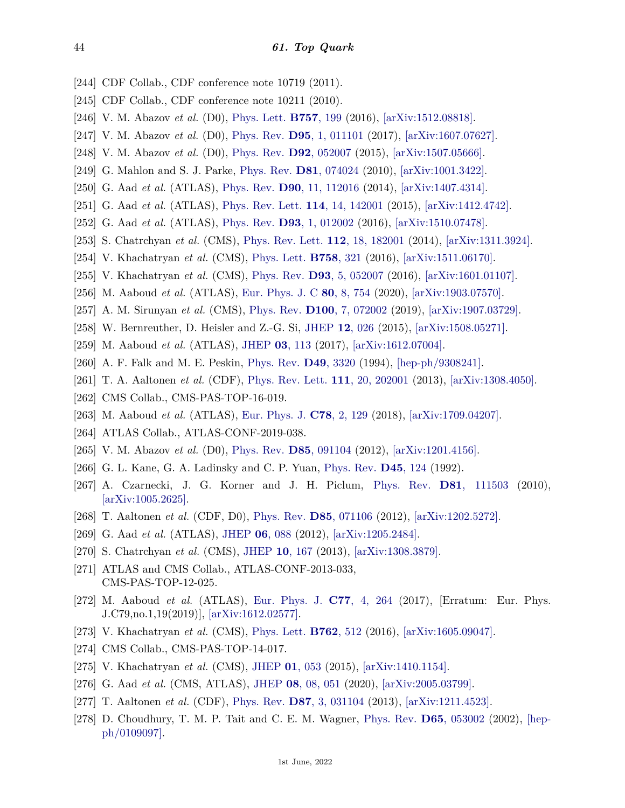- <span id="page-43-0"></span>[244] CDF Collab., CDF conference note 10719 (2011).
- <span id="page-43-1"></span>[245] CDF Collab., CDF conference note 10211 (2010).
- <span id="page-43-2"></span>[246] V. M. Abazov *et al.* (D0), [Phys. Lett.](http://doi.org/10.1016/j.physletb.2016.03.053) **[B757](http://doi.org/10.1016/j.physletb.2016.03.053)**, 199 (2016), [\[arXiv:1512.08818\].](https://arxiv.org/abs/1512.08818)
- <span id="page-43-3"></span>[247] V. M. Abazov *et al.* (D0), [Phys. Rev.](http://doi.org/10.1103/PhysRevD.95.011101) **D95**[, 1, 011101](http://doi.org/10.1103/PhysRevD.95.011101) (2017), [\[arXiv:1607.07627\].](https://arxiv.org/abs/1607.07627)
- <span id="page-43-4"></span>[248] V. M. Abazov *et al.* (D0), [Phys. Rev.](http://doi.org/10.1103/PhysRevD.92.052007) **D92**[, 052007](http://doi.org/10.1103/PhysRevD.92.052007) (2015), [\[arXiv:1507.05666\].](https://arxiv.org/abs/1507.05666)
- <span id="page-43-5"></span>[249] G. Mahlon and S. J. Parke, [Phys. Rev.](http://doi.org/10.1103/PhysRevD.81.074024) **D81**[, 074024](http://doi.org/10.1103/PhysRevD.81.074024) (2010), [\[arXiv:1001.3422\].](https://arxiv.org/abs/1001.3422)
- <span id="page-43-6"></span>[250] G. Aad *et al.* (ATLAS), [Phys. Rev.](http://doi.org/10.1103/PhysRevD.90.112016) **D90**[, 11, 112016](http://doi.org/10.1103/PhysRevD.90.112016) (2014), [\[arXiv:1407.4314\].](https://arxiv.org/abs/1407.4314)
- [251] G. Aad *et al.* (ATLAS), [Phys. Rev. Lett.](http://doi.org/10.1103/PhysRevLett.114.142001) **114**[, 14, 142001](http://doi.org/10.1103/PhysRevLett.114.142001) (2015), [\[arXiv:1412.4742\].](https://arxiv.org/abs/1412.4742)
- [252] G. Aad *et al.* (ATLAS), [Phys. Rev.](http://doi.org/10.1103/PhysRevD.93.012002) **D93**[, 1, 012002](http://doi.org/10.1103/PhysRevD.93.012002) (2016), [\[arXiv:1510.07478\].](https://arxiv.org/abs/1510.07478)
- [253] S. Chatrchyan *et al.* (CMS), [Phys. Rev. Lett.](http://doi.org/10.1103/PhysRevLett.112.182001) **112**[, 18, 182001](http://doi.org/10.1103/PhysRevLett.112.182001) (2014), [\[arXiv:1311.3924\].](https://arxiv.org/abs/1311.3924)
- [254] V. Khachatryan *et al.* (CMS), [Phys. Lett.](http://doi.org/10.1016/j.physletb.2016.05.005) **[B758](http://doi.org/10.1016/j.physletb.2016.05.005)**, 321 (2016), [\[arXiv:1511.06170\].](https://arxiv.org/abs/1511.06170)
- <span id="page-43-7"></span>[255] V. Khachatryan *et al.* (CMS), [Phys. Rev.](http://doi.org/10.1103/PhysRevD.93.052007) **D93**[, 5, 052007](http://doi.org/10.1103/PhysRevD.93.052007) (2016), [\[arXiv:1601.01107\].](https://arxiv.org/abs/1601.01107)
- <span id="page-43-8"></span>[256] M. Aaboud *et al.* (ATLAS), [Eur. Phys. J. C](http://doi.org/10.1140/epjc/s10052-020-8181-6) **80**[, 8, 754](http://doi.org/10.1140/epjc/s10052-020-8181-6) (2020), [\[arXiv:1903.07570\].](https://arxiv.org/abs/1903.07570)
- <span id="page-43-9"></span>[257] A. M. Sirunyan *et al.* (CMS), [Phys. Rev.](http://doi.org/10.1103/PhysRevD.100.072002) **D100**[, 7, 072002](http://doi.org/10.1103/PhysRevD.100.072002) (2019), [\[arXiv:1907.03729\].](https://arxiv.org/abs/1907.03729)
- <span id="page-43-10"></span>[258] W. Bernreuther, D. Heisler and Z.-G. Si, [JHEP](http://doi.org/10.1007/JHEP12(2015)026) **12**[, 026](http://doi.org/10.1007/JHEP12(2015)026) (2015), [\[arXiv:1508.05271\].](https://arxiv.org/abs/1508.05271)
- <span id="page-43-11"></span>[259] M. Aaboud *et al.* (ATLAS), [JHEP](http://doi.org/10.1007/JHEP03(2017)113) **03**[, 113](http://doi.org/10.1007/JHEP03(2017)113) (2017), [\[arXiv:1612.07004\].](https://arxiv.org/abs/1612.07004)
- <span id="page-43-12"></span>[260] A. F. Falk and M. E. Peskin, [Phys. Rev.](http://doi.org/10.1103/PhysRevD.49.3320) **D49**[, 3320](http://doi.org/10.1103/PhysRevD.49.3320) (1994), [\[hep-ph/9308241\].](https://arxiv.org/abs/hep-ph/9308241)
- <span id="page-43-13"></span>[261] T. A. Aaltonen *et al.* (CDF), [Phys. Rev. Lett.](http://doi.org/10.1103/PhysRevLett.111.202001) **111**[, 20, 202001](http://doi.org/10.1103/PhysRevLett.111.202001) (2013), [\[arXiv:1308.4050\].](https://arxiv.org/abs/1308.4050)
- <span id="page-43-14"></span>[262] CMS Collab., CMS-PAS-TOP-16-019.
- <span id="page-43-15"></span>[263] M. Aaboud *et al.* (ATLAS), [Eur. Phys. J.](http://doi.org/10.1140/epjc/s10052-018-5595-5) **C78**[, 2, 129](http://doi.org/10.1140/epjc/s10052-018-5595-5) (2018), [\[arXiv:1709.04207\].](https://arxiv.org/abs/1709.04207)
- <span id="page-43-16"></span>[264] ATLAS Collab., ATLAS-CONF-2019-038.
- <span id="page-43-17"></span>[265] V. M. Abazov *et al.* (D0), [Phys. Rev.](http://doi.org/10.1103/PhysRevD.85.091104) **D85**[, 091104](http://doi.org/10.1103/PhysRevD.85.091104) (2012), [\[arXiv:1201.4156\].](https://arxiv.org/abs/1201.4156)
- <span id="page-43-18"></span>[266] G. L. Kane, G. A. Ladinsky and C. P. Yuan, [Phys. Rev.](http://doi.org/10.1103/PhysRevD.45.124) **D45**[, 124](http://doi.org/10.1103/PhysRevD.45.124) (1992).
- <span id="page-43-19"></span>[267] A. Czarnecki, J. G. Korner and J. H. Piclum, [Phys. Rev.](http://doi.org/10.1103/PhysRevD.81.111503) **D81**[, 111503](http://doi.org/10.1103/PhysRevD.81.111503) (2010), [\[arXiv:1005.2625\].](https://arxiv.org/abs/1005.2625)
- <span id="page-43-20"></span>[268] T. Aaltonen *et al.* (CDF, D0), [Phys. Rev.](http://doi.org/10.1103/PhysRevD.85.071106) **D85**[, 071106](http://doi.org/10.1103/PhysRevD.85.071106) (2012), [\[arXiv:1202.5272\].](https://arxiv.org/abs/1202.5272)
- <span id="page-43-21"></span>[269] G. Aad *et al.* (ATLAS), [JHEP](http://doi.org/10.1007/JHEP06(2012)088) **06**[, 088](http://doi.org/10.1007/JHEP06(2012)088) (2012), [\[arXiv:1205.2484\].](https://arxiv.org/abs/1205.2484)
- <span id="page-43-22"></span>[270] S. Chatrchyan *et al.* (CMS), [JHEP](http://doi.org/10.1007/JHEP10(2013)167) **10**[, 167](http://doi.org/10.1007/JHEP10(2013)167) (2013), [\[arXiv:1308.3879\].](https://arxiv.org/abs/1308.3879)
- <span id="page-43-23"></span>[271] ATLAS and CMS Collab., ATLAS-CONF-2013-033, CMS-PAS-TOP-12-025.
- <span id="page-43-24"></span>[272] M. Aaboud *et al.* (ATLAS), [Eur. Phys. J.](http://doi.org/10.1140/epjc/s10052-018-6520-7) **C77**[, 4, 264](http://doi.org/10.1140/epjc/s10052-018-6520-7) (2017), [Erratum: Eur. Phys. J.C79,no.1,19(2019)], [\[arXiv:1612.02577\].](https://arxiv.org/abs/1612.02577)
- <span id="page-43-25"></span>[273] V. Khachatryan *et al.* (CMS), [Phys. Lett.](http://doi.org/10.1016/j.physletb.2016.10.007) **[B762](http://doi.org/10.1016/j.physletb.2016.10.007)**, 512 (2016), [\[arXiv:1605.09047\].](https://arxiv.org/abs/1605.09047)
- <span id="page-43-26"></span>[274] CMS Collab., CMS-PAS-TOP-14-017.
- <span id="page-43-27"></span>[275] V. Khachatryan *et al.* (CMS), [JHEP](http://doi.org/10.1007/JHEP01(2015)053) **01**[, 053](http://doi.org/10.1007/JHEP01(2015)053) (2015), [\[arXiv:1410.1154\].](https://arxiv.org/abs/1410.1154)
- <span id="page-43-28"></span>[276] G. Aad *et al.* (CMS, ATLAS), [JHEP](http://doi.org/10.1007/JHEP08(2020)051) **08**[, 08, 051](http://doi.org/10.1007/JHEP08(2020)051) (2020), [\[arXiv:2005.03799\].](https://arxiv.org/abs/2005.03799)
- <span id="page-43-29"></span>[277] T. Aaltonen *et al.* (CDF), [Phys. Rev.](http://doi.org/10.1103/PhysRevD.87.031104) **D87**[, 3, 031104](http://doi.org/10.1103/PhysRevD.87.031104) (2013), [\[arXiv:1211.4523\].](https://arxiv.org/abs/1211.4523)
- <span id="page-43-30"></span>[278] D. Choudhury, T. M. P. Tait and C. E. M. Wagner, [Phys. Rev.](http://doi.org/10.1103/PhysRevD.65.053002) **D65**[, 053002](http://doi.org/10.1103/PhysRevD.65.053002) (2002), [\[hep](https://arxiv.org/abs/hep-ph/0109097)[ph/0109097\].](https://arxiv.org/abs/hep-ph/0109097)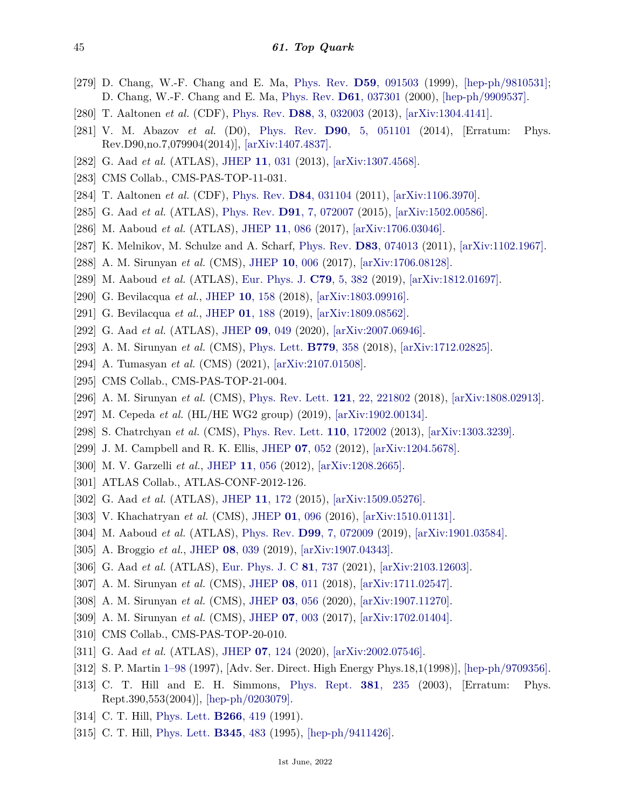- <span id="page-44-0"></span>[279] D. Chang, W.-F. Chang and E. Ma, [Phys. Rev.](http://doi.org/10.1103/PhysRevD.59.091503) **D59**[, 091503](http://doi.org/10.1103/PhysRevD.59.091503) (1999), [\[hep-ph/9810531\];](https://arxiv.org/abs/hep-ph/9810531) D. Chang, W.-F. Chang and E. Ma, [Phys. Rev.](http://doi.org/10.1103/PhysRevD.61.037301) **D61**[, 037301](http://doi.org/10.1103/PhysRevD.61.037301) (2000), [\[hep-ph/9909537\].](https://arxiv.org/abs/hep-ph/9909537)
- <span id="page-44-1"></span>[280] T. Aaltonen *et al.* (CDF), [Phys. Rev.](http://doi.org/10.1103/PhysRevD.88.032003) **D88**[, 3, 032003](http://doi.org/10.1103/PhysRevD.88.032003) (2013), [\[arXiv:1304.4141\].](https://arxiv.org/abs/1304.4141)
- <span id="page-44-2"></span>[281] V. M. Abazov *et al.* (D0), [Phys. Rev.](http://doi.org/10.1103/PhysRevD.90.051101) **D90**[, 5, 051101](http://doi.org/10.1103/PhysRevD.90.051101) (2014), [Erratum: Phys. Rev.D90,no.7,079904(2014)], [\[arXiv:1407.4837\].](https://arxiv.org/abs/1407.4837)
- <span id="page-44-3"></span>[282] G. Aad *et al.* (ATLAS), [JHEP](http://doi.org/10.1007/JHEP11(2013)031) **11**[, 031](http://doi.org/10.1007/JHEP11(2013)031) (2013), [\[arXiv:1307.4568\].](https://arxiv.org/abs/1307.4568)
- <span id="page-44-4"></span>[283] CMS Collab., CMS-PAS-TOP-11-031.
- <span id="page-44-5"></span>[284] T. Aaltonen *et al.* (CDF), [Phys. Rev.](http://doi.org/10.1103/PhysRevD.84.031104) **D84**[, 031104](http://doi.org/10.1103/PhysRevD.84.031104) (2011), [\[arXiv:1106.3970\].](https://arxiv.org/abs/1106.3970)
- <span id="page-44-6"></span>[285] G. Aad *et al.* (ATLAS), [Phys. Rev.](http://doi.org/10.1103/PhysRevD.91.072007) **D91**[, 7, 072007](http://doi.org/10.1103/PhysRevD.91.072007) (2015), [\[arXiv:1502.00586\].](https://arxiv.org/abs/1502.00586)
- <span id="page-44-7"></span>[286] M. Aaboud *et al.* (ATLAS), [JHEP](http://doi.org/10.1007/JHEP11(2017)086) **11**[, 086](http://doi.org/10.1007/JHEP11(2017)086) (2017), [\[arXiv:1706.03046\].](https://arxiv.org/abs/1706.03046)
- <span id="page-44-8"></span>[287] K. Melnikov, M. Schulze and A. Scharf, [Phys. Rev.](http://doi.org/10.1103/PhysRevD.83.074013) **D83**[, 074013](http://doi.org/10.1103/PhysRevD.83.074013) (2011), [\[arXiv:1102.1967\].](https://arxiv.org/abs/1102.1967)
- <span id="page-44-9"></span>[288] A. M. Sirunyan *et al.* (CMS), [JHEP](http://doi.org/10.1007/JHEP10(2017)006) **10**[, 006](http://doi.org/10.1007/JHEP10(2017)006) (2017), [\[arXiv:1706.08128\].](https://arxiv.org/abs/1706.08128)
- <span id="page-44-10"></span>[289] M. Aaboud *et al.* (ATLAS), [Eur. Phys. J.](http://doi.org/10.1140/epjc/s10052-019-6849-6) **C79**[, 5, 382](http://doi.org/10.1140/epjc/s10052-019-6849-6) (2019), [\[arXiv:1812.01697\].](https://arxiv.org/abs/1812.01697)
- <span id="page-44-11"></span>[290] G. Bevilacqua *et al.*, [JHEP](http://doi.org/10.1007/JHEP10(2018)158) **10**[, 158](http://doi.org/10.1007/JHEP10(2018)158) (2018), [\[arXiv:1803.09916\].](https://arxiv.org/abs/1803.09916)
- <span id="page-44-12"></span>[291] G. Bevilacqua *et al.*, [JHEP](http://doi.org/10.1007/JHEP01(2019)188) **01**[, 188](http://doi.org/10.1007/JHEP01(2019)188) (2019), [\[arXiv:1809.08562\].](https://arxiv.org/abs/1809.08562)
- <span id="page-44-13"></span>[292] G. Aad *et al.* (ATLAS), [JHEP](http://doi.org/10.1007/JHEP09(2020)049) **09**[, 049](http://doi.org/10.1007/JHEP09(2020)049) (2020), [\[arXiv:2007.06946\].](https://arxiv.org/abs/2007.06946)
- <span id="page-44-14"></span>[293] A. M. Sirunyan *et al.* (CMS), [Phys. Lett.](http://doi.org/10.1016/j.physletb.2018.02.025) **[B779](http://doi.org/10.1016/j.physletb.2018.02.025)**, 358 (2018), [\[arXiv:1712.02825\].](https://arxiv.org/abs/1712.02825)
- <span id="page-44-15"></span>[294] A. Tumasyan *et al.* (CMS) (2021), [\[arXiv:2107.01508\].](https://arxiv.org/abs/2107.01508)
- <span id="page-44-16"></span>[295] CMS Collab., CMS-PAS-TOP-21-004.
- <span id="page-44-17"></span>[296] A. M. Sirunyan *et al.* (CMS), [Phys. Rev. Lett.](http://doi.org/10.1103/PhysRevLett.121.221802) **121**[, 22, 221802](http://doi.org/10.1103/PhysRevLett.121.221802) (2018), [\[arXiv:1808.02913\].](https://arxiv.org/abs/1808.02913)
- <span id="page-44-18"></span>[297] M. Cepeda *et al.* (HL/HE WG2 group) (2019), [\[arXiv:1902.00134\].](https://arxiv.org/abs/1902.00134)
- <span id="page-44-19"></span>[298] S. Chatrchyan *et al.* (CMS), [Phys. Rev. Lett.](http://doi.org/10.1103/PhysRevLett.110.172002) **110**[, 172002](http://doi.org/10.1103/PhysRevLett.110.172002) (2013), [\[arXiv:1303.3239\].](https://arxiv.org/abs/1303.3239)
- <span id="page-44-20"></span>[299] J. M. Campbell and R. K. Ellis, [JHEP](http://doi.org/10.1007/JHEP07(2012)052) **07**[, 052](http://doi.org/10.1007/JHEP07(2012)052) (2012), [\[arXiv:1204.5678\].](https://arxiv.org/abs/1204.5678)
- <span id="page-44-21"></span>[300] M. V. Garzelli *et al.*, [JHEP](http://doi.org/10.1007/JHEP11(2012)056) **11**[, 056](http://doi.org/10.1007/JHEP11(2012)056) (2012), [\[arXiv:1208.2665\].](https://arxiv.org/abs/1208.2665)
- <span id="page-44-22"></span>[301] ATLAS Collab., ATLAS-CONF-2012-126.
- <span id="page-44-23"></span>[302] G. Aad *et al.* (ATLAS), [JHEP](http://doi.org/10.1007/JHEP11(2015)172) **11**[, 172](http://doi.org/10.1007/JHEP11(2015)172) (2015), [\[arXiv:1509.05276\].](https://arxiv.org/abs/1509.05276)
- <span id="page-44-24"></span>[303] V. Khachatryan *et al.* (CMS), [JHEP](http://doi.org/10.1007/JHEP01(2016)096) **01**[, 096](http://doi.org/10.1007/JHEP01(2016)096) (2016), [\[arXiv:1510.01131\].](https://arxiv.org/abs/1510.01131)
- <span id="page-44-25"></span>[304] M. Aaboud *et al.* (ATLAS), [Phys. Rev.](http://doi.org/10.1103/PhysRevD.99.072009) **D99**[, 7, 072009](http://doi.org/10.1103/PhysRevD.99.072009) (2019), [\[arXiv:1901.03584\].](https://arxiv.org/abs/1901.03584)
- <span id="page-44-26"></span>[305] A. Broggio *et al.*, [JHEP](http://doi.org/10.1007/JHEP08(2019)039) **08**[, 039](http://doi.org/10.1007/JHEP08(2019)039) (2019), [\[arXiv:1907.04343\].](https://arxiv.org/abs/1907.04343)
- <span id="page-44-27"></span>[306] G. Aad *et al.* (ATLAS), [Eur. Phys. J. C](http://doi.org/10.1140/epjc/s10052-021-09439-4) **81**[, 737](http://doi.org/10.1140/epjc/s10052-021-09439-4) (2021), [\[arXiv:2103.12603\].](https://arxiv.org/abs/2103.12603)
- <span id="page-44-28"></span>[307] A. M. Sirunyan *et al.* (CMS), [JHEP](http://doi.org/10.1007/JHEP08(2018)011) **08**[, 011](http://doi.org/10.1007/JHEP08(2018)011) (2018), [\[arXiv:1711.02547\].](https://arxiv.org/abs/1711.02547)
- <span id="page-44-29"></span>[308] A. M. Sirunyan *et al.* (CMS), [JHEP](http://doi.org/10.1007/JHEP03(2020)056) **03**[, 056](http://doi.org/10.1007/JHEP03(2020)056) (2020), [\[arXiv:1907.11270\].](https://arxiv.org/abs/1907.11270)
- <span id="page-44-30"></span>[309] A. M. Sirunyan *et al.* (CMS), [JHEP](http://doi.org/10.1007/JHEP07(2017)003) **07**[, 003](http://doi.org/10.1007/JHEP07(2017)003) (2017), [\[arXiv:1702.01404\].](https://arxiv.org/abs/1702.01404)
- <span id="page-44-31"></span>[310] CMS Collab., CMS-PAS-TOP-20-010.
- <span id="page-44-32"></span>[311] G. Aad *et al.* (ATLAS), [JHEP](http://doi.org/10.1007/JHEP07(2020)124) **07**[, 124](http://doi.org/10.1007/JHEP07(2020)124) (2020), [\[arXiv:2002.07546\].](https://arxiv.org/abs/2002.07546)
- <span id="page-44-33"></span>[312] S. P. Martin [1–98](http://doi.org/10.1142/9789812839657_0001) (1997), [Adv. Ser. Direct. High Energy Phys.18,1(1998)], [\[hep-ph/9709356\].](https://arxiv.org/abs/hep-ph/9709356)
- <span id="page-44-34"></span>[313] C. T. Hill and E. H. Simmons, [Phys. Rept.](http://doi.org/10.1016/S0370-1573(03)00140-6) **381**[, 235](http://doi.org/10.1016/S0370-1573(03)00140-6) (2003), [Erratum: Phys. Rept.390,553(2004)], [\[hep-ph/0203079\].](https://arxiv.org/abs/hep-ph/0203079)
- <span id="page-44-35"></span>[314] C. T. Hill, [Phys. Lett.](http://doi.org/10.1016/0370-2693(91)91061-Y) **[B266](http://doi.org/10.1016/0370-2693(91)91061-Y)**, 419 (1991).
- <span id="page-44-36"></span>[315] C. T. Hill, [Phys. Lett.](http://doi.org/10.1016/0370-2693(94)01660-5) **[B345](http://doi.org/10.1016/0370-2693(94)01660-5)**, 483 (1995), [\[hep-ph/9411426\].](https://arxiv.org/abs/hep-ph/9411426)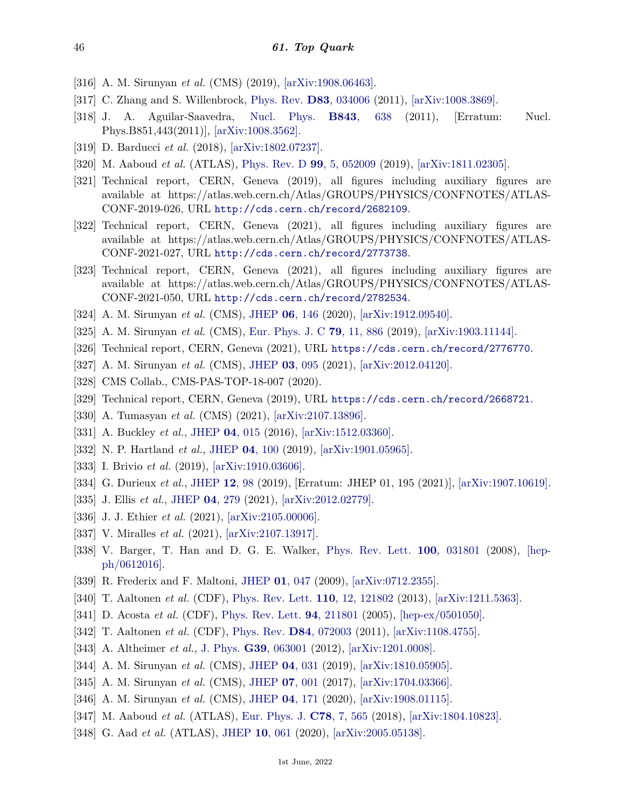- <span id="page-45-0"></span>[316] A. M. Sirunyan *et al.* (CMS) (2019), [\[arXiv:1908.06463\].](https://arxiv.org/abs/1908.06463)
- <span id="page-45-1"></span>[317] C. Zhang and S. Willenbrock, [Phys. Rev.](http://doi.org/10.1103/PhysRevD.83.034006) **D83**[, 034006](http://doi.org/10.1103/PhysRevD.83.034006) (2011), [\[arXiv:1008.3869\].](https://arxiv.org/abs/1008.3869)
- [318] J. A. Aguilar-Saavedra, [Nucl. Phys.](http://doi.org/10.1016/j.nuclphysb.2011.06.003) **B843**[, 638](http://doi.org/10.1016/j.nuclphysb.2011.06.003) (2011), [Erratum: Nucl. Phys.B851,443(2011)], [\[arXiv:1008.3562\].](https://arxiv.org/abs/1008.3562)
- <span id="page-45-2"></span>[319] D. Barducci *et al.* (2018), [\[arXiv:1802.07237\].](https://arxiv.org/abs/1802.07237)
- <span id="page-45-3"></span>[320] M. Aaboud *et al.* (ATLAS), [Phys. Rev. D](http://doi.org/10.1103/PhysRevD.99.052009) **99**[, 5, 052009](http://doi.org/10.1103/PhysRevD.99.052009) (2019), [\[arXiv:1811.02305\].](https://arxiv.org/abs/1811.02305)
- [321] Technical report, CERN, Geneva (2019), all figures including auxiliary figures are available at https://atlas.web.cern.ch/Atlas/GROUPS/PHYSICS/CONFNOTES/ATLAS-CONF-2019-026, URL <http://cds.cern.ch/record/2682109>.
- [322] Technical report, CERN, Geneva (2021), all figures including auxiliary figures are available at https://atlas.web.cern.ch/Atlas/GROUPS/PHYSICS/CONFNOTES/ATLAS-CONF-2021-027, URL <http://cds.cern.ch/record/2773738>.
- <span id="page-45-4"></span>[323] Technical report, CERN, Geneva (2021), all figures including auxiliary figures are available at https://atlas.web.cern.ch/Atlas/GROUPS/PHYSICS/CONFNOTES/ATLAS-CONF-2021-050, URL <http://cds.cern.ch/record/2782534>.
- <span id="page-45-5"></span>[324] A. M. Sirunyan *et al.* (CMS), [JHEP](http://doi.org/10.1007/JHEP06(2020)146) **06**[, 146](http://doi.org/10.1007/JHEP06(2020)146) (2020), [\[arXiv:1912.09540\].](https://arxiv.org/abs/1912.09540)
- [325] A. M. Sirunyan *et al.* (CMS), [Eur. Phys. J. C](http://doi.org/10.1140/epjc/s10052-019-7387-y) **79**[, 11, 886](http://doi.org/10.1140/epjc/s10052-019-7387-y) (2019), [\[arXiv:1903.11144\].](https://arxiv.org/abs/1903.11144)
- [326] Technical report, CERN, Geneva (2021), URL <https://cds.cern.ch/record/2776770>.
- [327] A. M. Sirunyan *et al.* (CMS), [JHEP](http://doi.org/10.1007/JHEP03(2021)095) **03**[, 095](http://doi.org/10.1007/JHEP03(2021)095) (2021), [\[arXiv:2012.04120\].](https://arxiv.org/abs/2012.04120)
- [328] CMS Collab., CMS-PAS-TOP-18-007 (2020).
- [329] Technical report, CERN, Geneva (2019), URL <https://cds.cern.ch/record/2668721>.
- <span id="page-45-6"></span>[330] A. Tumasyan *et al.* (CMS) (2021), [\[arXiv:2107.13896\].](https://arxiv.org/abs/2107.13896)
- <span id="page-45-7"></span>[331] A. Buckley *et al.*, [JHEP](http://doi.org/10.1007/JHEP04(2016)015) **04**[, 015](http://doi.org/10.1007/JHEP04(2016)015) (2016), [\[arXiv:1512.03360\].](https://arxiv.org/abs/1512.03360)
- [332] N. P. Hartland *et al.*, [JHEP](http://doi.org/10.1007/JHEP04(2019)100) **04**[, 100](http://doi.org/10.1007/JHEP04(2019)100) (2019), [\[arXiv:1901.05965\].](https://arxiv.org/abs/1901.05965)
- [333] I. Brivio *et al.* (2019), [\[arXiv:1910.03606\].](https://arxiv.org/abs/1910.03606)
- [334] G. Durieux *et al.*, [JHEP](http://doi.org/10.1007/JHEP12(2019)098) **12**[, 98](http://doi.org/10.1007/JHEP12(2019)098) (2019), [Erratum: JHEP 01, 195 (2021)], [\[arXiv:1907.10619\].](https://arxiv.org/abs/1907.10619)
- [335] J. Ellis *et al.*, [JHEP](http://doi.org/10.1007/JHEP04(2021)279) **04**[, 279](http://doi.org/10.1007/JHEP04(2021)279) (2021), [\[arXiv:2012.02779\].](https://arxiv.org/abs/2012.02779)
- [336] J. J. Ethier *et al.* (2021), [\[arXiv:2105.00006\].](https://arxiv.org/abs/2105.00006)
- <span id="page-45-8"></span>[337] V. Miralles *et al.* (2021), [\[arXiv:2107.13917\].](https://arxiv.org/abs/2107.13917)
- <span id="page-45-9"></span>[338] V. Barger, T. Han and D. G. E. Walker, [Phys. Rev. Lett.](http://doi.org/10.1103/PhysRevLett.100.031801) **100**[, 031801](http://doi.org/10.1103/PhysRevLett.100.031801) (2008), [\[hep](https://arxiv.org/abs/hep-ph/0612016)[ph/0612016\].](https://arxiv.org/abs/hep-ph/0612016)
- <span id="page-45-10"></span>[339] R. Frederix and F. Maltoni, [JHEP](http://doi.org/10.1088/1126-6708/2009/01/047) **01**[, 047](http://doi.org/10.1088/1126-6708/2009/01/047) (2009), [\[arXiv:0712.2355\].](https://arxiv.org/abs/0712.2355)
- <span id="page-45-11"></span>[340] T. Aaltonen *et al.* (CDF), [Phys. Rev. Lett.](http://doi.org/10.1103/PhysRevLett.110.121802) **110**[, 12, 121802](http://doi.org/10.1103/PhysRevLett.110.121802) (2013), [\[arXiv:1211.5363\].](https://arxiv.org/abs/1211.5363)
- <span id="page-45-12"></span>[341] D. Acosta *et al.* (CDF), [Phys. Rev. Lett.](http://doi.org/10.1103/PhysRevLett.94.211801) **94**[, 211801](http://doi.org/10.1103/PhysRevLett.94.211801) (2005), [\[hep-ex/0501050\].](https://arxiv.org/abs/hep-ex/0501050)
- <span id="page-45-13"></span>[342] T. Aaltonen *et al.* (CDF), [Phys. Rev.](http://doi.org/10.1103/PhysRevD.84.072003) **D84**[, 072003](http://doi.org/10.1103/PhysRevD.84.072003) (2011), [\[arXiv:1108.4755\].](https://arxiv.org/abs/1108.4755)
- <span id="page-45-14"></span>[343] A. Altheimer *et al.*, [J. Phys.](http://doi.org/10.1088/0954-3899/39/6/063001) **G39**[, 063001](http://doi.org/10.1088/0954-3899/39/6/063001) (2012), [\[arXiv:1201.0008\].](https://arxiv.org/abs/1201.0008)
- <span id="page-45-15"></span>[344] A. M. Sirunyan *et al.* (CMS), [JHEP](http://doi.org/10.1007/JHEP04(2019)031) **04**[, 031](http://doi.org/10.1007/JHEP04(2019)031) (2019), [\[arXiv:1810.05905\].](https://arxiv.org/abs/1810.05905)
- <span id="page-45-16"></span>[345] A. M. Sirunyan *et al.* (CMS), [JHEP](http://doi.org/10.1007/JHEP07(2017)001) **07**[, 001](http://doi.org/10.1007/JHEP07(2017)001) (2017), [\[arXiv:1704.03366\].](https://arxiv.org/abs/1704.03366)
- <span id="page-45-17"></span>[346] A. M. Sirunyan *et al.* (CMS), [JHEP](http://doi.org/10.1007/JHEP04(2020)171) **04**[, 171](http://doi.org/10.1007/JHEP04(2020)171) (2020), [\[arXiv:1908.01115\].](https://arxiv.org/abs/1908.01115)
- <span id="page-45-18"></span>[347] M. Aaboud *et al.* (ATLAS), [Eur. Phys. J.](http://doi.org/10.1140/epjc/s10052-018-5995-6) **C78**[, 7, 565](http://doi.org/10.1140/epjc/s10052-018-5995-6) (2018), [\[arXiv:1804.10823\].](https://arxiv.org/abs/1804.10823)
- <span id="page-45-19"></span>[348] G. Aad *et al.* (ATLAS), [JHEP](http://doi.org/10.1007/JHEP10(2020)061) **10**[, 061](http://doi.org/10.1007/JHEP10(2020)061) (2020), [\[arXiv:2005.05138\].](https://arxiv.org/abs/2005.05138)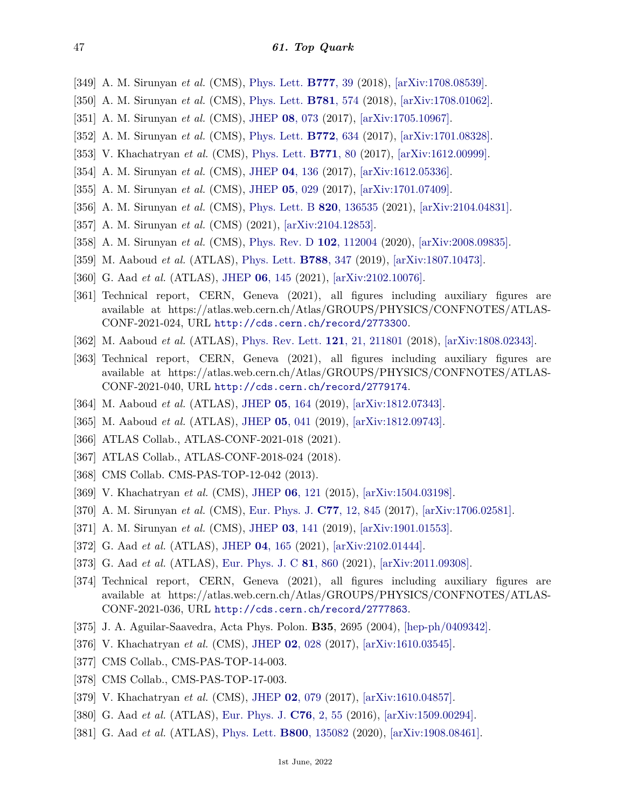- <span id="page-46-0"></span>[349] A. M. Sirunyan *et al.* (CMS), [Phys. Lett.](http://doi.org/10.1016/j.physletb.2017.12.006) **[B777](http://doi.org/10.1016/j.physletb.2017.12.006)**, 39 (2018), [\[arXiv:1708.08539\].](https://arxiv.org/abs/1708.08539)
- [350] A. M. Sirunyan *et al.* (CMS), [Phys. Lett.](http://doi.org/10.1016/j.physletb.2018.04.036) **[B781](http://doi.org/10.1016/j.physletb.2018.04.036)**, 574 (2018), [\[arXiv:1708.01062\].](https://arxiv.org/abs/1708.01062)
- [351] A. M. Sirunyan *et al.* (CMS), [JHEP](http://doi.org/10.1007/JHEP08(2017)073) **08**[, 073](http://doi.org/10.1007/JHEP08(2017)073) (2017), [\[arXiv:1705.10967\].](https://arxiv.org/abs/1705.10967)
- [352] A. M. Sirunyan *et al.* (CMS), [Phys. Lett.](http://doi.org/10.1016/j.physletb.2017.07.022) **[B772](http://doi.org/10.1016/j.physletb.2017.07.022)**, 634 (2017), [\[arXiv:1701.08328\].](https://arxiv.org/abs/1701.08328)
- [353] V. Khachatryan *et al.* (CMS), [Phys. Lett.](http://doi.org/10.1016/j.physletb.2017.05.019) **[B771](http://doi.org/10.1016/j.physletb.2017.05.019)**, 80 (2017), [\[arXiv:1612.00999\].](https://arxiv.org/abs/1612.00999)
- [354] A. M. Sirunyan *et al.* (CMS), [JHEP](http://doi.org/10.1007/JHEP04(2017)136) **04**[, 136](http://doi.org/10.1007/JHEP04(2017)136) (2017), [\[arXiv:1612.05336\].](https://arxiv.org/abs/1612.05336)
- [355] A. M. Sirunyan *et al.* (CMS), [JHEP](http://doi.org/10.1007/JHEP05(2017)029) **05**[, 029](http://doi.org/10.1007/JHEP05(2017)029) (2017), [\[arXiv:1701.07409\].](https://arxiv.org/abs/1701.07409)
- <span id="page-46-1"></span>[356] A. M. Sirunyan *et al.* (CMS), [Phys. Lett. B](http://doi.org/10.1016/j.physletb.2021.136535) **820**[, 136535](http://doi.org/10.1016/j.physletb.2021.136535) (2021), [\[arXiv:2104.04831\].](https://arxiv.org/abs/2104.04831)
- <span id="page-46-2"></span>[357] A. M. Sirunyan *et al.* (CMS) (2021), [\[arXiv:2104.12853\].](https://arxiv.org/abs/2104.12853)
- <span id="page-46-3"></span>[358] A. M. Sirunyan *et al.* (CMS), [Phys. Rev. D](http://doi.org/10.1103/PhysRevD.102.112004) **102**[, 112004](http://doi.org/10.1103/PhysRevD.102.112004) (2020), [\[arXiv:2008.09835\].](https://arxiv.org/abs/2008.09835)
- <span id="page-46-4"></span>[359] M. Aaboud *et al.* (ATLAS), [Phys. Lett.](http://doi.org/10.1016/j.physletb.2018.11.032) **[B788](http://doi.org/10.1016/j.physletb.2018.11.032)**, 347 (2019), [\[arXiv:1807.10473\].](https://arxiv.org/abs/1807.10473)
- <span id="page-46-5"></span>[360] G. Aad *et al.* (ATLAS), [JHEP](http://doi.org/10.1007/JHEP06(2021)145) **06**[, 145](http://doi.org/10.1007/JHEP06(2021)145) (2021), [\[arXiv:2102.10076\].](https://arxiv.org/abs/2102.10076)
- <span id="page-46-6"></span>[361] Technical report, CERN, Geneva (2021), all figures including auxiliary figures are available at https://atlas.web.cern.ch/Atlas/GROUPS/PHYSICS/CONFNOTES/ATLAS-CONF-2021-024, URL <http://cds.cern.ch/record/2773300>.
- <span id="page-46-7"></span>[362] M. Aaboud *et al.* (ATLAS), [Phys. Rev. Lett.](http://doi.org/10.1103/PhysRevLett.121.211801) **121**[, 21, 211801](http://doi.org/10.1103/PhysRevLett.121.211801) (2018), [\[arXiv:1808.02343\].](https://arxiv.org/abs/1808.02343)
- <span id="page-46-8"></span>[363] Technical report, CERN, Geneva (2021), all figures including auxiliary figures are available at https://atlas.web.cern.ch/Atlas/GROUPS/PHYSICS/CONFNOTES/ATLAS-CONF-2021-040, URL <http://cds.cern.ch/record/2779174>.
- <span id="page-46-9"></span>[364] M. Aaboud *et al.* (ATLAS), [JHEP](http://doi.org/10.1007/JHEP05(2019)164) **05**[, 164](http://doi.org/10.1007/JHEP05(2019)164) (2019), [\[arXiv:1812.07343\].](https://arxiv.org/abs/1812.07343)
- <span id="page-46-10"></span>[365] M. Aaboud *et al.* (ATLAS), [JHEP](http://doi.org/10.1007/JHEP05(2019)041) **05**[, 041](http://doi.org/10.1007/JHEP05(2019)041) (2019), [\[arXiv:1812.09743\].](https://arxiv.org/abs/1812.09743)
- <span id="page-46-11"></span>[366] ATLAS Collab., ATLAS-CONF-2021-018 (2021).
- <span id="page-46-12"></span>[367] ATLAS Collab., ATLAS-CONF-2018-024 (2018).
- <span id="page-46-13"></span>[368] CMS Collab. CMS-PAS-TOP-12-042 (2013).
- [369] V. Khachatryan *et al.* (CMS), [JHEP](http://doi.org/10.1007/JHEP06(2015)121) **06**[, 121](http://doi.org/10.1007/JHEP06(2015)121) (2015), [\[arXiv:1504.03198\].](https://arxiv.org/abs/1504.03198)
- [370] A. M. Sirunyan *et al.* (CMS), [Eur. Phys. J.](http://doi.org/10.1140/epjc/s10052-017-5317-4) **C77**[, 12, 845](http://doi.org/10.1140/epjc/s10052-017-5317-4) (2017), [\[arXiv:1706.02581\].](https://arxiv.org/abs/1706.02581)
- <span id="page-46-14"></span>[371] A. M. Sirunyan *et al.* (CMS), [JHEP](http://doi.org/10.1007/JHEP03(2019)141) **03**[, 141](http://doi.org/10.1007/JHEP03(2019)141) (2019), [\[arXiv:1901.01553\].](https://arxiv.org/abs/1901.01553)
- <span id="page-46-15"></span>[372] G. Aad *et al.* (ATLAS), [JHEP](http://doi.org/10.1007/JHEP04(2021)165) **04**[, 165](http://doi.org/10.1007/JHEP04(2021)165) (2021), [\[arXiv:2102.01444\].](https://arxiv.org/abs/2102.01444)
- <span id="page-46-16"></span>[373] G. Aad *et al.* (ATLAS), [Eur. Phys. J. C](http://doi.org/10.1140/epjc/s10052-021-09566-y) **81**[, 860](http://doi.org/10.1140/epjc/s10052-021-09566-y) (2021), [\[arXiv:2011.09308\].](https://arxiv.org/abs/2011.09308)
- <span id="page-46-17"></span>[374] Technical report, CERN, Geneva (2021), all figures including auxiliary figures are available at https://atlas.web.cern.ch/Atlas/GROUPS/PHYSICS/CONFNOTES/ATLAS-CONF-2021-036, URL <http://cds.cern.ch/record/2777863>.
- <span id="page-46-18"></span>[375] J. A. Aguilar-Saavedra, Acta Phys. Polon. **B35**, 2695 (2004), [\[hep-ph/0409342\].](https://arxiv.org/abs/hep-ph/0409342)
- <span id="page-46-19"></span>[376] V. Khachatryan *et al.* (CMS), [JHEP](http://doi.org/10.1007/JHEP02(2017)028) **02**[, 028](http://doi.org/10.1007/JHEP02(2017)028) (2017), [\[arXiv:1610.03545\].](https://arxiv.org/abs/1610.03545)
- <span id="page-46-20"></span>[377] CMS Collab., CMS-PAS-TOP-14-003.
- <span id="page-46-21"></span>[378] CMS Collab., CMS-PAS-TOP-17-003.
- <span id="page-46-22"></span>[379] V. Khachatryan *et al.* (CMS), [JHEP](http://doi.org/10.1007/JHEP02(2017)079) **02**[, 079](http://doi.org/10.1007/JHEP02(2017)079) (2017), [\[arXiv:1610.04857\].](https://arxiv.org/abs/1610.04857)
- <span id="page-46-23"></span>[380] G. Aad *et al.* (ATLAS), [Eur. Phys. J.](http://doi.org/10.1140/epjc/s10052-016-3876-4) **C76**[, 2, 55](http://doi.org/10.1140/epjc/s10052-016-3876-4) (2016), [\[arXiv:1509.00294\].](https://arxiv.org/abs/1509.00294)
- <span id="page-46-24"></span>[381] G. Aad *et al.* (ATLAS), [Phys. Lett.](http://doi.org/10.1016/j.physletb.2019.135082) **B800**[, 135082](http://doi.org/10.1016/j.physletb.2019.135082) (2020), [\[arXiv:1908.08461\].](https://arxiv.org/abs/1908.08461)